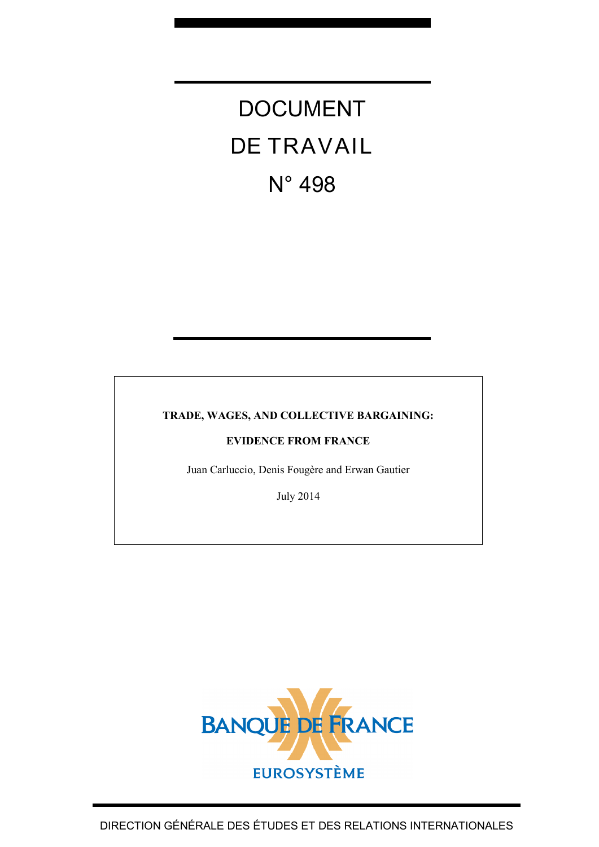# DOCUMENT DE TRAVAIL N° 498

# **TRADE, WAGES, AND COLLECTIVE BARGAINING:**

**EVIDENCE FROM FRANCE**

Juan Carluccio, Denis Fougère and Erwan Gautier

July 2014

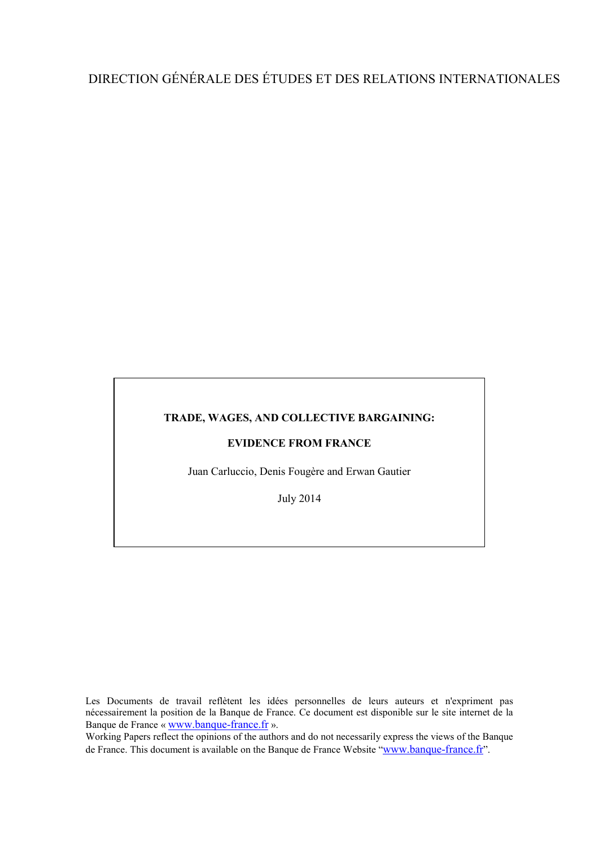# DIRECTION GÉNÉRALE DES ÉTUDES ET DES RELATIONS INTERNATIONALES

### **TRADE, WAGES, AND COLLECTIVE BARGAINING:**

#### **EVIDENCE FROM FRANCE**

Juan Carluccio, Denis Fougère and Erwan Gautier

July 2014

Les Documents de travail reflètent les idées personnelles de leurs auteurs et n'expriment pas nécessairement la position de la Banque de France. Ce document est disponible sur le site internet de la Banque de France « [www.banque-france.fr](http://www.banque-france.fr/) ».

Working Papers reflect the opinions of the authors and do not necessarily express the views of the Banque de France. This document is available on the Banque de France Website ["www.banque-france.fr"](http://www.banque-france.fr/).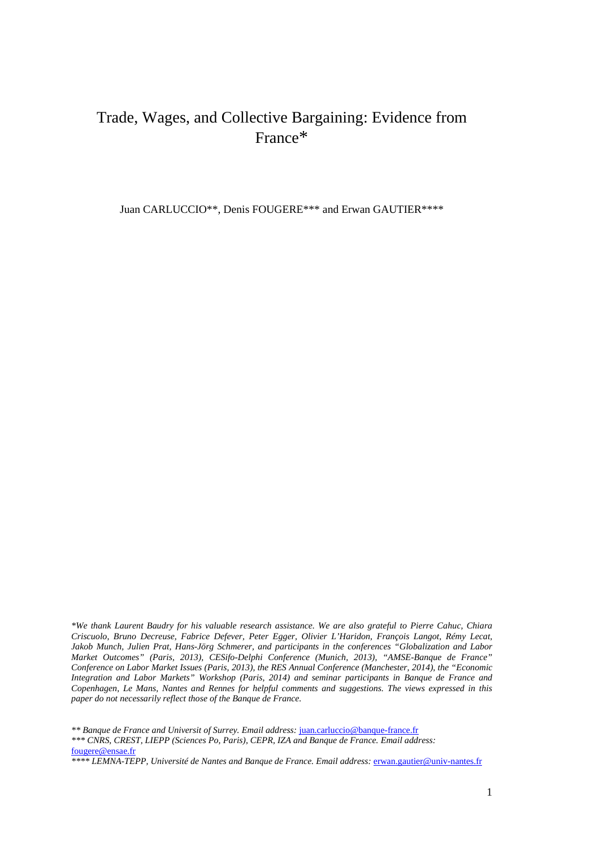# Trade, Wages, and Collective Bargaining: Evidence from France\*

Juan CARLUCCIO\*\*, Denis FOUGERE\*\*\* and Erwan GAUTIER\*\*\*\*

*\*We thank Laurent Baudry for his valuable research assistance. We are also grateful to Pierre Cahuc, Chiara Criscuolo, Bruno Decreuse, Fabrice Defever, Peter Egger, Olivier L'Haridon, François Langot, Rémy Lecat, Jakob Munch, Julien Prat, Hans-Jörg Schmerer, and participants in the conferences "Globalization and Labor Market Outcomes" (Paris, 2013), CESifo-Delphi Conference (Munich, 2013), "AMSE-Banque de France" Conference on Labor Market Issues (Paris, 2013), the RES Annual Conference (Manchester, 2014), the "Economic Integration and Labor Markets" Workshop (Paris, 2014) and seminar participants in Banque de France and Copenhagen, Le Mans, Nantes and Rennes for helpful comments and suggestions. The views expressed in this paper do not necessarily reflect those of the Banque de France.* 

*\*\* Banque de France and Universit of Surrey. Email address:* juan.carluccio@banque-france.fr *\*\*\* CNRS, CREST, LIEPP (Sciences Po, Paris), CEPR, IZA and Banque de France. Email address:*  fougere@ensae.fr *\*\*\*\* LEMNA-TEPP, Université de Nantes and Banque de France. Email address:* erwan.gautier@univ-nantes.fr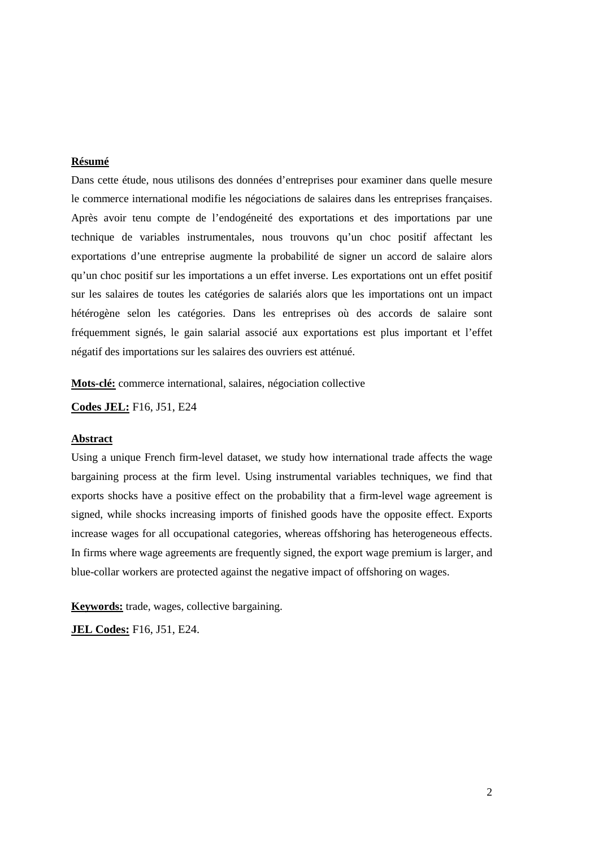# **Résumé**

Dans cette étude, nous utilisons des données d'entreprises pour examiner dans quelle mesure le commerce international modifie les négociations de salaires dans les entreprises françaises. Après avoir tenu compte de l'endogéneité des exportations et des importations par une technique de variables instrumentales, nous trouvons qu'un choc positif affectant les exportations d'une entreprise augmente la probabilité de signer un accord de salaire alors qu'un choc positif sur les importations a un effet inverse. Les exportations ont un effet positif sur les salaires de toutes les catégories de salariés alors que les importations ont un impact hétérogène selon les catégories. Dans les entreprises où des accords de salaire sont fréquemment signés, le gain salarial associé aux exportations est plus important et l'effet négatif des importations sur les salaires des ouvriers est atténué.

**Mots-clé:** commerce international, salaires, négociation collective

**Codes JEL:** F16, J51, E24

#### **Abstract**

Using a unique French firm-level dataset, we study how international trade affects the wage bargaining process at the firm level. Using instrumental variables techniques, we find that exports shocks have a positive effect on the probability that a firm-level wage agreement is signed, while shocks increasing imports of finished goods have the opposite effect. Exports increase wages for all occupational categories, whereas offshoring has heterogeneous effects. In firms where wage agreements are frequently signed, the export wage premium is larger, and blue-collar workers are protected against the negative impact of offshoring on wages.

**Keywords:** trade, wages, collective bargaining.

**JEL Codes:** F16, J51, E24.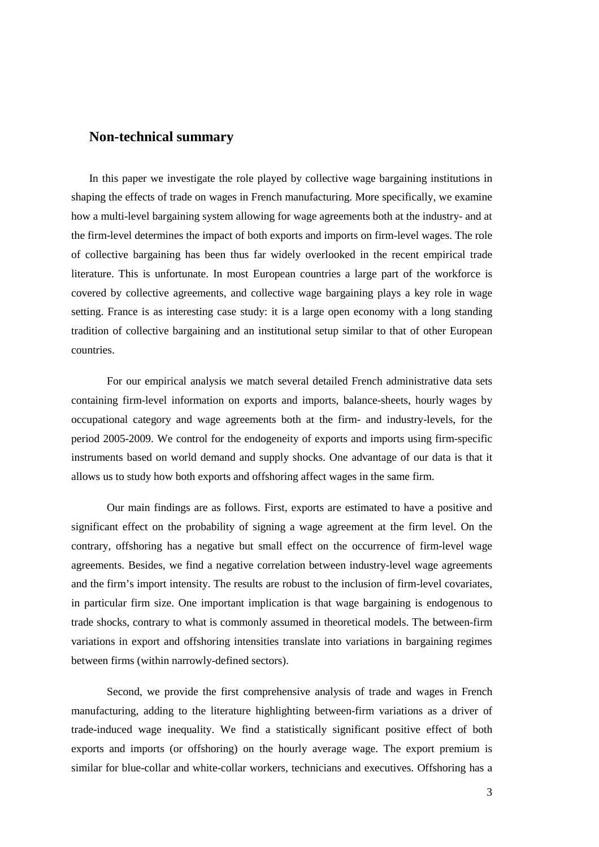# **Non-technical summary**

In this paper we investigate the role played by collective wage bargaining institutions in shaping the effects of trade on wages in French manufacturing. More specifically, we examine how a multi-level bargaining system allowing for wage agreements both at the industry- and at the firm-level determines the impact of both exports and imports on firm-level wages. The role of collective bargaining has been thus far widely overlooked in the recent empirical trade literature. This is unfortunate. In most European countries a large part of the workforce is covered by collective agreements, and collective wage bargaining plays a key role in wage setting. France is as interesting case study: it is a large open economy with a long standing tradition of collective bargaining and an institutional setup similar to that of other European countries.

For our empirical analysis we match several detailed French administrative data sets containing firm-level information on exports and imports, balance-sheets, hourly wages by occupational category and wage agreements both at the firm- and industry-levels, for the period 2005-2009. We control for the endogeneity of exports and imports using firm-specific instruments based on world demand and supply shocks. One advantage of our data is that it allows us to study how both exports and offshoring affect wages in the same firm.

Our main findings are as follows. First, exports are estimated to have a positive and significant effect on the probability of signing a wage agreement at the firm level. On the contrary, offshoring has a negative but small effect on the occurrence of firm-level wage agreements. Besides, we find a negative correlation between industry-level wage agreements and the firm's import intensity. The results are robust to the inclusion of firm-level covariates, in particular firm size. One important implication is that wage bargaining is endogenous to trade shocks, contrary to what is commonly assumed in theoretical models. The between-firm variations in export and offshoring intensities translate into variations in bargaining regimes between firms (within narrowly-defined sectors).

Second, we provide the first comprehensive analysis of trade and wages in French manufacturing, adding to the literature highlighting between-firm variations as a driver of trade-induced wage inequality. We find a statistically significant positive effect of both exports and imports (or offshoring) on the hourly average wage. The export premium is similar for blue-collar and white-collar workers, technicians and executives. Offshoring has a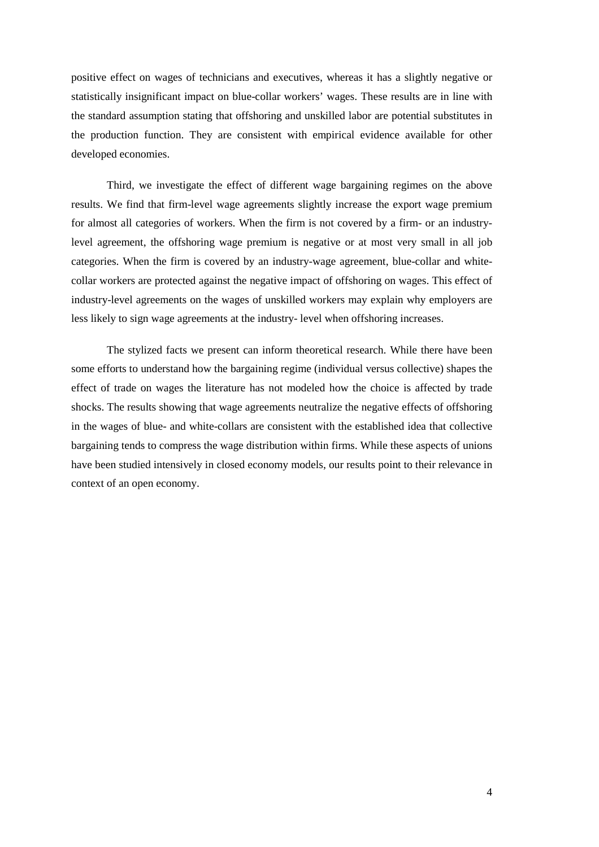positive effect on wages of technicians and executives, whereas it has a slightly negative or statistically insignificant impact on blue-collar workers' wages. These results are in line with the standard assumption stating that offshoring and unskilled labor are potential substitutes in the production function. They are consistent with empirical evidence available for other developed economies.

Third, we investigate the effect of different wage bargaining regimes on the above results. We find that firm-level wage agreements slightly increase the export wage premium for almost all categories of workers. When the firm is not covered by a firm- or an industrylevel agreement, the offshoring wage premium is negative or at most very small in all job categories. When the firm is covered by an industry-wage agreement, blue-collar and whitecollar workers are protected against the negative impact of offshoring on wages. This effect of industry-level agreements on the wages of unskilled workers may explain why employers are less likely to sign wage agreements at the industry- level when offshoring increases.

The stylized facts we present can inform theoretical research. While there have been some efforts to understand how the bargaining regime (individual versus collective) shapes the effect of trade on wages the literature has not modeled how the choice is affected by trade shocks. The results showing that wage agreements neutralize the negative effects of offshoring in the wages of blue- and white-collars are consistent with the established idea that collective bargaining tends to compress the wage distribution within firms. While these aspects of unions have been studied intensively in closed economy models, our results point to their relevance in context of an open economy.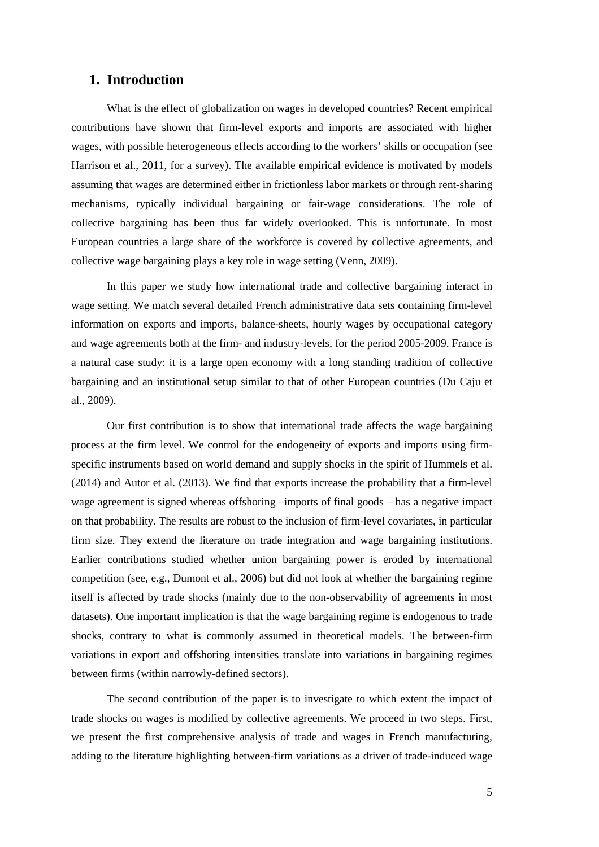## **1. Introduction**

What is the effect of globalization on wages in developed countries? Recent empirical contributions have shown that firm-level exports and imports are associated with higher wages, with possible heterogeneous effects according to the workers' skills or occupation (see Harrison et al., 2011, for a survey). The available empirical evidence is motivated by models assuming that wages are determined either in frictionless labor markets or through rent-sharing mechanisms, typically individual bargaining or fair-wage considerations. The role of collective bargaining has been thus far widely overlooked. This is unfortunate. In most European countries a large share of the workforce is covered by collective agreements, and collective wage bargaining plays a key role in wage setting (Venn, 2009).

In this paper we study how international trade and collective bargaining interact in wage setting. We match several detailed French administrative data sets containing firm-level information on exports and imports, balance-sheets, hourly wages by occupational category and wage agreements both at the firm- and industry-levels, for the period 2005-2009. France is a natural case study: it is a large open economy with a long standing tradition of collective bargaining and an institutional setup similar to that of other European countries (Du Caju et al., 2009).

Our first contribution is to show that international trade affects the wage bargaining process at the firm level. We control for the endogeneity of exports and imports using firmspecific instruments based on world demand and supply shocks in the spirit of Hummels et al. (2014) and Autor et al. (2013). We find that exports increase the probability that a firm-level wage agreement is signed whereas offshoring –imports of final goods – has a negative impact on that probability. The results are robust to the inclusion of firm-level covariates, in particular firm size. They extend the literature on trade integration and wage bargaining institutions. Earlier contributions studied whether union bargaining power is eroded by international competition (see, e.g., Dumont et al., 2006) but did not look at whether the bargaining regime itself is affected by trade shocks (mainly due to the non-observability of agreements in most datasets). One important implication is that the wage bargaining regime is endogenous to trade shocks, contrary to what is commonly assumed in theoretical models. The between-firm variations in export and offshoring intensities translate into variations in bargaining regimes between firms (within narrowly-defined sectors).

The second contribution of the paper is to investigate to which extent the impact of trade shocks on wages is modified by collective agreements. We proceed in two steps. First, we present the first comprehensive analysis of trade and wages in French manufacturing, adding to the literature highlighting between-firm variations as a driver of trade-induced wage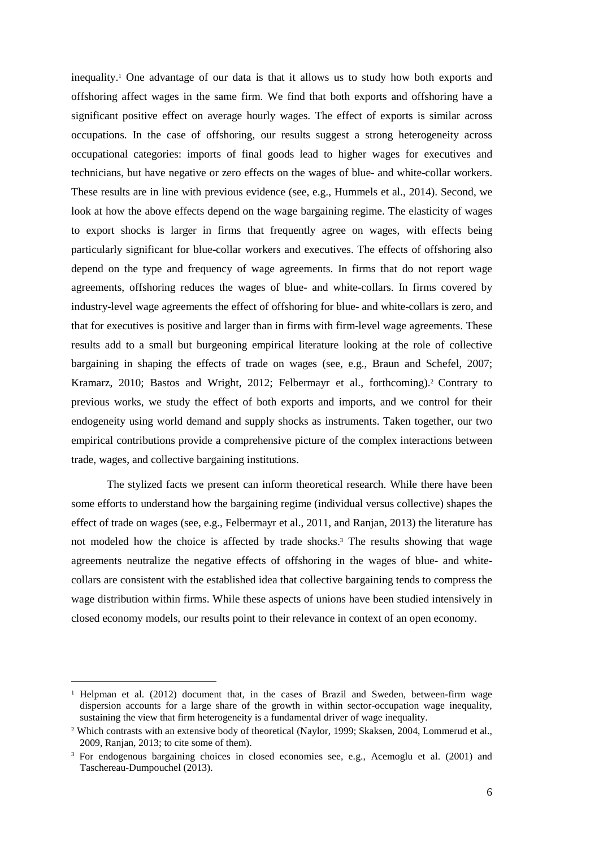inequality.<sup>1</sup> One advantage of our data is that it allows us to study how both exports and offshoring affect wages in the same firm. We find that both exports and offshoring have a significant positive effect on average hourly wages. The effect of exports is similar across occupations. In the case of offshoring, our results suggest a strong heterogeneity across occupational categories: imports of final goods lead to higher wages for executives and technicians, but have negative or zero effects on the wages of blue- and white-collar workers. These results are in line with previous evidence (see, e.g., Hummels et al., 2014). Second, we look at how the above effects depend on the wage bargaining regime. The elasticity of wages to export shocks is larger in firms that frequently agree on wages, with effects being particularly significant for blue-collar workers and executives. The effects of offshoring also depend on the type and frequency of wage agreements. In firms that do not report wage agreements, offshoring reduces the wages of blue- and white-collars. In firms covered by industry-level wage agreements the effect of offshoring for blue- and white-collars is zero, and that for executives is positive and larger than in firms with firm-level wage agreements. These results add to a small but burgeoning empirical literature looking at the role of collective bargaining in shaping the effects of trade on wages (see, e.g., Braun and Schefel, 2007; Kramarz, 2010; Bastos and Wright, 2012; Felbermayr et al., forthcoming).2 Contrary to previous works, we study the effect of both exports and imports, and we control for their endogeneity using world demand and supply shocks as instruments. Taken together, our two empirical contributions provide a comprehensive picture of the complex interactions between trade, wages, and collective bargaining institutions.

The stylized facts we present can inform theoretical research. While there have been some efforts to understand how the bargaining regime (individual versus collective) shapes the effect of trade on wages (see, e.g., Felbermayr et al., 2011, and Ranjan, 2013) the literature has not modeled how the choice is affected by trade shocks.<sup>3</sup> The results showing that wage agreements neutralize the negative effects of offshoring in the wages of blue- and whitecollars are consistent with the established idea that collective bargaining tends to compress the wage distribution within firms. While these aspects of unions have been studied intensively in closed economy models, our results point to their relevance in context of an open economy.

<sup>&</sup>lt;sup>1</sup> Helpman et al. (2012) document that, in the cases of Brazil and Sweden, between-firm wage dispersion accounts for a large share of the growth in within sector-occupation wage inequality, sustaining the view that firm heterogeneity is a fundamental driver of wage inequality.

<sup>2</sup> Which contrasts with an extensive body of theoretical (Naylor, 1999; Skaksen, 2004, Lommerud et al., 2009, Ranjan, 2013; to cite some of them).

<sup>&</sup>lt;sup>3</sup> For endogenous bargaining choices in closed economies see, e.g., Acemoglu et al. (2001) and Taschereau-Dumpouchel (2013).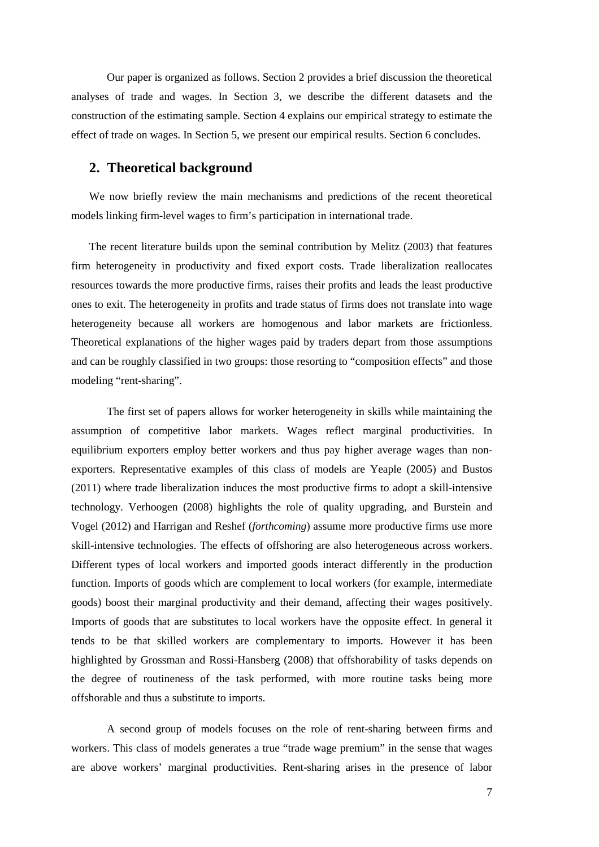Our paper is organized as follows. Section 2 provides a brief discussion the theoretical analyses of trade and wages. In Section 3, we describe the different datasets and the construction of the estimating sample. Section 4 explains our empirical strategy to estimate the effect of trade on wages. In Section 5, we present our empirical results. Section 6 concludes.

## **2. Theoretical background**

We now briefly review the main mechanisms and predictions of the recent theoretical models linking firm-level wages to firm's participation in international trade.

The recent literature builds upon the seminal contribution by Melitz (2003) that features firm heterogeneity in productivity and fixed export costs. Trade liberalization reallocates resources towards the more productive firms, raises their profits and leads the least productive ones to exit. The heterogeneity in profits and trade status of firms does not translate into wage heterogeneity because all workers are homogenous and labor markets are frictionless. Theoretical explanations of the higher wages paid by traders depart from those assumptions and can be roughly classified in two groups: those resorting to "composition effects" and those modeling "rent-sharing".

The first set of papers allows for worker heterogeneity in skills while maintaining the assumption of competitive labor markets. Wages reflect marginal productivities. In equilibrium exporters employ better workers and thus pay higher average wages than nonexporters. Representative examples of this class of models are Yeaple (2005) and Bustos (2011) where trade liberalization induces the most productive firms to adopt a skill-intensive technology. Verhoogen (2008) highlights the role of quality upgrading, and Burstein and Vogel (2012) and Harrigan and Reshef (*forthcoming*) assume more productive firms use more skill-intensive technologies. The effects of offshoring are also heterogeneous across workers. Different types of local workers and imported goods interact differently in the production function. Imports of goods which are complement to local workers (for example, intermediate goods) boost their marginal productivity and their demand, affecting their wages positively. Imports of goods that are substitutes to local workers have the opposite effect. In general it tends to be that skilled workers are complementary to imports. However it has been highlighted by Grossman and Rossi-Hansberg (2008) that offshorability of tasks depends on the degree of routineness of the task performed, with more routine tasks being more offshorable and thus a substitute to imports.

A second group of models focuses on the role of rent-sharing between firms and workers. This class of models generates a true "trade wage premium" in the sense that wages are above workers' marginal productivities. Rent-sharing arises in the presence of labor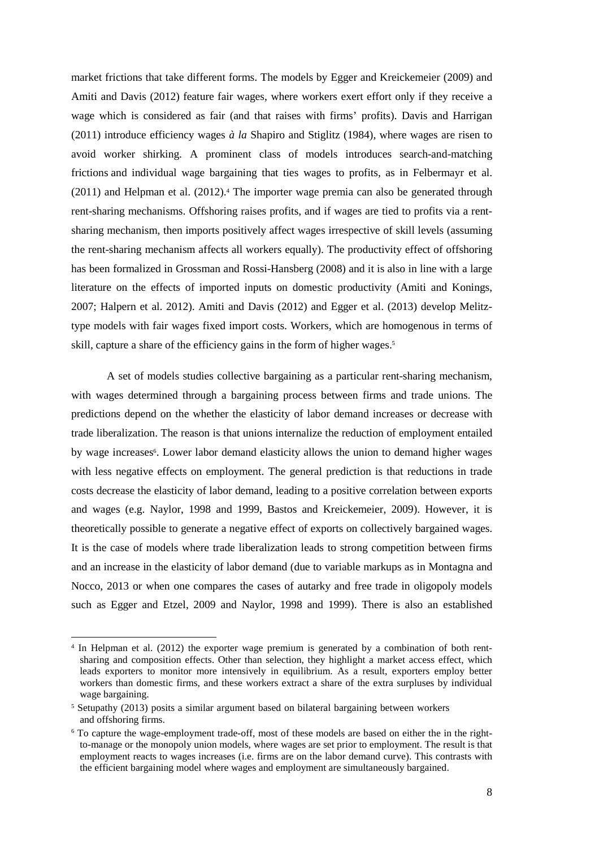market frictions that take different forms. The models by Egger and Kreickemeier (2009) and Amiti and Davis (2012) feature fair wages, where workers exert effort only if they receive a wage which is considered as fair (and that raises with firms' profits). Davis and Harrigan (2011) introduce efficiency wages *à la* Shapiro and Stiglitz (1984), where wages are risen to avoid worker shirking. A prominent class of models introduces search-and-matching frictions and individual wage bargaining that ties wages to profits, as in Felbermayr et al. (2011) and Helpman et al. (2012).<sup>4</sup> The importer wage premia can also be generated through rent-sharing mechanisms. Offshoring raises profits, and if wages are tied to profits via a rentsharing mechanism, then imports positively affect wages irrespective of skill levels (assuming the rent-sharing mechanism affects all workers equally). The productivity effect of offshoring has been formalized in Grossman and Rossi-Hansberg (2008) and it is also in line with a large literature on the effects of imported inputs on domestic productivity (Amiti and Konings, 2007; Halpern et al. 2012). Amiti and Davis (2012) and Egger et al. (2013) develop Melitztype models with fair wages fixed import costs. Workers, which are homogenous in terms of skill, capture a share of the efficiency gains in the form of higher wages.<sup>5</sup>

A set of models studies collective bargaining as a particular rent-sharing mechanism, with wages determined through a bargaining process between firms and trade unions. The predictions depend on the whether the elasticity of labor demand increases or decrease with trade liberalization. The reason is that unions internalize the reduction of employment entailed by wage increases<sup>6</sup>. Lower labor demand elasticity allows the union to demand higher wages with less negative effects on employment. The general prediction is that reductions in trade costs decrease the elasticity of labor demand, leading to a positive correlation between exports and wages (e.g. Naylor, 1998 and 1999, Bastos and Kreickemeier, 2009). However, it is theoretically possible to generate a negative effect of exports on collectively bargained wages. It is the case of models where trade liberalization leads to strong competition between firms and an increase in the elasticity of labor demand (due to variable markups as in Montagna and Nocco, 2013 or when one compares the cases of autarky and free trade in oligopoly models such as Egger and Etzel, 2009 and Naylor, 1998 and 1999). There is also an established

<sup>4</sup> In Helpman et al. (2012) the exporter wage premium is generated by a combination of both rentsharing and composition effects. Other than selection, they highlight a market access effect, which leads exporters to monitor more intensively in equilibrium. As a result, exporters employ better workers than domestic firms, and these workers extract a share of the extra surpluses by individual wage bargaining.

<sup>5</sup> Setupathy (2013) posits a similar argument based on bilateral bargaining between workers and offshoring firms.

<sup>6</sup> To capture the wage-employment trade-off, most of these models are based on either the in the rightto-manage or the monopoly union models, where wages are set prior to employment. The result is that employment reacts to wages increases (i.e. firms are on the labor demand curve). This contrasts with the efficient bargaining model where wages and employment are simultaneously bargained.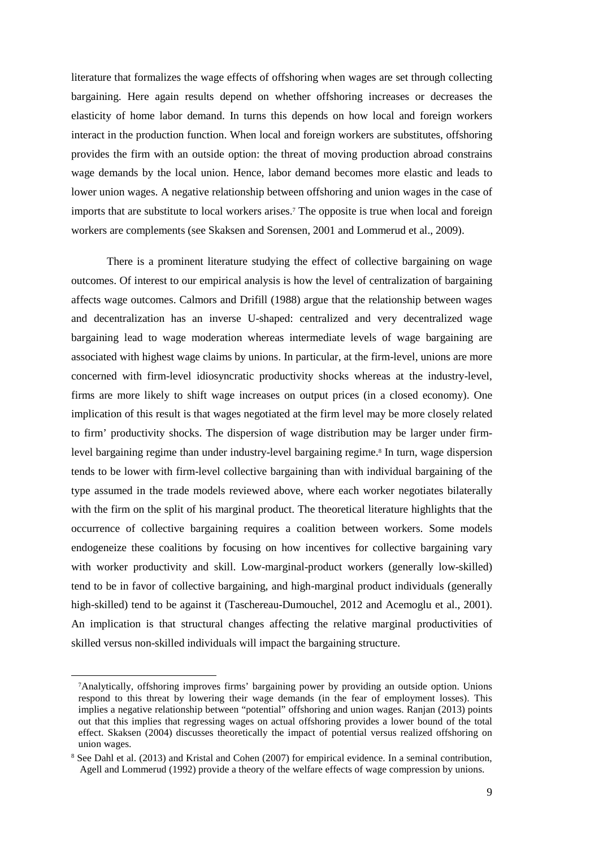literature that formalizes the wage effects of offshoring when wages are set through collecting bargaining. Here again results depend on whether offshoring increases or decreases the elasticity of home labor demand. In turns this depends on how local and foreign workers interact in the production function. When local and foreign workers are substitutes, offshoring provides the firm with an outside option: the threat of moving production abroad constrains wage demands by the local union. Hence, labor demand becomes more elastic and leads to lower union wages. A negative relationship between offshoring and union wages in the case of imports that are substitute to local workers arises. 7 The opposite is true when local and foreign workers are complements (see Skaksen and Sorensen, 2001 and Lommerud et al., 2009).

There is a prominent literature studying the effect of collective bargaining on wage outcomes. Of interest to our empirical analysis is how the level of centralization of bargaining affects wage outcomes. Calmors and Drifill (1988) argue that the relationship between wages and decentralization has an inverse U-shaped: centralized and very decentralized wage bargaining lead to wage moderation whereas intermediate levels of wage bargaining are associated with highest wage claims by unions. In particular, at the firm-level, unions are more concerned with firm-level idiosyncratic productivity shocks whereas at the industry-level, firms are more likely to shift wage increases on output prices (in a closed economy). One implication of this result is that wages negotiated at the firm level may be more closely related to firm' productivity shocks. The dispersion of wage distribution may be larger under firmlevel bargaining regime than under industry-level bargaining regime.<sup>8</sup> In turn, wage dispersion tends to be lower with firm-level collective bargaining than with individual bargaining of the type assumed in the trade models reviewed above, where each worker negotiates bilaterally with the firm on the split of his marginal product. The theoretical literature highlights that the occurrence of collective bargaining requires a coalition between workers. Some models endogeneize these coalitions by focusing on how incentives for collective bargaining vary with worker productivity and skill. Low-marginal-product workers (generally low-skilled) tend to be in favor of collective bargaining, and high-marginal product individuals (generally high-skilled) tend to be against it (Taschereau-Dumouchel, 2012 and Acemoglu et al., 2001). An implication is that structural changes affecting the relative marginal productivities of skilled versus non-skilled individuals will impact the bargaining structure.

<sup>7</sup>Analytically, offshoring improves firms' bargaining power by providing an outside option. Unions respond to this threat by lowering their wage demands (in the fear of employment losses). This implies a negative relationship between "potential" offshoring and union wages. Ranjan (2013) points out that this implies that regressing wages on actual offshoring provides a lower bound of the total effect. Skaksen (2004) discusses theoretically the impact of potential versus realized offshoring on union wages.

<sup>8</sup> See Dahl et al. (2013) and Kristal and Cohen (2007) for empirical evidence. In a seminal contribution, Agell and Lommerud (1992) provide a theory of the welfare effects of wage compression by unions.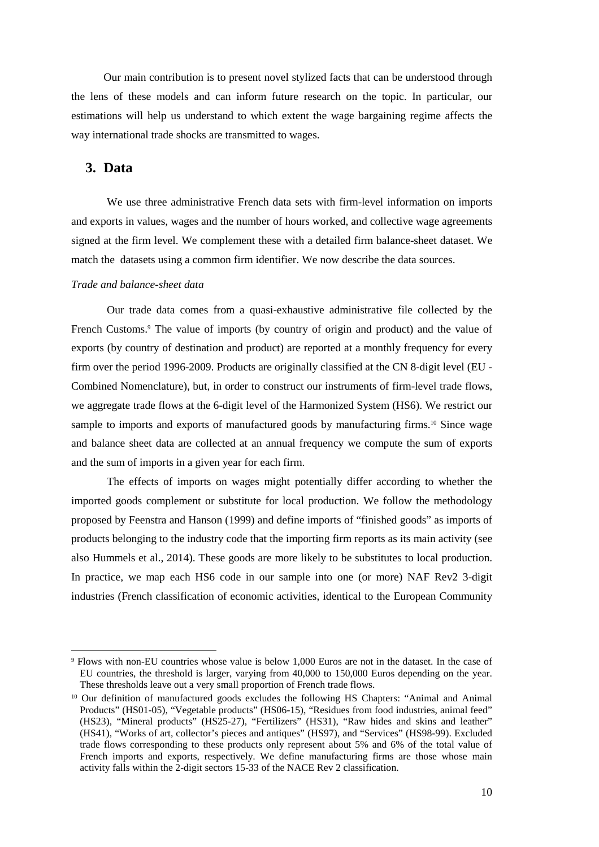Our main contribution is to present novel stylized facts that can be understood through the lens of these models and can inform future research on the topic. In particular, our estimations will help us understand to which extent the wage bargaining regime affects the way international trade shocks are transmitted to wages.

### **3. Data**

 $\overline{a}$ 

We use three administrative French data sets with firm-level information on imports and exports in values, wages and the number of hours worked, and collective wage agreements signed at the firm level. We complement these with a detailed firm balance-sheet dataset. We match the datasets using a common firm identifier. We now describe the data sources.

#### *Trade and balance-sheet data*

Our trade data comes from a quasi-exhaustive administrative file collected by the French Customs.<sup>9</sup> The value of imports (by country of origin and product) and the value of exports (by country of destination and product) are reported at a monthly frequency for every firm over the period 1996-2009. Products are originally classified at the CN 8-digit level (EU - Combined Nomenclature), but, in order to construct our instruments of firm-level trade flows, we aggregate trade flows at the 6-digit level of the Harmonized System (HS6). We restrict our sample to imports and exports of manufactured goods by manufacturing firms.<sup>10</sup> Since wage and balance sheet data are collected at an annual frequency we compute the sum of exports and the sum of imports in a given year for each firm.

The effects of imports on wages might potentially differ according to whether the imported goods complement or substitute for local production. We follow the methodology proposed by Feenstra and Hanson (1999) and define imports of "finished goods" as imports of products belonging to the industry code that the importing firm reports as its main activity (see also Hummels et al., 2014). These goods are more likely to be substitutes to local production. In practice, we map each HS6 code in our sample into one (or more) NAF Rev2 3-digit industries (French classification of economic activities, identical to the European Community

<sup>9</sup> Flows with non-EU countries whose value is below 1,000 Euros are not in the dataset. In the case of EU countries, the threshold is larger, varying from 40,000 to 150,000 Euros depending on the year. These thresholds leave out a very small proportion of French trade flows.

<sup>&</sup>lt;sup>10</sup> Our definition of manufactured goods excludes the following HS Chapters: "Animal and Animal" Products" (HS01-05), "Vegetable products" (HS06-15), "Residues from food industries, animal feed" (HS23), "Mineral products" (HS25-27), "Fertilizers" (HS31), "Raw hides and skins and leather" (HS41), "Works of art, collector's pieces and antiques" (HS97), and "Services" (HS98-99). Excluded trade flows corresponding to these products only represent about 5% and 6% of the total value of French imports and exports, respectively. We define manufacturing firms are those whose main activity falls within the 2-digit sectors 15-33 of the NACE Rev 2 classification.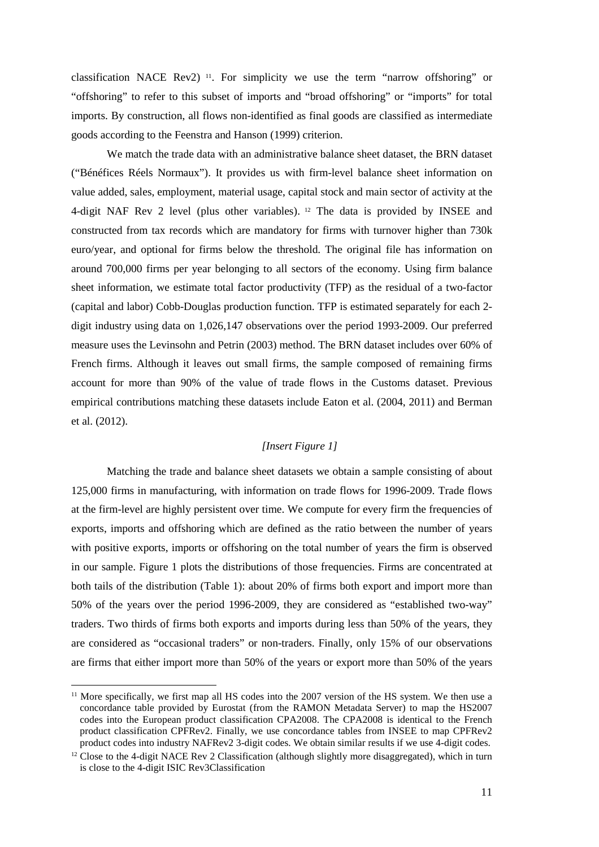classification NACE Rev2)<sup>11</sup>. For simplicity we use the term "narrow offshoring" or "offshoring" to refer to this subset of imports and "broad offshoring" or "imports" for total imports. By construction, all flows non-identified as final goods are classified as intermediate goods according to the Feenstra and Hanson (1999) criterion.

We match the trade data with an administrative balance sheet dataset, the BRN dataset ("Bénéfices Réels Normaux"). It provides us with firm-level balance sheet information on value added, sales, employment, material usage, capital stock and main sector of activity at the 4-digit NAF Rev 2 level (plus other variables).  $12$  The data is provided by INSEE and constructed from tax records which are mandatory for firms with turnover higher than 730k euro/year, and optional for firms below the threshold. The original file has information on around 700,000 firms per year belonging to all sectors of the economy. Using firm balance sheet information, we estimate total factor productivity (TFP) as the residual of a two-factor (capital and labor) Cobb-Douglas production function. TFP is estimated separately for each 2 digit industry using data on 1,026,147 observations over the period 1993-2009. Our preferred measure uses the Levinsohn and Petrin (2003) method. The BRN dataset includes over 60% of French firms. Although it leaves out small firms, the sample composed of remaining firms account for more than 90% of the value of trade flows in the Customs dataset. Previous empirical contributions matching these datasets include Eaton et al. (2004, 2011) and Berman et al. (2012).

## *[Insert Figure 1]*

Matching the trade and balance sheet datasets we obtain a sample consisting of about 125,000 firms in manufacturing, with information on trade flows for 1996-2009. Trade flows at the firm-level are highly persistent over time. We compute for every firm the frequencies of exports, imports and offshoring which are defined as the ratio between the number of years with positive exports, imports or offshoring on the total number of years the firm is observed in our sample. Figure 1 plots the distributions of those frequencies. Firms are concentrated at both tails of the distribution (Table 1): about 20% of firms both export and import more than 50% of the years over the period 1996-2009, they are considered as "established two-way" traders. Two thirds of firms both exports and imports during less than 50% of the years, they are considered as "occasional traders" or non-traders. Finally, only 15% of our observations are firms that either import more than 50% of the years or export more than 50% of the years

<sup>&</sup>lt;sup>11</sup> More specifically, we first map all HS codes into the 2007 version of the HS system. We then use a concordance table provided by Eurostat (from the RAMON Metadata Server) to map the HS2007 codes into the European product classification CPA2008. The CPA2008 is identical to the French product classification CPFRev2. Finally, we use concordance tables from INSEE to map CPFRev2 product codes into industry NAFRev2 3-digit codes. We obtain similar results if we use 4-digit codes.

 $12$  Close to the 4-digit NACE Rev 2 Classification (although slightly more disaggregated), which in turn is close to the 4-digit ISIC Rev3Classification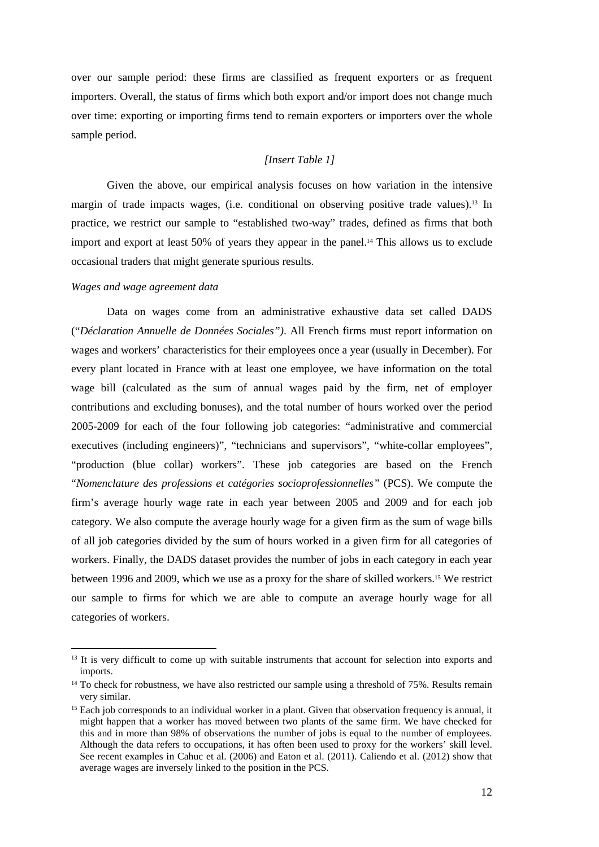over our sample period: these firms are classified as frequent exporters or as frequent importers. Overall, the status of firms which both export and/or import does not change much over time: exporting or importing firms tend to remain exporters or importers over the whole sample period.

### *[Insert Table 1]*

Given the above, our empirical analysis focuses on how variation in the intensive margin of trade impacts wages, (i.e. conditional on observing positive trade values).<sup>13</sup> In practice, we restrict our sample to "established two-way" trades, defined as firms that both import and export at least 50% of years they appear in the panel.14 This allows us to exclude occasional traders that might generate spurious results.

#### *Wages and wage agreement data*

 $\overline{a}$ 

Data on wages come from an administrative exhaustive data set called DADS ("*Déclaration Annuelle de Données Sociales")*. All French firms must report information on wages and workers' characteristics for their employees once a year (usually in December). For every plant located in France with at least one employee, we have information on the total wage bill (calculated as the sum of annual wages paid by the firm, net of employer contributions and excluding bonuses), and the total number of hours worked over the period 2005-2009 for each of the four following job categories: "administrative and commercial executives (including engineers)", "technicians and supervisors", "white-collar employees", "production (blue collar) workers". These job categories are based on the French "*Nomenclature des professions et catégories socioprofessionnelles"* (PCS). We compute the firm's average hourly wage rate in each year between 2005 and 2009 and for each job category. We also compute the average hourly wage for a given firm as the sum of wage bills of all job categories divided by the sum of hours worked in a given firm for all categories of workers. Finally, the DADS dataset provides the number of jobs in each category in each year between 1996 and 2009, which we use as a proxy for the share of skilled workers.15 We restrict our sample to firms for which we are able to compute an average hourly wage for all categories of workers.

<sup>&</sup>lt;sup>13</sup> It is very difficult to come up with suitable instruments that account for selection into exports and imports.

 $14$  To check for robustness, we have also restricted our sample using a threshold of 75%. Results remain very similar.

<sup>&</sup>lt;sup>15</sup> Each job corresponds to an individual worker in a plant. Given that observation frequency is annual, it might happen that a worker has moved between two plants of the same firm. We have checked for this and in more than 98% of observations the number of jobs is equal to the number of employees. Although the data refers to occupations, it has often been used to proxy for the workers' skill level. See recent examples in Cahuc et al. (2006) and Eaton et al. (2011). Caliendo et al. (2012) show that average wages are inversely linked to the position in the PCS.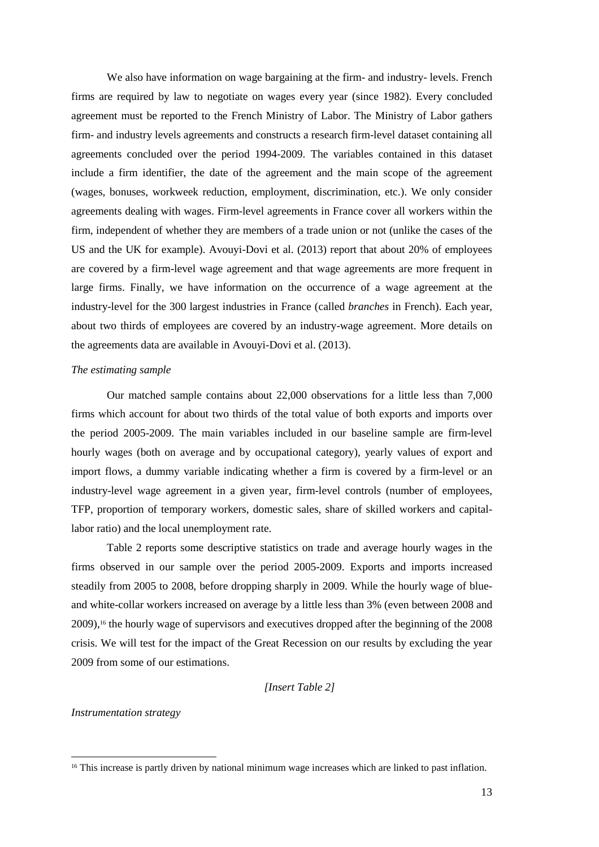We also have information on wage bargaining at the firm- and industry- levels. French firms are required by law to negotiate on wages every year (since 1982). Every concluded agreement must be reported to the French Ministry of Labor. The Ministry of Labor gathers firm- and industry levels agreements and constructs a research firm-level dataset containing all agreements concluded over the period 1994-2009. The variables contained in this dataset include a firm identifier, the date of the agreement and the main scope of the agreement (wages, bonuses, workweek reduction, employment, discrimination, etc.). We only consider agreements dealing with wages. Firm-level agreements in France cover all workers within the firm, independent of whether they are members of a trade union or not (unlike the cases of the US and the UK for example). Avouyi-Dovi et al. (2013) report that about 20% of employees are covered by a firm-level wage agreement and that wage agreements are more frequent in large firms. Finally, we have information on the occurrence of a wage agreement at the industry-level for the 300 largest industries in France (called *branches* in French). Each year, about two thirds of employees are covered by an industry-wage agreement. More details on the agreements data are available in Avouyi-Dovi et al. (2013).

#### *The estimating sample*

Our matched sample contains about 22,000 observations for a little less than 7,000 firms which account for about two thirds of the total value of both exports and imports over the period 2005-2009. The main variables included in our baseline sample are firm-level hourly wages (both on average and by occupational category), yearly values of export and import flows, a dummy variable indicating whether a firm is covered by a firm-level or an industry-level wage agreement in a given year, firm-level controls (number of employees, TFP, proportion of temporary workers, domestic sales, share of skilled workers and capitallabor ratio) and the local unemployment rate.

Table 2 reports some descriptive statistics on trade and average hourly wages in the firms observed in our sample over the period 2005-2009. Exports and imports increased steadily from 2005 to 2008, before dropping sharply in 2009. While the hourly wage of blueand white-collar workers increased on average by a little less than 3% (even between 2008 and 2009),16 the hourly wage of supervisors and executives dropped after the beginning of the 2008 crisis. We will test for the impact of the Great Recession on our results by excluding the year 2009 from some of our estimations.

### *[Insert Table 2]*

*Instrumentation strategy* 

<sup>&</sup>lt;sup>16</sup> This increase is partly driven by national minimum wage increases which are linked to past inflation.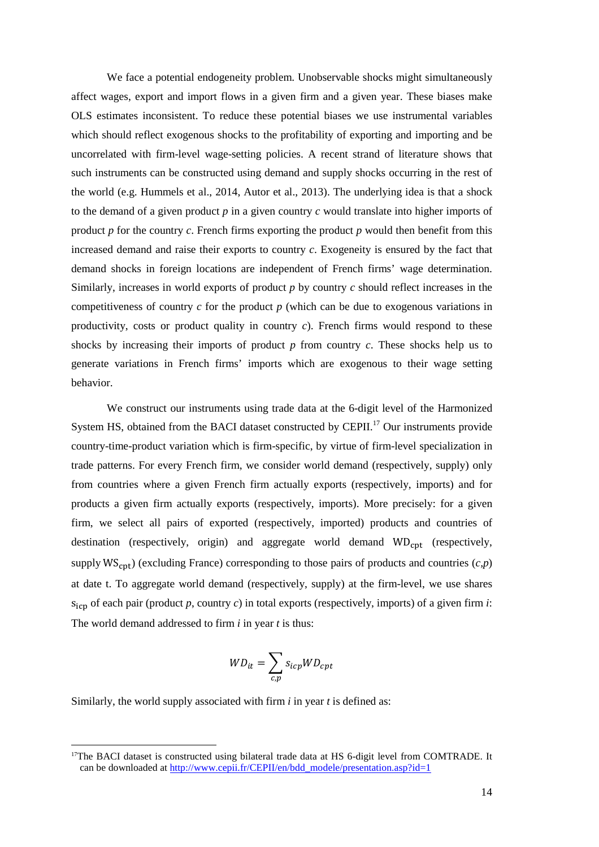We face a potential endogeneity problem. Unobservable shocks might simultaneously affect wages, export and import flows in a given firm and a given year. These biases make OLS estimates inconsistent. To reduce these potential biases we use instrumental variables which should reflect exogenous shocks to the profitability of exporting and importing and be uncorrelated with firm-level wage-setting policies. A recent strand of literature shows that such instruments can be constructed using demand and supply shocks occurring in the rest of the world (e.g. Hummels et al., 2014, Autor et al., 2013). The underlying idea is that a shock to the demand of a given product  $p$  in a given country  $c$  would translate into higher imports of product *p* for the country *c*. French firms exporting the product *p* would then benefit from this increased demand and raise their exports to country *c*. Exogeneity is ensured by the fact that demand shocks in foreign locations are independent of French firms' wage determination. Similarly, increases in world exports of product *p* by country *c* should reflect increases in the competitiveness of country *c* for the product *p* (which can be due to exogenous variations in productivity, costs or product quality in country *c*). French firms would respond to these shocks by increasing their imports of product  $p$  from country  $c$ . These shocks help us to generate variations in French firms' imports which are exogenous to their wage setting behavior.

We construct our instruments using trade data at the 6-digit level of the Harmonized System HS, obtained from the BACI dataset constructed by CEPII.<sup>17</sup> Our instruments provide country-time-product variation which is firm-specific, by virtue of firm-level specialization in trade patterns. For every French firm, we consider world demand (respectively, supply) only from countries where a given French firm actually exports (respectively, imports) and for products a given firm actually exports (respectively, imports). More precisely: for a given firm, we select all pairs of exported (respectively, imported) products and countries of destination (respectively, origin) and aggregate world demand  $WD_{\text{cpt}}$  (respectively, supply  $WS_{\text{cpt}}$ ) (excluding France) corresponding to those pairs of products and countries  $(c,p)$ at date t. To aggregate world demand (respectively, supply) at the firm-level, we use shares  $S<sub>ion</sub>$  of each pair (product *p*, country *c*) in total exports (respectively, imports) of a given firm *i*: The world demand addressed to firm *i* in year *t* is thus:

$$
WD_{it} = \sum_{c,p} s_{icp} WD_{cpt}
$$

Similarly, the world supply associated with firm *i* in year *t* is defined as:

<sup>&</sup>lt;sup>17</sup>The BACI dataset is constructed using bilateral trade data at HS 6-digit level from COMTRADE. It can be downloaded at http://www.cepii.fr/CEPII/en/bdd\_modele/presentation.asp?id=1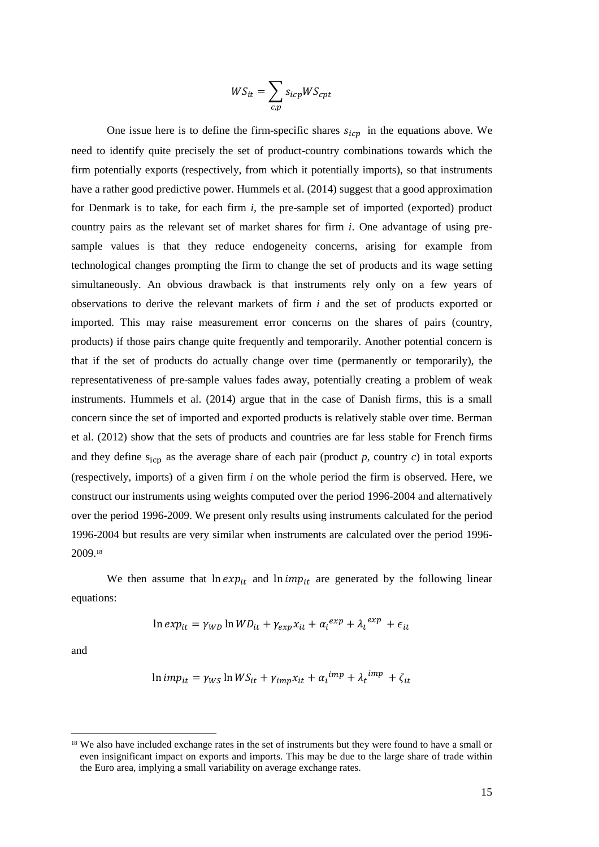$$
WS_{it} = \sum_{c,p} s_{icp} WS_{cpt}
$$

One issue here is to define the firm-specific shares  $s_{icp}$  in the equations above. We need to identify quite precisely the set of product-country combinations towards which the firm potentially exports (respectively, from which it potentially imports), so that instruments have a rather good predictive power. Hummels et al. (2014) suggest that a good approximation for Denmark is to take, for each firm *i,* the pre-sample set of imported (exported) product country pairs as the relevant set of market shares for firm *i*. One advantage of using presample values is that they reduce endogeneity concerns, arising for example from technological changes prompting the firm to change the set of products and its wage setting simultaneously. An obvious drawback is that instruments rely only on a few years of observations to derive the relevant markets of firm *i* and the set of products exported or imported. This may raise measurement error concerns on the shares of pairs (country, products) if those pairs change quite frequently and temporarily. Another potential concern is that if the set of products do actually change over time (permanently or temporarily), the representativeness of pre-sample values fades away, potentially creating a problem of weak instruments. Hummels et al. (2014) argue that in the case of Danish firms, this is a small concern since the set of imported and exported products is relatively stable over time. Berman et al. (2012) show that the sets of products and countries are far less stable for French firms and they define  $s<sub>ion</sub>$  as the average share of each pair (product *p*, country *c*) in total exports (respectively, imports) of a given firm *i* on the whole period the firm is observed. Here, we construct our instruments using weights computed over the period 1996-2004 and alternatively over the period 1996-2009. We present only results using instruments calculated for the period 1996-2004 but results are very similar when instruments are calculated over the period 1996- 2009.<sup>18</sup>

We then assume that  $\ln exp_{it}$  and  $\ln imp_{it}$  are generated by the following linear equations:

$$
\ln \exp_{it} = \gamma_{WD} \ln WD_{it} + \gamma_{exp} x_{it} + \alpha_i^{exp} + \lambda_t^{exp} + \epsilon_{it}
$$

and

$$
\ln imp_{it} = \gamma_{WS} \ln WS_{it} + \gamma_{imp} x_{it} + \alpha_i^{imp} + \lambda_t^{imp} + \zeta_{it}
$$

<sup>&</sup>lt;sup>18</sup> We also have included exchange rates in the set of instruments but they were found to have a small or even insignificant impact on exports and imports. This may be due to the large share of trade within the Euro area, implying a small variability on average exchange rates.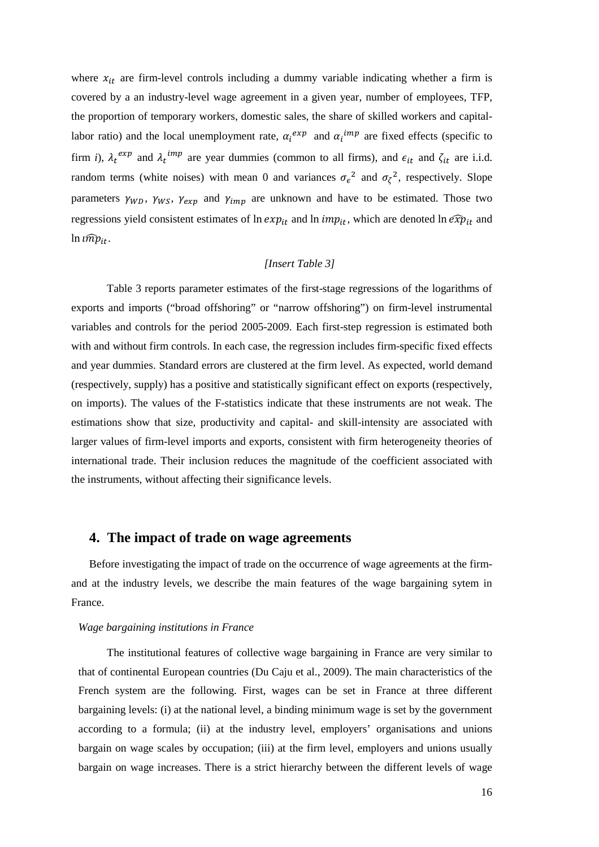where  $x_{it}$  are firm-level controls including a dummy variable indicating whether a firm is covered by a an industry-level wage agreement in a given year, number of employees, TFP, the proportion of temporary workers, domestic sales, the share of skilled workers and capitallabor ratio) and the local unemployment rate,  $\alpha_i^{exp}$  and  $\alpha_i^{imp}$  are fixed effects (specific to firm *i*),  $\lambda_t^{exp}$  and  $\lambda_t^{imp}$  are year dummies (common to all firms), and  $\epsilon_{it}$  and  $\zeta_{it}$  are i.i.d. random terms (white noises) with mean 0 and variances  $\sigma_{\epsilon}^2$  and  $\sigma_{\zeta}^2$ , respectively. Slope parameters  $\gamma_{WD}, \gamma_{WS}, \gamma_{exp}$  and  $\gamma_{imp}$  are unknown and have to be estimated. Those two regressions yield consistent estimates of  $\ln exp_{it}$  and  $\ln imp_{it}$ , which are denoted  $\ln exp_{it}$  and  $\ln \iota \widehat{m} p_{it}.$ 

# *[Insert Table 3]*

Table 3 reports parameter estimates of the first-stage regressions of the logarithms of exports and imports ("broad offshoring" or "narrow offshoring") on firm-level instrumental variables and controls for the period 2005-2009. Each first-step regression is estimated both with and without firm controls. In each case, the regression includes firm-specific fixed effects and year dummies. Standard errors are clustered at the firm level. As expected, world demand (respectively, supply) has a positive and statistically significant effect on exports (respectively, on imports). The values of the F-statistics indicate that these instruments are not weak. The estimations show that size, productivity and capital- and skill-intensity are associated with larger values of firm-level imports and exports, consistent with firm heterogeneity theories of international trade. Their inclusion reduces the magnitude of the coefficient associated with the instruments, without affecting their significance levels.

# **4. The impact of trade on wage agreements**

Before investigating the impact of trade on the occurrence of wage agreements at the firmand at the industry levels, we describe the main features of the wage bargaining sytem in France.

#### *Wage bargaining institutions in France*

The institutional features of collective wage bargaining in France are very similar to that of continental European countries (Du Caju et al., 2009). The main characteristics of the French system are the following. First, wages can be set in France at three different bargaining levels: (i) at the national level, a binding minimum wage is set by the government according to a formula; (ii) at the industry level, employers' organisations and unions bargain on wage scales by occupation; (iii) at the firm level, employers and unions usually bargain on wage increases. There is a strict hierarchy between the different levels of wage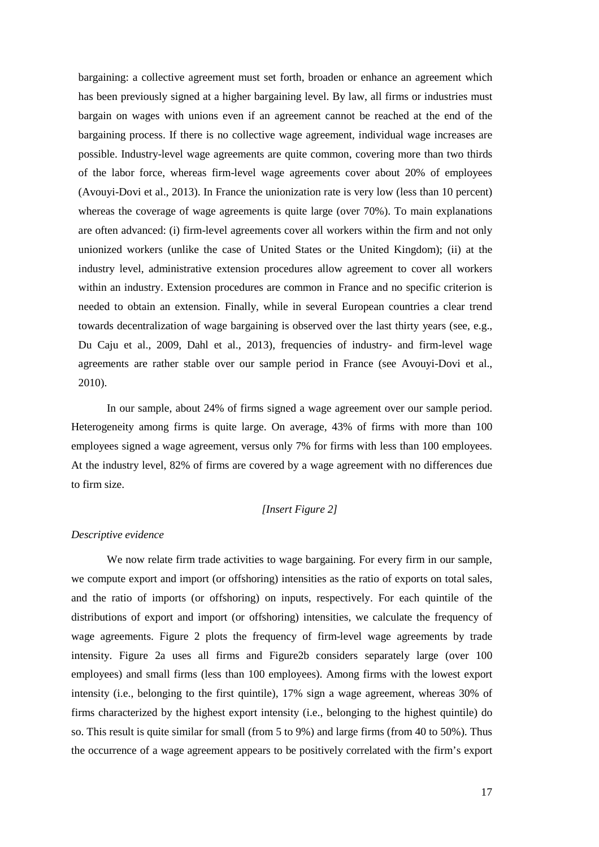bargaining: a collective agreement must set forth, broaden or enhance an agreement which has been previously signed at a higher bargaining level. By law, all firms or industries must bargain on wages with unions even if an agreement cannot be reached at the end of the bargaining process. If there is no collective wage agreement, individual wage increases are possible. Industry-level wage agreements are quite common, covering more than two thirds of the labor force, whereas firm-level wage agreements cover about 20% of employees (Avouyi-Dovi et al., 2013). In France the unionization rate is very low (less than 10 percent) whereas the coverage of wage agreements is quite large (over 70%). To main explanations are often advanced: (i) firm-level agreements cover all workers within the firm and not only unionized workers (unlike the case of United States or the United Kingdom); (ii) at the industry level, administrative extension procedures allow agreement to cover all workers within an industry. Extension procedures are common in France and no specific criterion is needed to obtain an extension. Finally, while in several European countries a clear trend towards decentralization of wage bargaining is observed over the last thirty years (see, e.g., Du Caju et al., 2009, Dahl et al., 2013), frequencies of industry- and firm-level wage agreements are rather stable over our sample period in France (see Avouyi-Dovi et al., 2010).

In our sample, about 24% of firms signed a wage agreement over our sample period. Heterogeneity among firms is quite large. On average, 43% of firms with more than 100 employees signed a wage agreement, versus only 7% for firms with less than 100 employees. At the industry level, 82% of firms are covered by a wage agreement with no differences due to firm size.

#### *[Insert Figure 2]*

#### *Descriptive evidence*

We now relate firm trade activities to wage bargaining. For every firm in our sample, we compute export and import (or offshoring) intensities as the ratio of exports on total sales, and the ratio of imports (or offshoring) on inputs, respectively. For each quintile of the distributions of export and import (or offshoring) intensities, we calculate the frequency of wage agreements. Figure 2 plots the frequency of firm-level wage agreements by trade intensity. Figure 2a uses all firms and Figure2b considers separately large (over 100 employees) and small firms (less than 100 employees). Among firms with the lowest export intensity (i.e., belonging to the first quintile), 17% sign a wage agreement, whereas 30% of firms characterized by the highest export intensity (i.e., belonging to the highest quintile) do so. This result is quite similar for small (from 5 to 9%) and large firms (from 40 to 50%). Thus the occurrence of a wage agreement appears to be positively correlated with the firm's export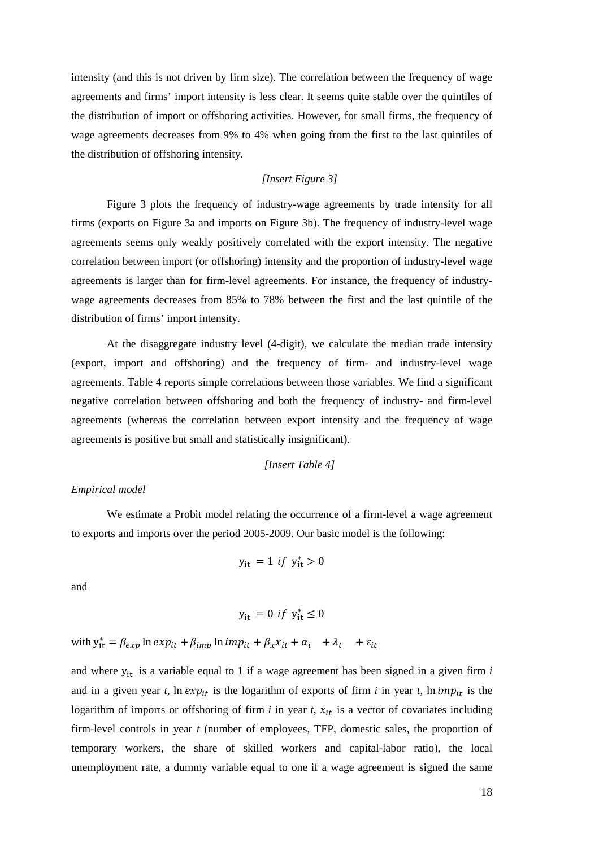intensity (and this is not driven by firm size). The correlation between the frequency of wage agreements and firms' import intensity is less clear. It seems quite stable over the quintiles of the distribution of import or offshoring activities. However, for small firms, the frequency of wage agreements decreases from 9% to 4% when going from the first to the last quintiles of the distribution of offshoring intensity.

### *[Insert Figure 3]*

Figure 3 plots the frequency of industry-wage agreements by trade intensity for all firms (exports on Figure 3a and imports on Figure 3b). The frequency of industry-level wage agreements seems only weakly positively correlated with the export intensity. The negative correlation between import (or offshoring) intensity and the proportion of industry-level wage agreements is larger than for firm-level agreements. For instance, the frequency of industrywage agreements decreases from 85% to 78% between the first and the last quintile of the distribution of firms' import intensity.

At the disaggregate industry level (4-digit), we calculate the median trade intensity (export, import and offshoring) and the frequency of firm- and industry-level wage agreements. Table 4 reports simple correlations between those variables. We find a significant negative correlation between offshoring and both the frequency of industry- and firm-level agreements (whereas the correlation between export intensity and the frequency of wage agreements is positive but small and statistically insignificant).

#### *[Insert Table 4]*

#### *Empirical model*

We estimate a Probit model relating the occurrence of a firm-level a wage agreement to exports and imports over the period 2005-2009. Our basic model is the following:

$$
y_{it} = 1 \text{ if } y_{it}^* > 0
$$

and

$$
y_{it} = 0 \text{ if } y_{it}^* \le 0
$$

with 
$$
y_{it}^* = \beta_{exp} \ln exp_{it} + \beta_{imp} \ln imp_{it} + \beta_x x_{it} + \alpha_i + \lambda_t + \varepsilon_{it}
$$

and where  $y_{it}$  is a variable equal to 1 if a wage agreement has been signed in a given firm  $i$ and in a given year *t*, ln  $exp_{it}$  is the logarithm of exports of firm *i* in year *t*, ln  $imp_{it}$  is the logarithm of imports or offshoring of firm  $i$  in year  $t$ ,  $x_{it}$  is a vector of covariates including firm-level controls in year *t* (number of employees, TFP, domestic sales, the proportion of temporary workers, the share of skilled workers and capital-labor ratio), the local unemployment rate, a dummy variable equal to one if a wage agreement is signed the same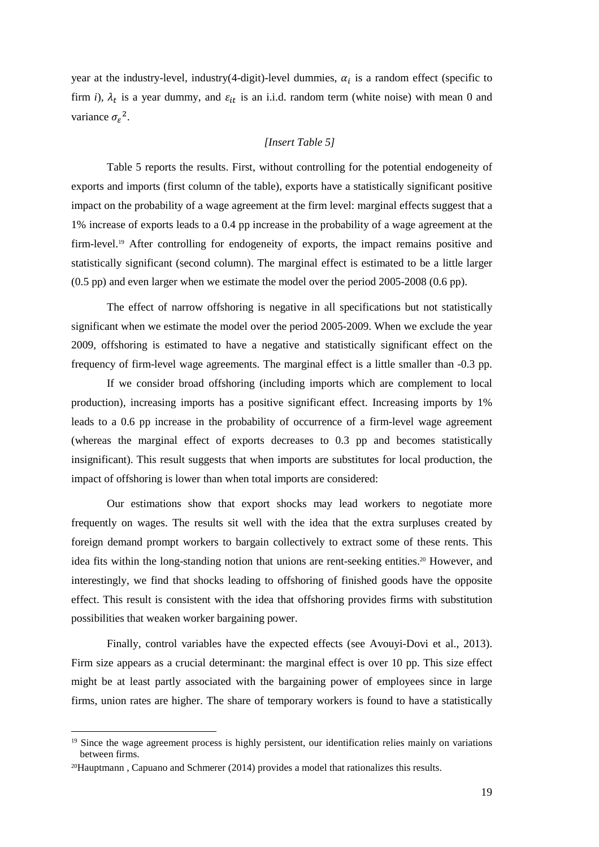year at the industry-level, industry(4-digit)-level dummies,  $\alpha_i$  is a random effect (specific to firm *i*),  $\lambda_t$  is a year dummy, and  $\varepsilon_{it}$  is an i.i.d. random term (white noise) with mean 0 and variance  $\sigma_{\varepsilon}^2$ .

#### *[Insert Table 5]*

Table 5 reports the results. First, without controlling for the potential endogeneity of exports and imports (first column of the table), exports have a statistically significant positive impact on the probability of a wage agreement at the firm level: marginal effects suggest that a 1% increase of exports leads to a 0.4 pp increase in the probability of a wage agreement at the firm-level.19 After controlling for endogeneity of exports, the impact remains positive and statistically significant (second column). The marginal effect is estimated to be a little larger (0.5 pp) and even larger when we estimate the model over the period 2005-2008 (0.6 pp).

The effect of narrow offshoring is negative in all specifications but not statistically significant when we estimate the model over the period 2005-2009. When we exclude the year 2009, offshoring is estimated to have a negative and statistically significant effect on the frequency of firm-level wage agreements. The marginal effect is a little smaller than -0.3 pp.

 If we consider broad offshoring (including imports which are complement to local production), increasing imports has a positive significant effect. Increasing imports by 1% leads to a 0.6 pp increase in the probability of occurrence of a firm-level wage agreement (whereas the marginal effect of exports decreases to 0.3 pp and becomes statistically insignificant). This result suggests that when imports are substitutes for local production, the impact of offshoring is lower than when total imports are considered:

Our estimations show that export shocks may lead workers to negotiate more frequently on wages. The results sit well with the idea that the extra surpluses created by foreign demand prompt workers to bargain collectively to extract some of these rents. This idea fits within the long-standing notion that unions are rent-seeking entities.<sup>20</sup> However, and interestingly, we find that shocks leading to offshoring of finished goods have the opposite effect. This result is consistent with the idea that offshoring provides firms with substitution possibilities that weaken worker bargaining power.

Finally, control variables have the expected effects (see Avouyi-Dovi et al., 2013). Firm size appears as a crucial determinant: the marginal effect is over 10 pp. This size effect might be at least partly associated with the bargaining power of employees since in large firms, union rates are higher. The share of temporary workers is found to have a statistically

<sup>&</sup>lt;sup>19</sup> Since the wage agreement process is highly persistent, our identification relies mainly on variations between firms.

 $^{20}$ Hauptmann , Capuano and Schmerer (2014) provides a model that rationalizes this results.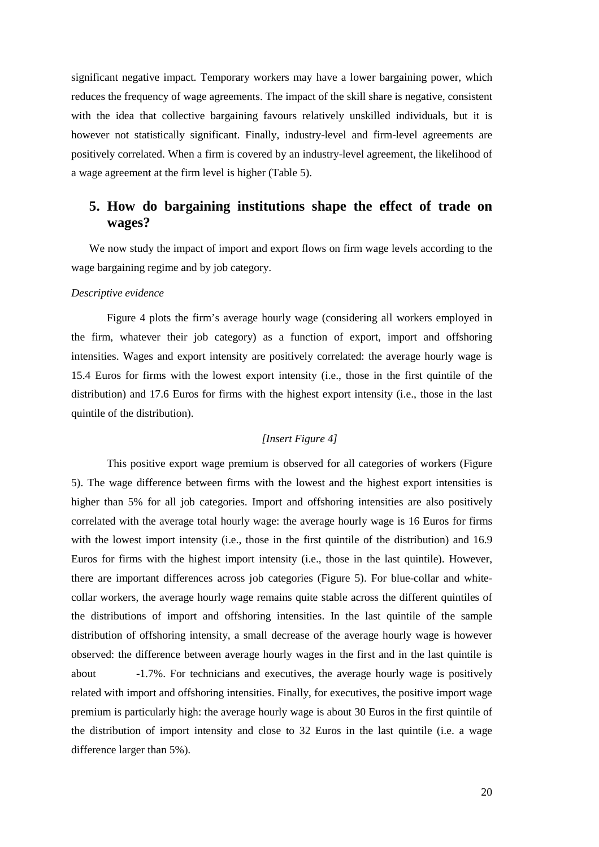significant negative impact. Temporary workers may have a lower bargaining power, which reduces the frequency of wage agreements. The impact of the skill share is negative, consistent with the idea that collective bargaining favours relatively unskilled individuals, but it is however not statistically significant. Finally, industry-level and firm-level agreements are positively correlated. When a firm is covered by an industry-level agreement, the likelihood of a wage agreement at the firm level is higher (Table 5).

# **5. How do bargaining institutions shape the effect of trade on wages?**

We now study the impact of import and export flows on firm wage levels according to the wage bargaining regime and by job category.

#### *Descriptive evidence*

Figure 4 plots the firm's average hourly wage (considering all workers employed in the firm, whatever their job category) as a function of export, import and offshoring intensities. Wages and export intensity are positively correlated: the average hourly wage is 15.4 Euros for firms with the lowest export intensity (i.e., those in the first quintile of the distribution) and 17.6 Euros for firms with the highest export intensity (i.e., those in the last quintile of the distribution).

# *[Insert Figure 4]*

This positive export wage premium is observed for all categories of workers (Figure 5). The wage difference between firms with the lowest and the highest export intensities is higher than 5% for all job categories. Import and offshoring intensities are also positively correlated with the average total hourly wage: the average hourly wage is 16 Euros for firms with the lowest import intensity (i.e., those in the first quintile of the distribution) and 16.9 Euros for firms with the highest import intensity (i.e., those in the last quintile). However, there are important differences across job categories (Figure 5). For blue-collar and whitecollar workers, the average hourly wage remains quite stable across the different quintiles of the distributions of import and offshoring intensities. In the last quintile of the sample distribution of offshoring intensity, a small decrease of the average hourly wage is however observed: the difference between average hourly wages in the first and in the last quintile is about -1.7%. For technicians and executives, the average hourly wage is positively related with import and offshoring intensities. Finally, for executives, the positive import wage premium is particularly high: the average hourly wage is about 30 Euros in the first quintile of the distribution of import intensity and close to 32 Euros in the last quintile (i.e. a wage difference larger than 5%).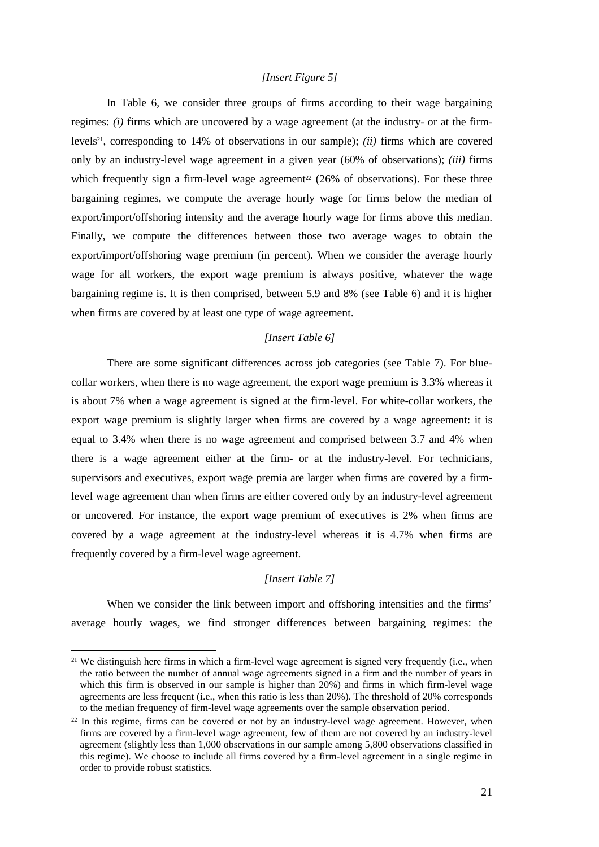#### *[Insert Figure 5]*

In Table 6, we consider three groups of firms according to their wage bargaining regimes: *(i)* firms which are uncovered by a wage agreement (at the industry- or at the firmlevels21, corresponding to 14% of observations in our sample); *(ii)* firms which are covered only by an industry-level wage agreement in a given year (60% of observations); *(iii)* firms which frequently sign a firm-level wage agreement<sup>22</sup> (26% of observations). For these three bargaining regimes, we compute the average hourly wage for firms below the median of export/import/offshoring intensity and the average hourly wage for firms above this median. Finally, we compute the differences between those two average wages to obtain the export/import/offshoring wage premium (in percent). When we consider the average hourly wage for all workers, the export wage premium is always positive, whatever the wage bargaining regime is. It is then comprised, between 5.9 and 8% (see Table 6) and it is higher when firms are covered by at least one type of wage agreement.

#### *[Insert Table 6]*

There are some significant differences across job categories (see Table 7). For bluecollar workers, when there is no wage agreement, the export wage premium is 3.3% whereas it is about 7% when a wage agreement is signed at the firm-level. For white-collar workers, the export wage premium is slightly larger when firms are covered by a wage agreement: it is equal to 3.4% when there is no wage agreement and comprised between 3.7 and 4% when there is a wage agreement either at the firm- or at the industry-level. For technicians, supervisors and executives, export wage premia are larger when firms are covered by a firmlevel wage agreement than when firms are either covered only by an industry-level agreement or uncovered. For instance, the export wage premium of executives is 2% when firms are covered by a wage agreement at the industry-level whereas it is 4.7% when firms are frequently covered by a firm-level wage agreement.

#### *[Insert Table 7]*

When we consider the link between import and offshoring intensities and the firms' average hourly wages, we find stronger differences between bargaining regimes: the

<sup>&</sup>lt;sup>21</sup> We distinguish here firms in which a firm-level wage agreement is signed very frequently (i.e., when the ratio between the number of annual wage agreements signed in a firm and the number of years in which this firm is observed in our sample is higher than 20%) and firms in which firm-level wage agreements are less frequent (i.e., when this ratio is less than 20%). The threshold of 20% corresponds to the median frequency of firm-level wage agreements over the sample observation period.

 $22$  In this regime, firms can be covered or not by an industry-level wage agreement. However, when firms are covered by a firm-level wage agreement, few of them are not covered by an industry-level agreement (slightly less than 1,000 observations in our sample among 5,800 observations classified in this regime). We choose to include all firms covered by a firm-level agreement in a single regime in order to provide robust statistics.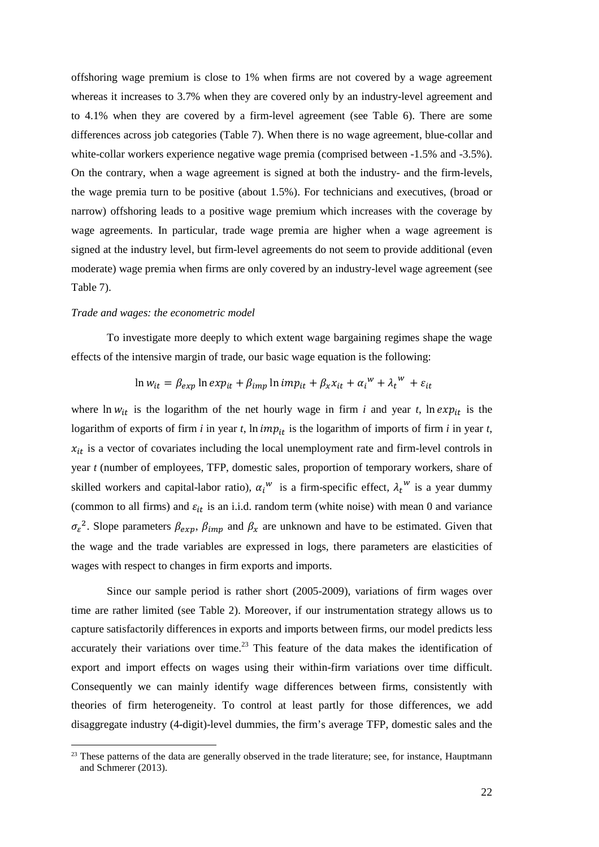offshoring wage premium is close to 1% when firms are not covered by a wage agreement whereas it increases to 3.7% when they are covered only by an industry-level agreement and to 4.1% when they are covered by a firm-level agreement (see Table 6). There are some differences across job categories (Table 7). When there is no wage agreement, blue-collar and white-collar workers experience negative wage premia (comprised between  $-1.5\%$  and  $-3.5\%$ ). On the contrary, when a wage agreement is signed at both the industry- and the firm-levels, the wage premia turn to be positive (about 1.5%). For technicians and executives, (broad or narrow) offshoring leads to a positive wage premium which increases with the coverage by wage agreements. In particular, trade wage premia are higher when a wage agreement is signed at the industry level, but firm-level agreements do not seem to provide additional (even moderate) wage premia when firms are only covered by an industry-level wage agreement (see Table 7).

#### *Trade and wages: the econometric model*

 $\overline{a}$ 

To investigate more deeply to which extent wage bargaining regimes shape the wage effects of the intensive margin of trade, our basic wage equation is the following:

$$
\ln w_{it} = \beta_{exp} \ln exp_{it} + \beta_{imp} \ln imp_{it} + \beta_x x_{it} + \alpha_i^{\ w} + \lambda_t^{\ w} + \varepsilon_{it}
$$

where  $\ln w_{it}$  is the logarithm of the net hourly wage in firm *i* and year *t*,  $\ln exp_{it}$  is the logarithm of exports of firm  $i$  in year  $t$ ,  $\ln imp_{it}$  is the logarithm of imports of firm  $i$  in year  $t$ ,  $x_{it}$  is a vector of covariates including the local unemployment rate and firm-level controls in year *t* (number of employees, TFP, domestic sales, proportion of temporary workers, share of skilled workers and capital-labor ratio),  $\alpha_i^w$  is a firm-specific effect,  $\lambda_t^w$  is a year dummy (common to all firms) and  $\varepsilon_{it}$  is an i.i.d. random term (white noise) with mean 0 and variance  $\sigma_{\varepsilon}^2$ . Slope parameters  $\beta_{exp}$ ,  $\beta_{imp}$  and  $\beta_x$  are unknown and have to be estimated. Given that the wage and the trade variables are expressed in logs, there parameters are elasticities of wages with respect to changes in firm exports and imports.

Since our sample period is rather short (2005-2009), variations of firm wages over time are rather limited (see Table 2). Moreover, if our instrumentation strategy allows us to capture satisfactorily differences in exports and imports between firms, our model predicts less accurately their variations over time.<sup>23</sup> This feature of the data makes the identification of export and import effects on wages using their within-firm variations over time difficult. Consequently we can mainly identify wage differences between firms, consistently with theories of firm heterogeneity. To control at least partly for those differences, we add disaggregate industry (4-digit)-level dummies, the firm's average TFP, domestic sales and the

<sup>&</sup>lt;sup>23</sup> These patterns of the data are generally observed in the trade literature; see, for instance, Hauptmann and Schmerer (2013).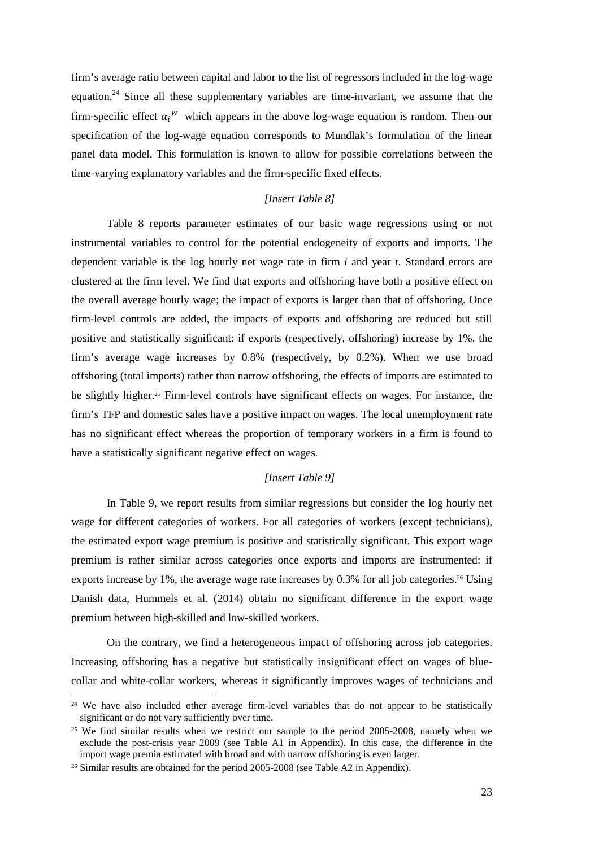firm's average ratio between capital and labor to the list of regressors included in the log-wage equation.<sup>24</sup> Since all these supplementary variables are time-invariant, we assume that the firm-specific effect  $\alpha_i^w$  which appears in the above log-wage equation is random. Then our specification of the log-wage equation corresponds to Mundlak's formulation of the linear panel data model. This formulation is known to allow for possible correlations between the time-varying explanatory variables and the firm-specific fixed effects.

#### *[Insert Table 8]*

Table 8 reports parameter estimates of our basic wage regressions using or not instrumental variables to control for the potential endogeneity of exports and imports. The dependent variable is the log hourly net wage rate in firm *i* and year *t*. Standard errors are clustered at the firm level. We find that exports and offshoring have both a positive effect on the overall average hourly wage; the impact of exports is larger than that of offshoring. Once firm-level controls are added, the impacts of exports and offshoring are reduced but still positive and statistically significant: if exports (respectively, offshoring) increase by 1%, the firm's average wage increases by 0.8% (respectively, by 0.2%). When we use broad offshoring (total imports) rather than narrow offshoring, the effects of imports are estimated to be slightly higher.<sup>25</sup> Firm-level controls have significant effects on wages. For instance, the firm's TFP and domestic sales have a positive impact on wages. The local unemployment rate has no significant effect whereas the proportion of temporary workers in a firm is found to have a statistically significant negative effect on wages.

#### *[Insert Table 9]*

In Table 9, we report results from similar regressions but consider the log hourly net wage for different categories of workers. For all categories of workers (except technicians), the estimated export wage premium is positive and statistically significant. This export wage premium is rather similar across categories once exports and imports are instrumented: if exports increase by 1%, the average wage rate increases by  $0.3\%$  for all job categories.<sup>26</sup> Using Danish data, Hummels et al. (2014) obtain no significant difference in the export wage premium between high-skilled and low-skilled workers.

On the contrary, we find a heterogeneous impact of offshoring across job categories. Increasing offshoring has a negative but statistically insignificant effect on wages of bluecollar and white-collar workers, whereas it significantly improves wages of technicians and

<sup>&</sup>lt;sup>24</sup> We have also included other average firm-level variables that do not appear to be statistically significant or do not vary sufficiently over time.

 $25$  We find similar results when we restrict our sample to the period 2005-2008, namely when we exclude the post-crisis year 2009 (see Table A1 in Appendix). In this case, the difference in the import wage premia estimated with broad and with narrow offshoring is even larger.

<sup>&</sup>lt;sup>26</sup> Similar results are obtained for the period  $2005$ - $2008$  (see Table A2 in Appendix).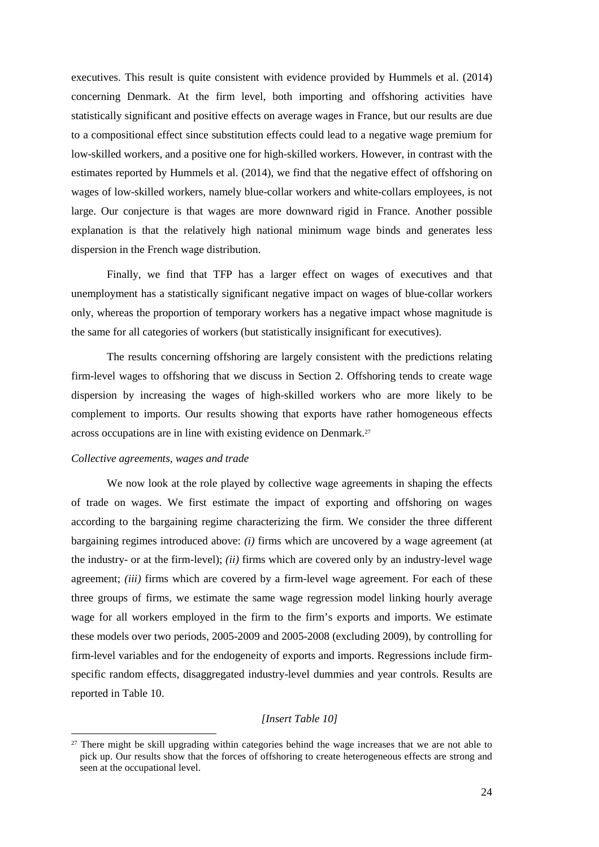executives. This result is quite consistent with evidence provided by Hummels et al. (2014) concerning Denmark. At the firm level, both importing and offshoring activities have statistically significant and positive effects on average wages in France, but our results are due to a compositional effect since substitution effects could lead to a negative wage premium for low-skilled workers, and a positive one for high-skilled workers. However, in contrast with the estimates reported by Hummels et al. (2014), we find that the negative effect of offshoring on wages of low-skilled workers, namely blue-collar workers and white-collars employees, is not large. Our conjecture is that wages are more downward rigid in France. Another possible explanation is that the relatively high national minimum wage binds and generates less dispersion in the French wage distribution.

Finally, we find that TFP has a larger effect on wages of executives and that unemployment has a statistically significant negative impact on wages of blue-collar workers only, whereas the proportion of temporary workers has a negative impact whose magnitude is the same for all categories of workers (but statistically insignificant for executives).

The results concerning offshoring are largely consistent with the predictions relating firm-level wages to offshoring that we discuss in Section 2. Offshoring tends to create wage dispersion by increasing the wages of high-skilled workers who are more likely to be complement to imports. Our results showing that exports have rather homogeneous effects across occupations are in line with existing evidence on Denmark.<sup>27</sup>

#### *Collective agreements, wages and trade*

 $\overline{a}$ 

We now look at the role played by collective wage agreements in shaping the effects of trade on wages. We first estimate the impact of exporting and offshoring on wages according to the bargaining regime characterizing the firm. We consider the three different bargaining regimes introduced above: *(i)* firms which are uncovered by a wage agreement (at the industry- or at the firm-level); *(ii)* firms which are covered only by an industry-level wage agreement; *(iii)* firms which are covered by a firm-level wage agreement. For each of these three groups of firms, we estimate the same wage regression model linking hourly average wage for all workers employed in the firm to the firm's exports and imports. We estimate these models over two periods, 2005-2009 and 2005-2008 (excluding 2009), by controlling for firm-level variables and for the endogeneity of exports and imports. Regressions include firmspecific random effects, disaggregated industry-level dummies and year controls. Results are reported in Table 10.

#### *[Insert Table 10]*

<sup>&</sup>lt;sup>27</sup> There might be skill upgrading within categories behind the wage increases that we are not able to pick up. Our results show that the forces of offshoring to create heterogeneous effects are strong and seen at the occupational level.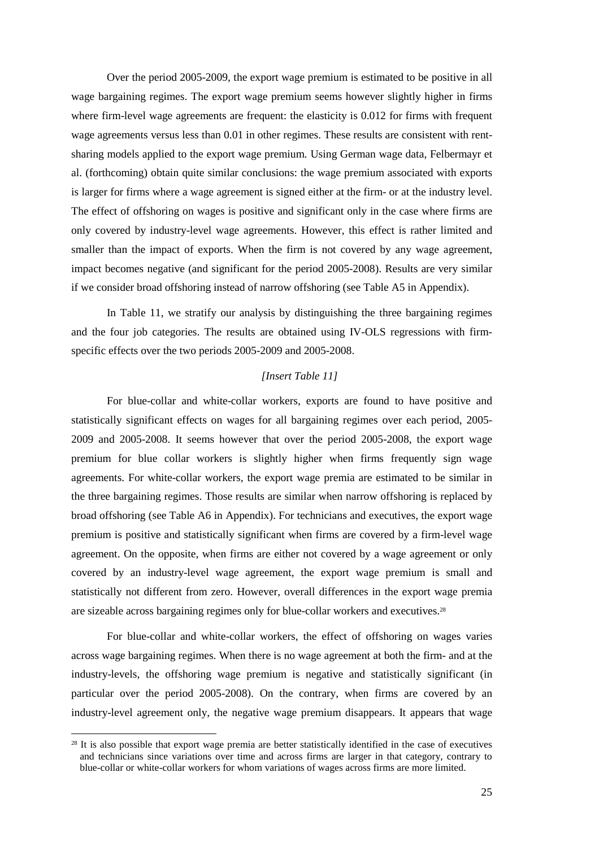Over the period 2005-2009, the export wage premium is estimated to be positive in all wage bargaining regimes. The export wage premium seems however slightly higher in firms where firm-level wage agreements are frequent: the elasticity is 0.012 for firms with frequent wage agreements versus less than 0.01 in other regimes. These results are consistent with rentsharing models applied to the export wage premium. Using German wage data, Felbermayr et al. (forthcoming) obtain quite similar conclusions: the wage premium associated with exports is larger for firms where a wage agreement is signed either at the firm- or at the industry level. The effect of offshoring on wages is positive and significant only in the case where firms are only covered by industry-level wage agreements. However, this effect is rather limited and smaller than the impact of exports. When the firm is not covered by any wage agreement, impact becomes negative (and significant for the period 2005-2008). Results are very similar if we consider broad offshoring instead of narrow offshoring (see Table A5 in Appendix).

In Table 11, we stratify our analysis by distinguishing the three bargaining regimes and the four job categories. The results are obtained using IV-OLS regressions with firmspecific effects over the two periods 2005-2009 and 2005-2008.

#### *[Insert Table 11]*

For blue-collar and white-collar workers, exports are found to have positive and statistically significant effects on wages for all bargaining regimes over each period, 2005- 2009 and 2005-2008. It seems however that over the period 2005-2008, the export wage premium for blue collar workers is slightly higher when firms frequently sign wage agreements. For white-collar workers, the export wage premia are estimated to be similar in the three bargaining regimes. Those results are similar when narrow offshoring is replaced by broad offshoring (see Table A6 in Appendix). For technicians and executives, the export wage premium is positive and statistically significant when firms are covered by a firm-level wage agreement. On the opposite, when firms are either not covered by a wage agreement or only covered by an industry-level wage agreement, the export wage premium is small and statistically not different from zero. However, overall differences in the export wage premia are sizeable across bargaining regimes only for blue-collar workers and executives.<sup>28</sup>

For blue-collar and white-collar workers, the effect of offshoring on wages varies across wage bargaining regimes. When there is no wage agreement at both the firm- and at the industry-levels, the offshoring wage premium is negative and statistically significant (in particular over the period 2005-2008). On the contrary, when firms are covered by an industry-level agreement only, the negative wage premium disappears. It appears that wage

<sup>&</sup>lt;sup>28</sup> It is also possible that export wage premia are better statistically identified in the case of executives and technicians since variations over time and across firms are larger in that category, contrary to blue-collar or white-collar workers for whom variations of wages across firms are more limited.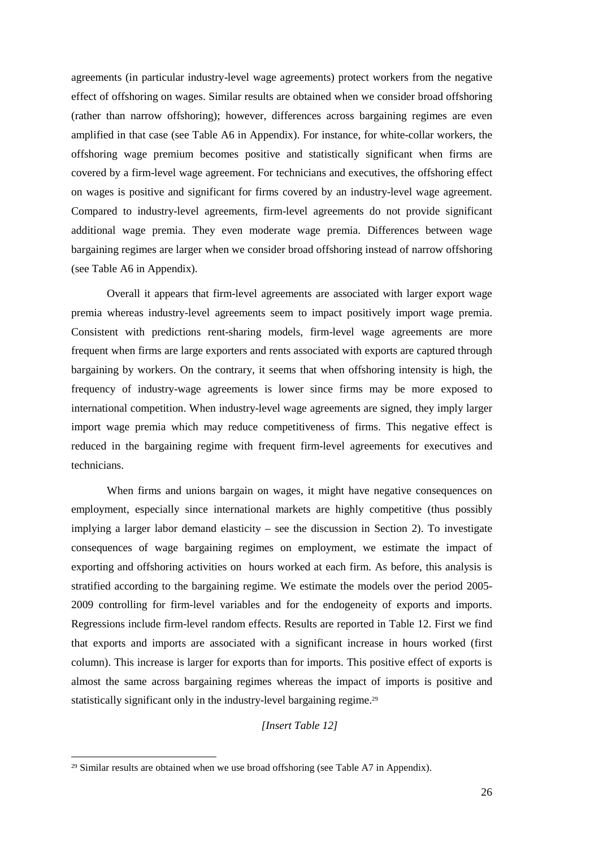agreements (in particular industry-level wage agreements) protect workers from the negative effect of offshoring on wages. Similar results are obtained when we consider broad offshoring (rather than narrow offshoring); however, differences across bargaining regimes are even amplified in that case (see Table A6 in Appendix). For instance, for white-collar workers, the offshoring wage premium becomes positive and statistically significant when firms are covered by a firm-level wage agreement. For technicians and executives, the offshoring effect on wages is positive and significant for firms covered by an industry-level wage agreement. Compared to industry-level agreements, firm-level agreements do not provide significant additional wage premia. They even moderate wage premia. Differences between wage bargaining regimes are larger when we consider broad offshoring instead of narrow offshoring (see Table A6 in Appendix).

Overall it appears that firm-level agreements are associated with larger export wage premia whereas industry-level agreements seem to impact positively import wage premia. Consistent with predictions rent-sharing models, firm-level wage agreements are more frequent when firms are large exporters and rents associated with exports are captured through bargaining by workers. On the contrary, it seems that when offshoring intensity is high, the frequency of industry-wage agreements is lower since firms may be more exposed to international competition. When industry-level wage agreements are signed, they imply larger import wage premia which may reduce competitiveness of firms. This negative effect is reduced in the bargaining regime with frequent firm-level agreements for executives and technicians.

When firms and unions bargain on wages, it might have negative consequences on employment, especially since international markets are highly competitive (thus possibly implying a larger labor demand elasticity – see the discussion in Section 2). To investigate consequences of wage bargaining regimes on employment, we estimate the impact of exporting and offshoring activities on hours worked at each firm. As before, this analysis is stratified according to the bargaining regime. We estimate the models over the period 2005- 2009 controlling for firm-level variables and for the endogeneity of exports and imports. Regressions include firm-level random effects. Results are reported in Table 12. First we find that exports and imports are associated with a significant increase in hours worked (first column). This increase is larger for exports than for imports. This positive effect of exports is almost the same across bargaining regimes whereas the impact of imports is positive and statistically significant only in the industry-level bargaining regime.<sup>29</sup>

# *[Insert Table 12]*

 $^{29}$  Similar results are obtained when we use broad offshoring (see Table A7 in Appendix).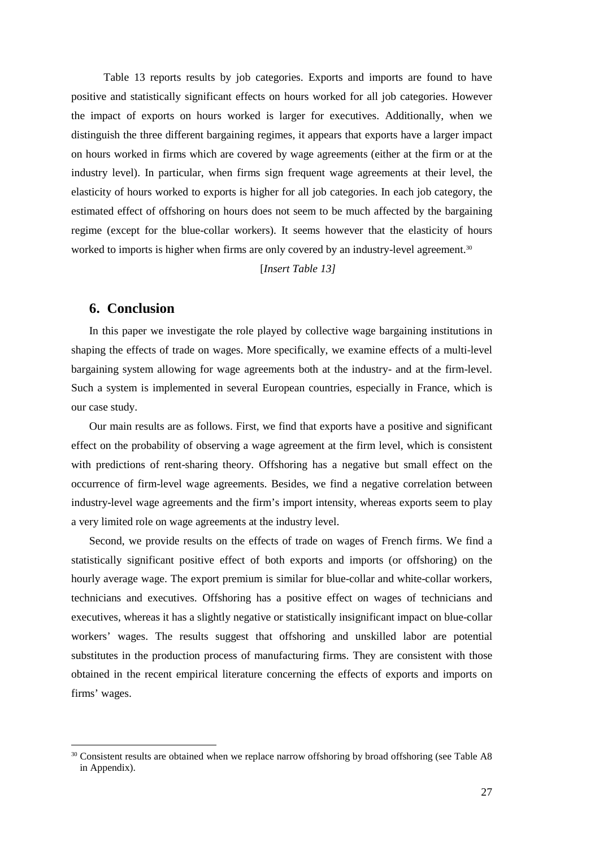Table 13 reports results by job categories. Exports and imports are found to have positive and statistically significant effects on hours worked for all job categories. However the impact of exports on hours worked is larger for executives. Additionally, when we distinguish the three different bargaining regimes, it appears that exports have a larger impact on hours worked in firms which are covered by wage agreements (either at the firm or at the industry level). In particular, when firms sign frequent wage agreements at their level, the elasticity of hours worked to exports is higher for all job categories. In each job category, the estimated effect of offshoring on hours does not seem to be much affected by the bargaining regime (except for the blue-collar workers). It seems however that the elasticity of hours worked to imports is higher when firms are only covered by an industry-level agreement.<sup>30</sup>

[*Insert Table 13]* 

# **6. Conclusion**

 $\overline{a}$ 

In this paper we investigate the role played by collective wage bargaining institutions in shaping the effects of trade on wages. More specifically, we examine effects of a multi-level bargaining system allowing for wage agreements both at the industry- and at the firm-level. Such a system is implemented in several European countries, especially in France, which is our case study.

Our main results are as follows. First, we find that exports have a positive and significant effect on the probability of observing a wage agreement at the firm level, which is consistent with predictions of rent-sharing theory. Offshoring has a negative but small effect on the occurrence of firm-level wage agreements. Besides, we find a negative correlation between industry-level wage agreements and the firm's import intensity, whereas exports seem to play a very limited role on wage agreements at the industry level.

Second, we provide results on the effects of trade on wages of French firms. We find a statistically significant positive effect of both exports and imports (or offshoring) on the hourly average wage. The export premium is similar for blue-collar and white-collar workers, technicians and executives. Offshoring has a positive effect on wages of technicians and executives, whereas it has a slightly negative or statistically insignificant impact on blue-collar workers' wages. The results suggest that offshoring and unskilled labor are potential substitutes in the production process of manufacturing firms. They are consistent with those obtained in the recent empirical literature concerning the effects of exports and imports on firms' wages.

<sup>&</sup>lt;sup>30</sup> Consistent results are obtained when we replace narrow offshoring by broad offshoring (see Table A8 in Appendix).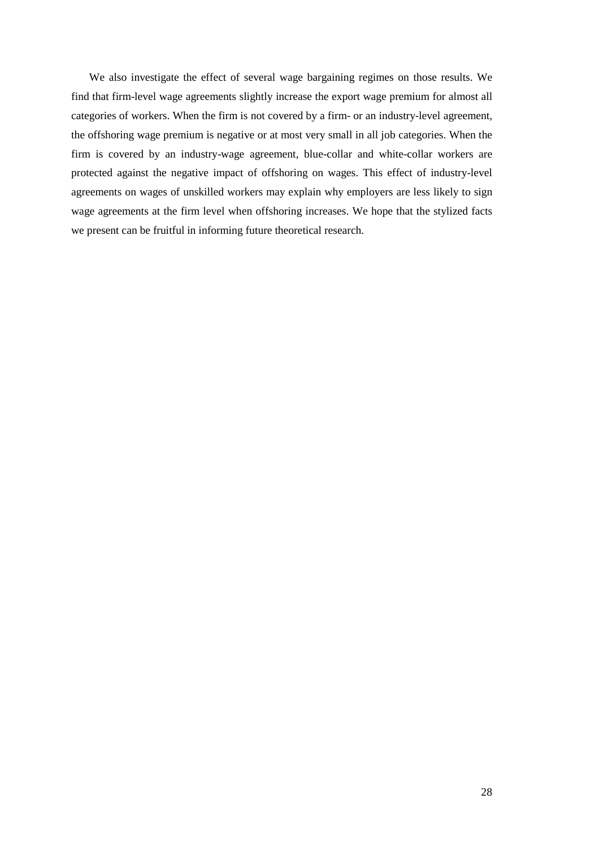We also investigate the effect of several wage bargaining regimes on those results. We find that firm-level wage agreements slightly increase the export wage premium for almost all categories of workers. When the firm is not covered by a firm- or an industry-level agreement, the offshoring wage premium is negative or at most very small in all job categories. When the firm is covered by an industry-wage agreement, blue-collar and white-collar workers are protected against the negative impact of offshoring on wages. This effect of industry-level agreements on wages of unskilled workers may explain why employers are less likely to sign wage agreements at the firm level when offshoring increases. We hope that the stylized facts we present can be fruitful in informing future theoretical research.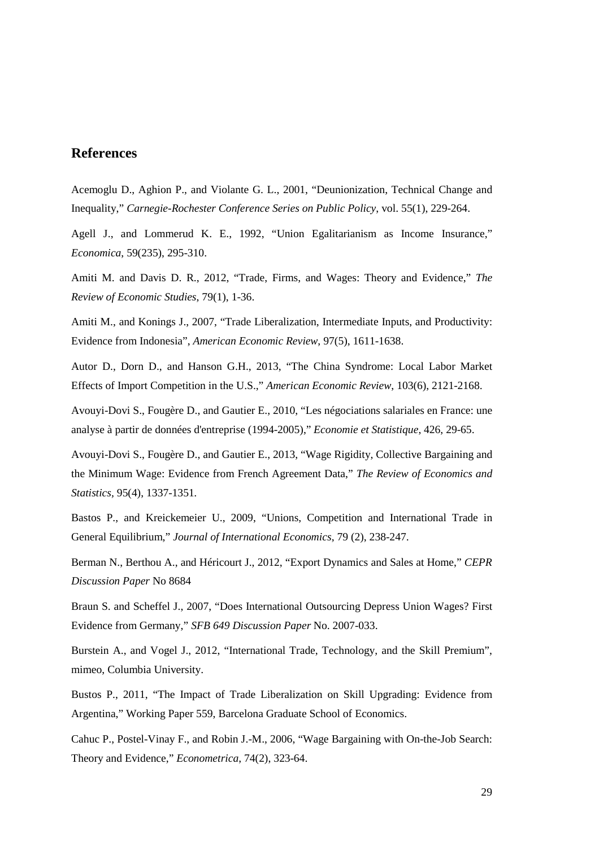# **References**

Acemoglu D., Aghion P., and Violante G. L., 2001, "Deunionization, Technical Change and Inequality," *Carnegie-Rochester Conference Series on Public Policy*, vol. 55(1), 229-264.

Agell J., and Lommerud K. E., 1992, "Union Egalitarianism as Income Insurance," *Economica*, 59(235), 295-310.

Amiti M. and Davis D. R., 2012, "Trade, Firms, and Wages: Theory and Evidence," *The Review of Economic Studies*, 79(1), 1-36.

Amiti M., and Konings J., 2007, "Trade Liberalization, Intermediate Inputs, and Productivity: Evidence from Indonesia", *American Economic Review*, 97(5), 1611-1638.

Autor D., Dorn D., and Hanson G.H., 2013, "The China Syndrome: Local Labor Market Effects of Import Competition in the U.S.," *American Economic Review*, 103(6), 2121-2168.

Avouyi-Dovi S., Fougère D., and Gautier E., 2010, "Les négociations salariales en France: une analyse à partir de données d'entreprise (1994-2005)," *Economie et Statistique*, 426, 29-65.

Avouyi-Dovi S., Fougère D., and Gautier E., 2013, "Wage Rigidity, Collective Bargaining and the Minimum Wage: Evidence from French Agreement Data," *The Review of Economics and Statistics,* 95(4), 1337-1351*.*

Bastos P., and Kreickemeier U., 2009, "Unions, Competition and International Trade in General Equilibrium," *Journal of International Economics*, 79 (2), 238-247.

Berman N., Berthou A., and Héricourt J., 2012, "Export Dynamics and Sales at Home," *CEPR Discussion Paper* No 8684

Braun S. and Scheffel J., 2007, "Does International Outsourcing Depress Union Wages? First Evidence from Germany," *SFB 649 Discussion Paper* No. 2007-033.

Burstein A., and Vogel J., 2012, "International Trade, Technology, and the Skill Premium", mimeo, Columbia University.

Bustos P., 2011, "The Impact of Trade Liberalization on Skill Upgrading: Evidence from Argentina," Working Paper 559, Barcelona Graduate School of Economics.

Cahuc P., Postel-Vinay F., and Robin J.-M., 2006, "Wage Bargaining with On-the-Job Search: Theory and Evidence," *Econometrica*, 74(2), 323-64.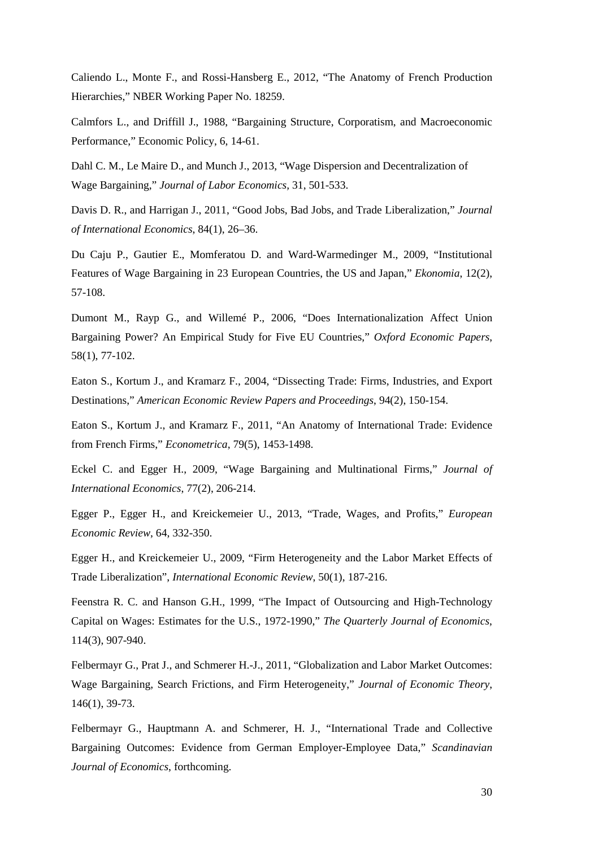Caliendo L., Monte F., and Rossi-Hansberg E., 2012, "The Anatomy of French Production Hierarchies," NBER Working Paper No. 18259.

Calmfors L., and Driffill J., 1988, "Bargaining Structure, Corporatism, and Macroeconomic Performance," Economic Policy, 6, 14-61.

Dahl C. M., Le Maire D., and Munch J., 2013, "Wage Dispersion and Decentralization of Wage Bargaining," *Journal of Labor Economics,* 31, 501-533.

Davis D. R., and Harrigan J., 2011, "Good Jobs, Bad Jobs, and Trade Liberalization," *Journal of International Economics*, 84(1), 26–36.

Du Caju P., Gautier E., Momferatou D. and Ward-Warmedinger M., 2009, "Institutional Features of Wage Bargaining in 23 European Countries, the US and Japan," *Ekonomia*, 12(2), 57-108.

Dumont M., Rayp G., and Willemé P., 2006, "Does Internationalization Affect Union Bargaining Power? An Empirical Study for Five EU Countries," *Oxford Economic Papers*, 58(1), 77-102.

Eaton S., Kortum J., and Kramarz F., 2004, "Dissecting Trade: Firms, Industries, and Export Destinations," *American Economic Review Papers and Proceedings*, 94(2), 150-154.

Eaton S., Kortum J., and Kramarz F., 2011, "An Anatomy of International Trade: Evidence from French Firms," *Econometrica*, 79(5), 1453-1498.

Eckel C. and Egger H., 2009, "Wage Bargaining and Multinational Firms," *Journal of International Economics*, 77(2), 206-214.

Egger P., Egger H., and Kreickemeier U., 2013, "Trade, Wages, and Profits," *European Economic Review*, 64, 332-350.

Egger H., and Kreickemeier U., 2009, "Firm Heterogeneity and the Labor Market Effects of Trade Liberalization", *International Economic Review*, 50(1), 187-216.

Feenstra R. C. and Hanson G.H., 1999, "The Impact of Outsourcing and High-Technology Capital on Wages: Estimates for the U.S., 1972-1990," *The Quarterly Journal of Economics*, 114(3), 907-940.

Felbermayr G., Prat J., and Schmerer H.-J., 2011, "Globalization and Labor Market Outcomes: Wage Bargaining, Search Frictions, and Firm Heterogeneity," *Journal of Economic Theory*, 146(1), 39-73.

Felbermayr G., Hauptmann A. and Schmerer, H. J., "International Trade and Collective Bargaining Outcomes: Evidence from German Employer-Employee Data," *Scandinavian Journal of Economics*, forthcoming.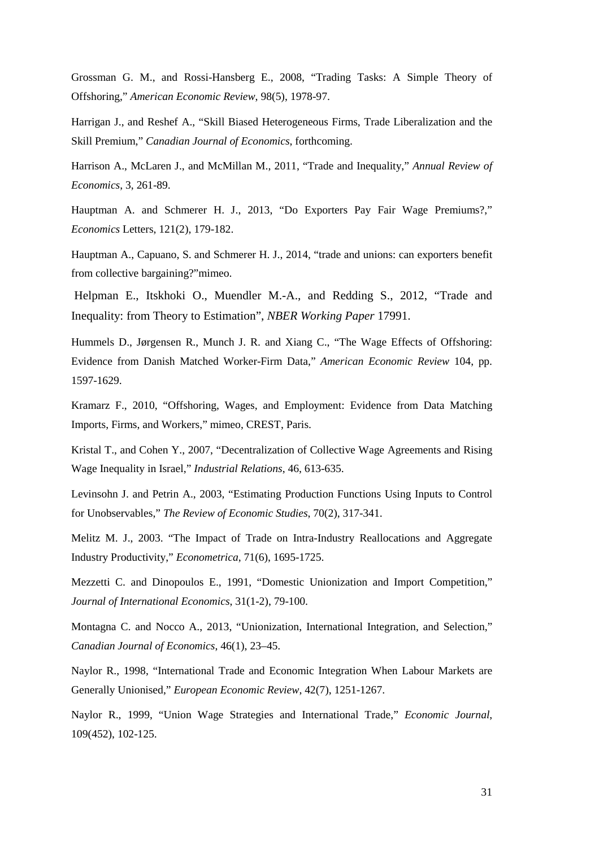Grossman G. M., and Rossi-Hansberg E., 2008, "Trading Tasks: A Simple Theory of Offshoring," *American Economic Review*, 98(5), 1978-97.

Harrigan J., and Reshef A., "Skill Biased Heterogeneous Firms, Trade Liberalization and the Skill Premium," *Canadian Journal of Economics*, forthcoming.

Harrison A., McLaren J., and McMillan M., 2011, "Trade and Inequality," *Annual Review of Economics*, 3, 261-89.

Hauptman A. and Schmerer H. J., 2013, "Do Exporters Pay Fair Wage Premiums?," *Economics* Letters, 121(2), 179-182.

Hauptman A., Capuano, S. and Schmerer H. J., 2014, "trade and unions: can exporters benefit from collective bargaining?"mimeo.

 Helpman E., Itskhoki O., Muendler M.-A., and Redding S., 2012, "Trade and Inequality: from Theory to Estimation", *NBER Working Paper* 17991.

Hummels D., Jørgensen R., Munch J. R. and Xiang C., "The Wage Effects of Offshoring: Evidence from Danish Matched Worker-Firm Data," *American Economic Review* 104, pp. 1597-1629.

Kramarz F., 2010, "Offshoring, Wages, and Employment: Evidence from Data Matching Imports, Firms, and Workers," mimeo, CREST, Paris.

Kristal T., and Cohen Y., 2007, "Decentralization of Collective Wage Agreements and Rising Wage Inequality in Israel," *Industrial Relations*, 46, 613-635.

Levinsohn J. and Petrin A., 2003, "Estimating Production Functions Using Inputs to Control for Unobservables," *The Review of Economic Studies*, 70(2), 317-341.

Melitz M. J., 2003. "The Impact of Trade on Intra-Industry Reallocations and Aggregate Industry Productivity," *Econometrica*, 71(6), 1695-1725.

Mezzetti C. and Dinopoulos E., 1991, "Domestic Unionization and Import Competition," *Journal of International Economics*, 31(1-2), 79-100.

Montagna C. and Nocco A., 2013, "Unionization, International Integration, and Selection," *Canadian Journal of Economics*, 46(1), 23–45.

Naylor R., 1998, "International Trade and Economic Integration When Labour Markets are Generally Unionised," *European Economic Review*, 42(7), 1251-1267.

Naylor R., 1999, "Union Wage Strategies and International Trade," *Economic Journal*, 109(452), 102-125.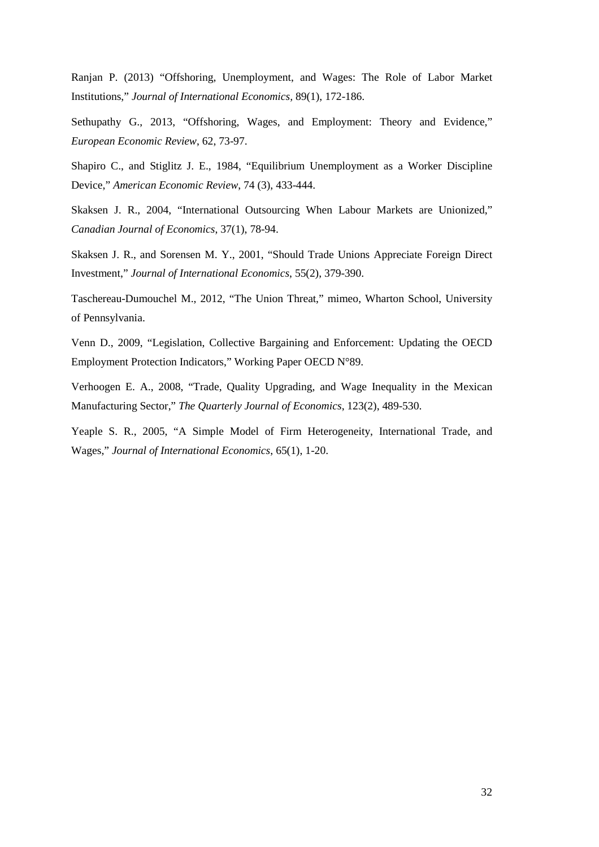Ranjan P. (2013) "Offshoring, Unemployment, and Wages: The Role of Labor Market Institutions," *Journal of International Economics,* 89(1), 172-186.

Sethupathy G., 2013, "Offshoring, Wages, and Employment: Theory and Evidence," *European Economic Review*, 62, 73-97.

Shapiro C., and Stiglitz J. E., 1984, "Equilibrium Unemployment as a Worker Discipline Device," *American Economic Review*, 74 (3), 433-444.

Skaksen J. R., 2004, "International Outsourcing When Labour Markets are Unionized," *Canadian Journal of Economics*, 37(1), 78-94.

Skaksen J. R., and Sorensen M. Y., 2001, "Should Trade Unions Appreciate Foreign Direct Investment," *Journal of International Economics*, 55(2), 379-390.

Taschereau-Dumouchel M., 2012, "The Union Threat," mimeo, Wharton School, University of Pennsylvania.

Venn D., 2009, "Legislation, Collective Bargaining and Enforcement: Updating the OECD Employment Protection Indicators," Working Paper OECD N°89.

Verhoogen E. A., 2008, "Trade, Quality Upgrading, and Wage Inequality in the Mexican Manufacturing Sector," *The Quarterly Journal of Economics*, 123(2), 489-530.

Yeaple S. R., 2005, "A Simple Model of Firm Heterogeneity, International Trade, and Wages," *Journal of International Economics*, 65(1), 1-20.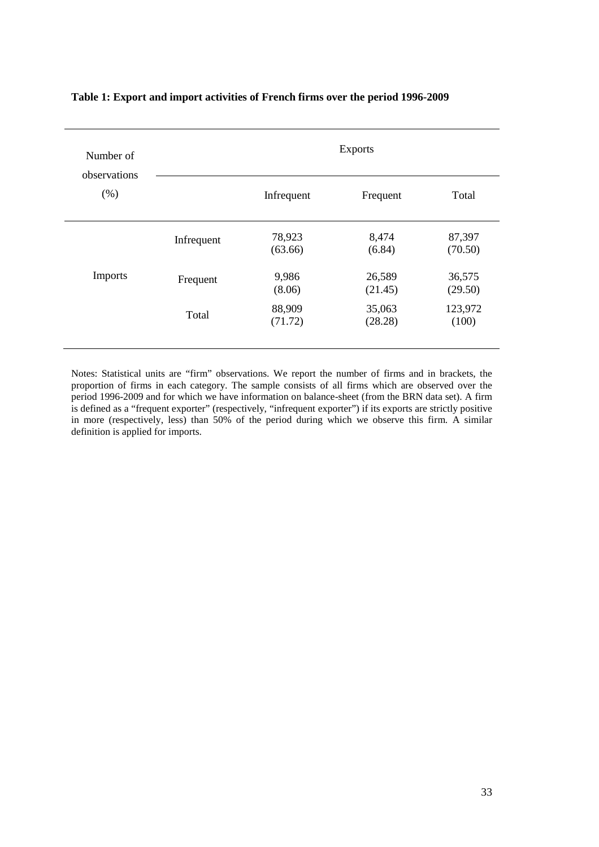| Number of<br>observations |            |                   | <b>Exports</b>    |                   |
|---------------------------|------------|-------------------|-------------------|-------------------|
| (% )                      |            | Infrequent        | Frequent          | Total             |
|                           | Infrequent | 78,923<br>(63.66) | 8,474<br>(6.84)   | 87,397<br>(70.50) |
| <b>Imports</b>            | Frequent   | 9,986<br>(8.06)   | 26,589<br>(21.45) | 36,575<br>(29.50) |
|                           | Total      | 88,909<br>(71.72) | 35,063<br>(28.28) | 123,972<br>(100)  |

#### **Table 1: Export and import activities of French firms over the period 1996-2009**

Notes: Statistical units are "firm" observations. We report the number of firms and in brackets, the proportion of firms in each category. The sample consists of all firms which are observed over the period 1996-2009 and for which we have information on balance-sheet (from the BRN data set). A firm is defined as a "frequent exporter" (respectively, "infrequent exporter") if its exports are strictly positive in more (respectively, less) than 50% of the period during which we observe this firm. A similar definition is applied for imports.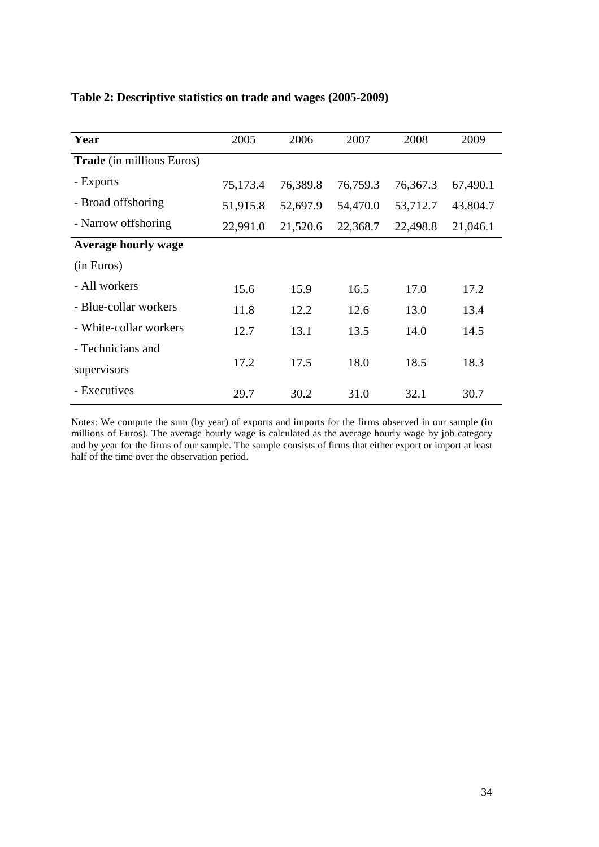# **Table 2: Descriptive statistics on trade and wages (2005-2009)**

| Year                             | 2005     | 2006     | 2007     | 2008     | 2009     |
|----------------------------------|----------|----------|----------|----------|----------|
| <b>Trade</b> (in millions Euros) |          |          |          |          |          |
| - Exports                        | 75,173.4 | 76,389.8 | 76,759.3 | 76,367.3 | 67,490.1 |
| - Broad offshoring               | 51,915.8 | 52,697.9 | 54,470.0 | 53,712.7 | 43,804.7 |
| - Narrow offshoring              | 22,991.0 | 21,520.6 | 22,368.7 | 22,498.8 | 21,046.1 |
| <b>Average hourly wage</b>       |          |          |          |          |          |
| (in Euros)                       |          |          |          |          |          |
| - All workers                    | 15.6     | 15.9     | 16.5     | 17.0     | 17.2     |
| - Blue-collar workers            | 11.8     | 12.2     | 12.6     | 13.0     | 13.4     |
| - White-collar workers           | 12.7     | 13.1     | 13.5     | 14.0     | 14.5     |
| - Technicians and                |          |          |          |          |          |
| supervisors                      | 17.2     | 17.5     | 18.0     | 18.5     | 18.3     |
| - Executives                     | 29.7     | 30.2     | 31.0     | 32.1     | 30.7     |

Notes: We compute the sum (by year) of exports and imports for the firms observed in our sample (in millions of Euros). The average hourly wage is calculated as the average hourly wage by job category and by year for the firms of our sample. The sample consists of firms that either export or import at least half of the time over the observation period.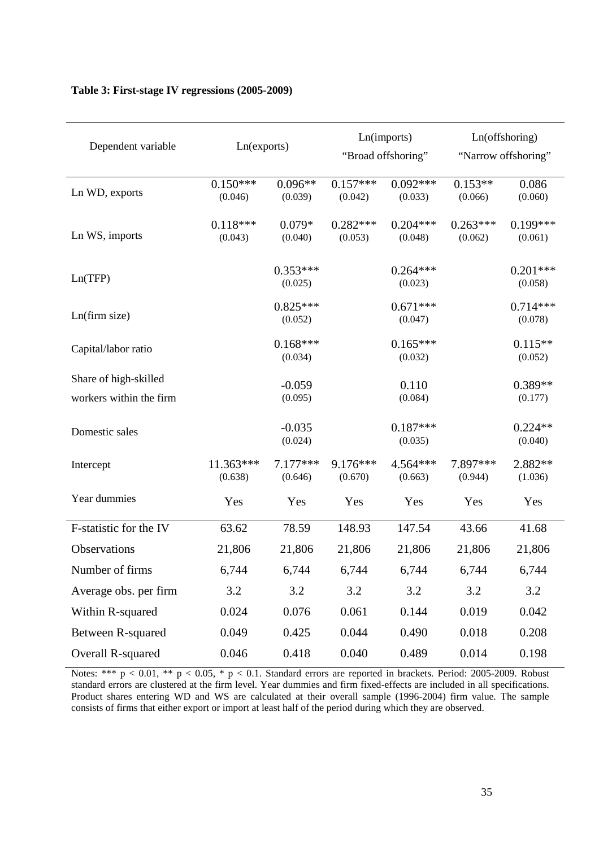| Dependent variable                               | Ln(exports)           |                       | Ln(imports)<br>"Broad offshoring" |                       | Ln(offshoring)<br>"Narrow offshoring" |                       |
|--------------------------------------------------|-----------------------|-----------------------|-----------------------------------|-----------------------|---------------------------------------|-----------------------|
| Ln WD, exports                                   | $0.150***$<br>(0.046) | $0.096**$<br>(0.039)  | $0.157***$<br>(0.042)             | $0.092***$<br>(0.033) | $0.153**$<br>(0.066)                  | 0.086<br>(0.060)      |
| Ln WS, imports                                   | $0.118***$<br>(0.043) | $0.079*$<br>(0.040)   | $0.282***$<br>(0.053)             | $0.204***$<br>(0.048) | $0.263***$<br>(0.062)                 | $0.199***$<br>(0.061) |
| Ln(TFP)                                          |                       | $0.353***$<br>(0.025) |                                   | $0.264***$<br>(0.023) |                                       | $0.201***$<br>(0.058) |
| Ln(firm size)                                    |                       | $0.825***$<br>(0.052) |                                   | $0.671***$<br>(0.047) |                                       | $0.714***$<br>(0.078) |
| Capital/labor ratio                              |                       | $0.168***$<br>(0.034) |                                   | $0.165***$<br>(0.032) |                                       | $0.115**$<br>(0.052)  |
| Share of high-skilled<br>workers within the firm |                       | $-0.059$<br>(0.095)   |                                   | 0.110<br>(0.084)      |                                       | $0.389**$<br>(0.177)  |
| Domestic sales                                   |                       | $-0.035$<br>(0.024)   |                                   | $0.187***$<br>(0.035) |                                       | $0.224**$<br>(0.040)  |
| Intercept                                        | 11.363***<br>(0.638)  | $7.177***$<br>(0.646) | 9.176***<br>(0.670)               | 4.564 ***<br>(0.663)  | 7.897***<br>(0.944)                   | 2.882**<br>(1.036)    |
| Year dummies                                     | Yes                   | Yes                   | Yes                               | Yes                   | Yes                                   | Yes                   |
| F-statistic for the IV                           | 63.62                 | 78.59                 | 148.93                            | 147.54                | 43.66                                 | 41.68                 |
| Observations                                     | 21,806                | 21,806                | 21,806                            | 21,806                | 21,806                                | 21,806                |
| Number of firms                                  | 6,744                 | 6,744                 | 6,744                             | 6,744                 | 6,744                                 | 6,744                 |
| Average obs. per firm                            | 3.2                   | 3.2                   | 3.2                               | 3.2                   | 3.2                                   | 3.2                   |
| Within R-squared                                 | 0.024                 | 0.076                 | 0.061                             | 0.144                 | 0.019                                 | 0.042                 |
| Between R-squared                                | 0.049                 | 0.425                 | 0.044                             | 0.490                 | 0.018                                 | 0.208                 |
| Overall R-squared                                | 0.046                 | 0.418                 | 0.040                             | 0.489                 | 0.014                                 | 0.198                 |

### **Table 3: First-stage IV regressions (2005-2009)**

Notes: \*\*\* p < 0.01, \*\* p < 0.05, \* p < 0.1. Standard errors are reported in brackets. Period: 2005-2009. Robust standard errors are clustered at the firm level. Year dummies and firm fixed-effects are included in all specifications. Product shares entering WD and WS are calculated at their overall sample (1996-2004) firm value. The sample consists of firms that either export or import at least half of the period during which they are observed.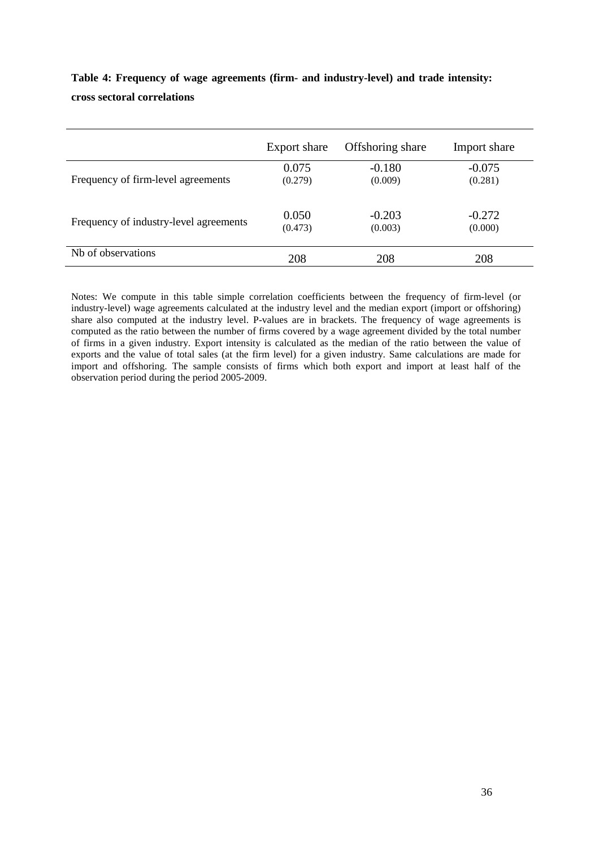|                                        | Export share | Offshoring share | Import share |
|----------------------------------------|--------------|------------------|--------------|
|                                        | 0.075        | $-0.180$         | $-0.075$     |
| Frequency of firm-level agreements     | (0.279)      | (0.009)          | (0.281)      |
|                                        | 0.050        | $-0.203$         | $-0.272$     |
| Frequency of industry-level agreements | (0.473)      | (0.003)          | (0.000)      |
| Nb of observations                     | 208          | 208              | 208          |

# **Table 4: Frequency of wage agreements (firm- and industry-level) and trade intensity: cross sectoral correlations**

Notes: We compute in this table simple correlation coefficients between the frequency of firm-level (or industry-level) wage agreements calculated at the industry level and the median export (import or offshoring) share also computed at the industry level. P-values are in brackets. The frequency of wage agreements is computed as the ratio between the number of firms covered by a wage agreement divided by the total number of firms in a given industry. Export intensity is calculated as the median of the ratio between the value of exports and the value of total sales (at the firm level) for a given industry. Same calculations are made for import and offshoring. The sample consists of firms which both export and import at least half of the observation period during the period 2005-2009.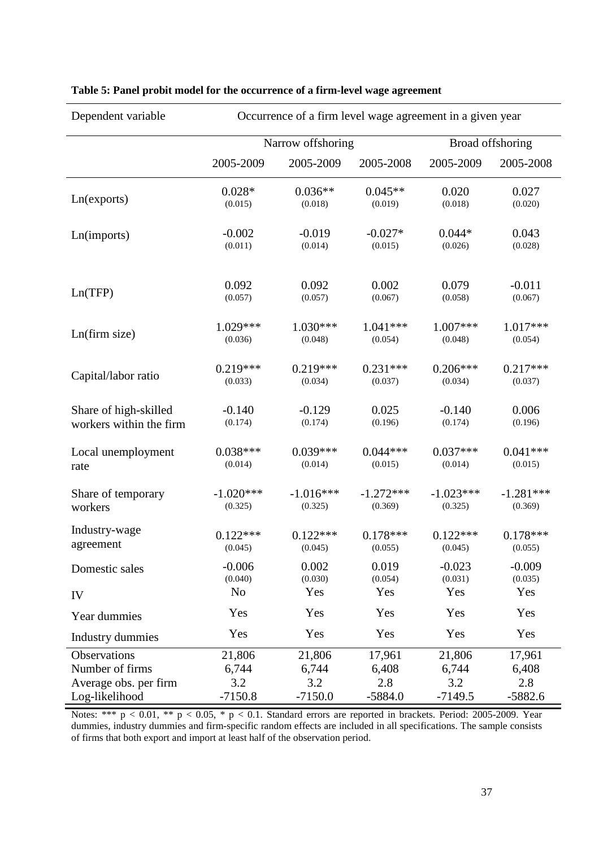| Dependent variable      |                | Occurrence of a firm level wage agreement in a given year |             |             |                  |  |
|-------------------------|----------------|-----------------------------------------------------------|-------------|-------------|------------------|--|
|                         |                | Narrow offshoring                                         |             |             | Broad offshoring |  |
|                         | 2005-2009      | 2005-2009                                                 | 2005-2008   | 2005-2009   | 2005-2008        |  |
| Ln(exports)             | $0.028*$       | $0.036**$                                                 | $0.045**$   | 0.020       | 0.027            |  |
|                         | (0.015)        | (0.018)                                                   | (0.019)     | (0.018)     | (0.020)          |  |
| Ln(imports)             | $-0.002$       | $-0.019$                                                  | $-0.027*$   | $0.044*$    | 0.043            |  |
|                         | (0.011)        | (0.014)                                                   | (0.015)     | (0.026)     | (0.028)          |  |
| Ln(TFP)                 | 0.092          | 0.092                                                     | 0.002       | 0.079       | $-0.011$         |  |
|                         | (0.057)        | (0.057)                                                   | (0.067)     | (0.058)     | (0.067)          |  |
| Ln(firm size)           | 1.029***       | $1.030***$                                                | $1.041***$  | 1.007***    | 1.017***         |  |
|                         | (0.036)        | (0.048)                                                   | (0.054)     | (0.048)     | (0.054)          |  |
| Capital/labor ratio     | $0.219***$     | $0.219***$                                                | $0.231***$  | $0.206***$  | $0.217***$       |  |
|                         | (0.033)        | (0.034)                                                   | (0.037)     | (0.034)     | (0.037)          |  |
| Share of high-skilled   | $-0.140$       | $-0.129$                                                  | 0.025       | $-0.140$    | 0.006            |  |
| workers within the firm | (0.174)        | (0.174)                                                   | (0.196)     | (0.174)     | (0.196)          |  |
| Local unemployment      | $0.038***$     | $0.039***$                                                | $0.044***$  | $0.037***$  | $0.041***$       |  |
| rate                    | (0.014)        | (0.014)                                                   | (0.015)     | (0.014)     | (0.015)          |  |
| Share of temporary      | $-1.020***$    | $-1.016***$                                               | $-1.272***$ | $-1.023***$ | $-1.281***$      |  |
| workers                 | (0.325)        | (0.325)                                                   | (0.369)     | (0.325)     | (0.369)          |  |
| Industry-wage           | $0.122***$     | $0.122***$                                                | $0.178***$  | $0.122***$  | $0.178***$       |  |
| agreement               | (0.045)        | (0.045)                                                   | (0.055)     | (0.045)     | (0.055)          |  |
| Domestic sales          | $-0.006$       | 0.002                                                     | 0.019       | $-0.023$    | $-0.009$         |  |
|                         | (0.040)        | (0.030)                                                   | (0.054)     | (0.031)     | (0.035)          |  |
| IV                      | N <sub>o</sub> | Yes                                                       | Yes         | Yes         | Yes              |  |
| Year dummies            | Yes            | Yes                                                       | Yes         | Yes         | Yes              |  |
| Industry dummies        | Yes            | Yes                                                       | Yes         | Yes         | Yes              |  |
| Observations            | 21,806         | 21,806                                                    | 17,961      | 21,806      | 17,961           |  |
| Number of firms         | 6,744          | 6,744                                                     | 6,408       | 6,744       | 6,408            |  |
| Average obs. per firm   | 3.2            | 3.2                                                       | 2.8         | 3.2         | 2.8              |  |
| Log-likelihood          | $-7150.8$      | $-7150.0$                                                 | $-5884.0$   | $-7149.5$   | $-5882.6$        |  |

# **Table 5: Panel probit model for the occurrence of a firm-level wage agreement**

Notes:  $**$  p < 0.01,  $**$  p < 0.05,  $*$  p < 0.1. Standard errors are reported in brackets. Period: 2005-2009. Year dummies, industry dummies and firm-specific random effects are included in all specifications. The sample consists of firms that both export and import at least half of the observation period.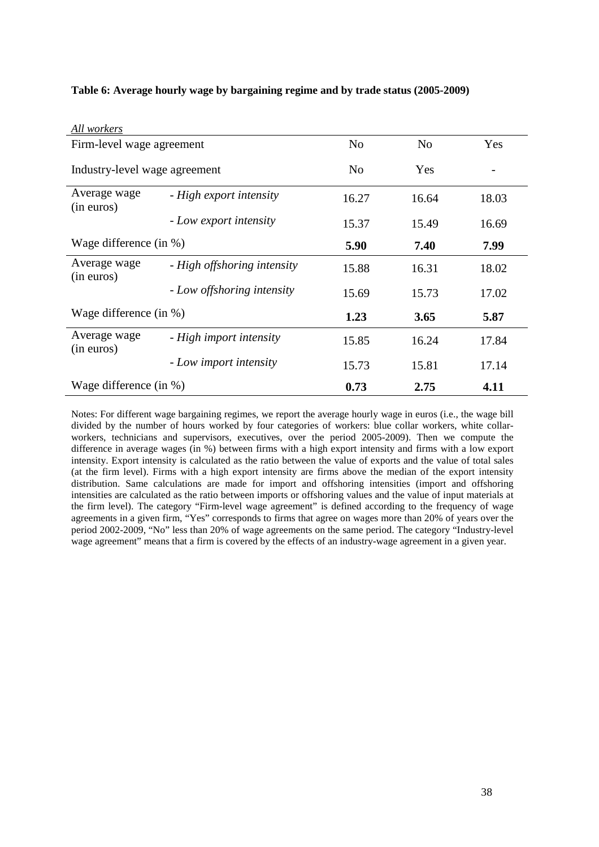#### **Table 6: Average hourly wage by bargaining regime and by trade status (2005-2009)**

| <u>All workers</u>            |                             |                |                |       |
|-------------------------------|-----------------------------|----------------|----------------|-------|
| Firm-level wage agreement     |                             | N <sub>0</sub> | N <sub>0</sub> | Yes   |
| Industry-level wage agreement |                             | N <sub>o</sub> | Yes            | -     |
| Average wage<br>(in euros)    | - High export intensity     | 16.27          | 16.64          | 18.03 |
|                               | - Low export intensity      | 15.37          | 15.49          | 16.69 |
| Wage difference $(in %)$      |                             | 5.90           | 7.40           | 7.99  |
| Average wage<br>(in euros)    | - High offshoring intensity | 15.88          | 16.31          | 18.02 |
|                               | - Low offshoring intensity  | 15.69          | 15.73          | 17.02 |
| Wage difference $(in %)$      |                             | 1.23           | 3.65           | 5.87  |
| Average wage<br>(in euros)    | - High import intensity     | 15.85          | 16.24          | 17.84 |
|                               | - Low import intensity      | 15.73          | 15.81          | 17.14 |
| Wage difference $(in %)$      |                             | 0.73           | 2.75           | 4.11  |

Notes: For different wage bargaining regimes, we report the average hourly wage in euros (i.e., the wage bill divided by the number of hours worked by four categories of workers: blue collar workers, white collarworkers, technicians and supervisors, executives, over the period 2005-2009). Then we compute the difference in average wages (in %) between firms with a high export intensity and firms with a low export intensity. Export intensity is calculated as the ratio between the value of exports and the value of total sales (at the firm level). Firms with a high export intensity are firms above the median of the export intensity distribution. Same calculations are made for import and offshoring intensities (import and offshoring intensities are calculated as the ratio between imports or offshoring values and the value of input materials at the firm level). The category "Firm-level wage agreement" is defined according to the frequency of wage agreements in a given firm, "Yes" corresponds to firms that agree on wages more than 20% of years over the period 2002-2009, "No" less than 20% of wage agreements on the same period. The category "Industry-level wage agreement" means that a firm is covered by the effects of an industry-wage agreement in a given year.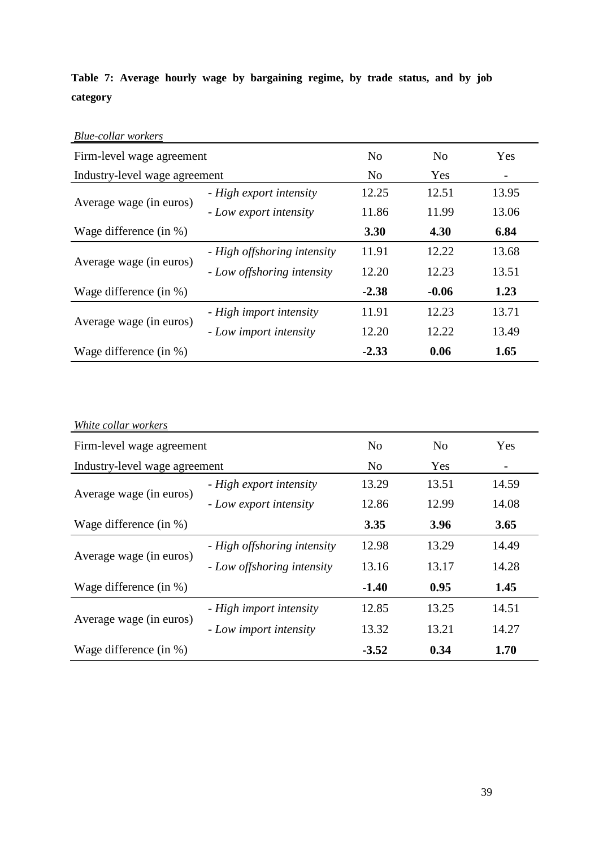| <b>Blue-collar workers</b>    |                             |                |                |       |
|-------------------------------|-----------------------------|----------------|----------------|-------|
| Firm-level wage agreement     |                             | N <sub>0</sub> | N <sub>o</sub> | Yes   |
| Industry-level wage agreement |                             | N <sub>0</sub> | Yes            |       |
|                               | - High export intensity     | 12.25          | 12.51          | 13.95 |
| Average wage (in euros)       | - Low export intensity      | 11.86          | 11.99          | 13.06 |
| Wage difference $(in %)$      |                             | 3.30           | 4.30           | 6.84  |
|                               | - High offshoring intensity | 11.91          | 12.22          | 13.68 |
| Average wage (in euros)       | - Low offshoring intensity  | 12.20          | 12.23          | 13.51 |
| Wage difference (in $\%$ )    |                             | $-2.38$        | $-0.06$        | 1.23  |
|                               | - High import intensity     | 11.91          | 12.23          | 13.71 |
| Average wage (in euros)       | - Low import intensity      | 12.20          | 12.22          | 13.49 |
| Wage difference $(in %)$      |                             | $-2.33$        | 0.06           | 1.65  |

**Table 7: Average hourly wage by bargaining regime, by trade status, and by job category** 

# *White collar workers*

| Firm-level wage agreement     | N <sub>0</sub>              | No             | Yes   |       |
|-------------------------------|-----------------------------|----------------|-------|-------|
| Industry-level wage agreement |                             | N <sub>0</sub> | Yes   | -     |
| Average wage (in euros)       | - High export intensity     | 13.29          | 13.51 | 14.59 |
|                               | - Low export intensity      | 12.86          | 12.99 | 14.08 |
| Wage difference $(in %)$      | 3.35                        | 3.96           | 3.65  |       |
|                               | - High offshoring intensity | 12.98          | 13.29 | 14.49 |
| Average wage (in euros)       | - Low offshoring intensity  | 13.16          | 13.17 | 14.28 |
| Wage difference $(in %)$      |                             | $-1.40$        | 0.95  | 1.45  |
|                               | - High import intensity     | 12.85          | 13.25 | 14.51 |
| Average wage (in euros)       | - Low import intensity      | 13.32          | 13.21 | 14.27 |
| Wage difference $(in %)$      | $-3.52$                     | 0.34           | 1.70  |       |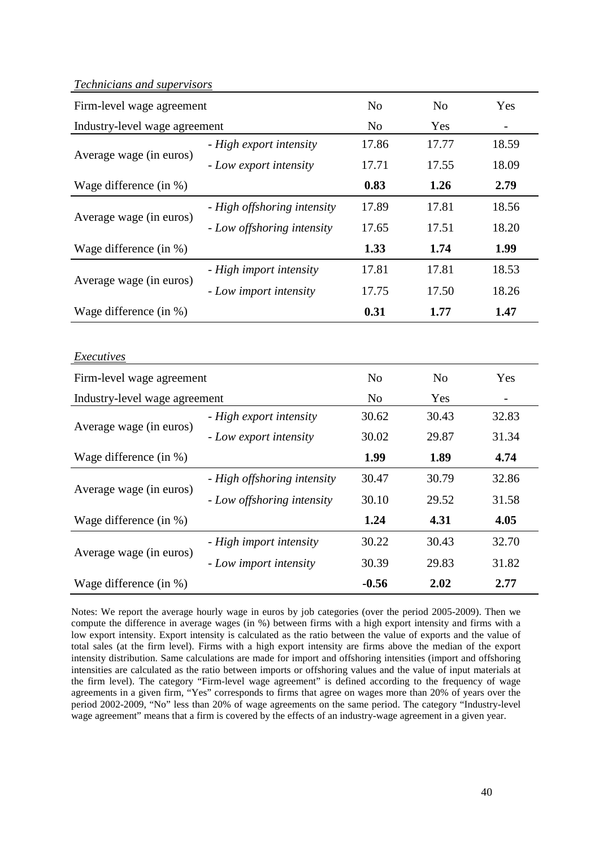### *Technicians and supervisors*

| Firm-level wage agreement     | N <sub>o</sub>              | N <sub>o</sub> | Yes            |       |
|-------------------------------|-----------------------------|----------------|----------------|-------|
| Industry-level wage agreement |                             | N <sub>o</sub> | Yes            |       |
|                               | - High export intensity     | 17.86          | 17.77          | 18.59 |
| Average wage (in euros)       | - Low export intensity      | 17.71          | 17.55          | 18.09 |
| Wage difference (in %)        |                             | 0.83           | 1.26           | 2.79  |
|                               | - High offshoring intensity | 17.89          | 17.81          | 18.56 |
| Average wage (in euros)       | - Low offshoring intensity  | 17.65          | 17.51          | 18.20 |
| Wage difference (in %)        |                             | 1.33           | 1.74           | 1.99  |
|                               | - High import intensity     | 17.81          | 17.81          | 18.53 |
| Average wage (in euros)       | - Low import intensity      | 17.75          | 17.50          | 18.26 |
| Wage difference (in %)        |                             | 0.31           | 1.77           | 1.47  |
|                               |                             |                |                |       |
| <b>Executives</b>             |                             |                |                |       |
| Firm-level wage agreement     |                             | N <sub>o</sub> | N <sub>o</sub> | Yes   |
| Industry-level wage agreement |                             | N <sub>o</sub> | Yes            |       |
|                               | - High export intensity     | 30.62          | 30.43          | 32.83 |
| Average wage (in euros)       | - Low export intensity      | 30.02          | 29.87          | 31.34 |
| Wage difference (in %)        |                             | 1.99           | 1.89           | 4.74  |
|                               | - High offshoring intensity | 30.47          | 30.79          | 32.86 |
| Average wage (in euros)       | - Low offshoring intensity  | 30.10          | 29.52          | 31.58 |
| Wage difference (in %)        |                             | 1.24           | 4.31           | 4.05  |
|                               | - High import intensity     | 30.22          | 30.43          | 32.70 |
| Average wage (in euros)       | - Low import intensity      | 30.39          | 29.83          | 31.82 |
| Wage difference (in %)        | $-0.56$                     | 2.02           | 2.77           |       |

Notes: We report the average hourly wage in euros by job categories (over the period 2005-2009). Then we compute the difference in average wages (in %) between firms with a high export intensity and firms with a low export intensity. Export intensity is calculated as the ratio between the value of exports and the value of total sales (at the firm level). Firms with a high export intensity are firms above the median of the export intensity distribution. Same calculations are made for import and offshoring intensities (import and offshoring intensities are calculated as the ratio between imports or offshoring values and the value of input materials at the firm level). The category "Firm-level wage agreement" is defined according to the frequency of wage agreements in a given firm, "Yes" corresponds to firms that agree on wages more than 20% of years over the period 2002-2009, "No" less than 20% of wage agreements on the same period. The category "Industry-level wage agreement" means that a firm is covered by the effects of an industry-wage agreement in a given year.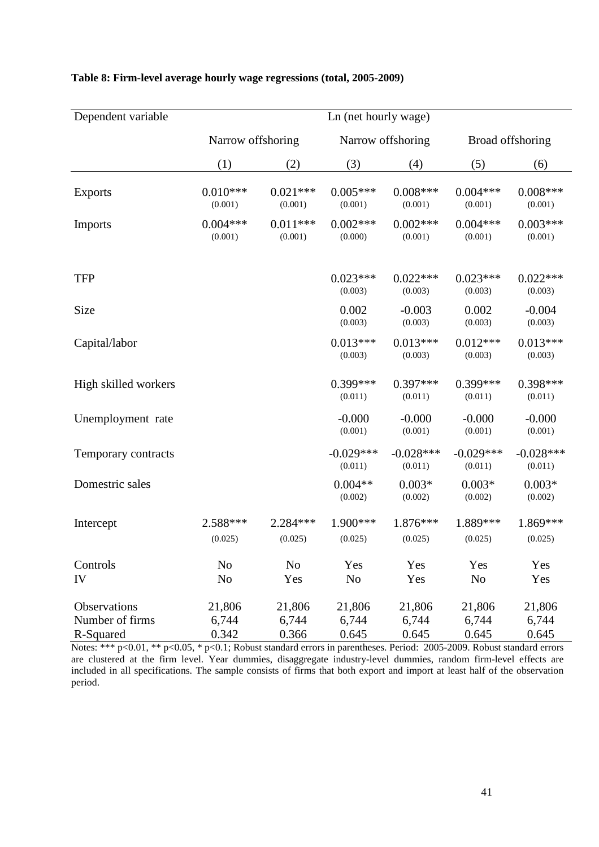| Dependent variable                           | Ln (net hourly wage)     |                          |                          |                          |                          |                          |  |  |  |  |
|----------------------------------------------|--------------------------|--------------------------|--------------------------|--------------------------|--------------------------|--------------------------|--|--|--|--|
|                                              | Narrow offshoring        |                          |                          | Narrow offshoring        |                          | Broad offshoring         |  |  |  |  |
|                                              | (1)                      | (2)                      | (3)                      | (4)                      | (5)                      | (6)                      |  |  |  |  |
| <b>Exports</b>                               | $0.010***$<br>(0.001)    | $0.021***$<br>(0.001)    | $0.005***$<br>(0.001)    | $0.008***$<br>(0.001)    | $0.004***$<br>(0.001)    | $0.008***$<br>(0.001)    |  |  |  |  |
| Imports                                      | $0.004***$<br>(0.001)    | $0.011***$<br>(0.001)    | $0.002***$<br>(0.000)    | $0.002***$<br>(0.001)    | $0.004***$<br>(0.001)    | $0.003***$<br>(0.001)    |  |  |  |  |
| <b>TFP</b>                                   |                          |                          | $0.023***$<br>(0.003)    | $0.022***$<br>(0.003)    | $0.023***$<br>(0.003)    | $0.022***$<br>(0.003)    |  |  |  |  |
| Size                                         |                          |                          | 0.002<br>(0.003)         | $-0.003$<br>(0.003)      | 0.002<br>(0.003)         | $-0.004$<br>(0.003)      |  |  |  |  |
| Capital/labor                                |                          |                          | $0.013***$<br>(0.003)    | $0.013***$<br>(0.003)    | $0.012***$<br>(0.003)    | $0.013***$<br>(0.003)    |  |  |  |  |
| High skilled workers                         |                          |                          | $0.399***$<br>(0.011)    | $0.397***$<br>(0.011)    | $0.399***$<br>(0.011)    | $0.398***$<br>(0.011)    |  |  |  |  |
| Unemployment rate                            |                          |                          | $-0.000$<br>(0.001)      | $-0.000$<br>(0.001)      | $-0.000$<br>(0.001)      | $-0.000$<br>(0.001)      |  |  |  |  |
| Temporary contracts                          |                          |                          | $-0.029***$<br>(0.011)   | $-0.028***$<br>(0.011)   | $-0.029***$<br>(0.011)   | $-0.028***$<br>(0.011)   |  |  |  |  |
| Domestric sales                              |                          |                          | $0.004**$<br>(0.002)     | $0.003*$<br>(0.002)      | $0.003*$<br>(0.002)      | $0.003*$<br>(0.002)      |  |  |  |  |
| Intercept                                    | 2.588***<br>(0.025)      | 2.284 ***<br>(0.025)     | 1.900***<br>(0.025)      | $1.876***$<br>(0.025)    | 1.889***<br>(0.025)      | 1.869***<br>(0.025)      |  |  |  |  |
| Controls<br>IV                               | No<br>No                 | No<br>Yes                | Yes<br>No                | Yes<br>Yes               | Yes<br>N <sub>0</sub>    | Yes<br>Yes               |  |  |  |  |
| Observations<br>Number of firms<br>R-Squared | 21,806<br>6,744<br>0.342 | 21,806<br>6,744<br>0.366 | 21,806<br>6,744<br>0.645 | 21,806<br>6,744<br>0.645 | 21,806<br>6,744<br>0.645 | 21,806<br>6,744<br>0.645 |  |  |  |  |

# **Table 8: Firm-level average hourly wage regressions (total, 2005-2009)**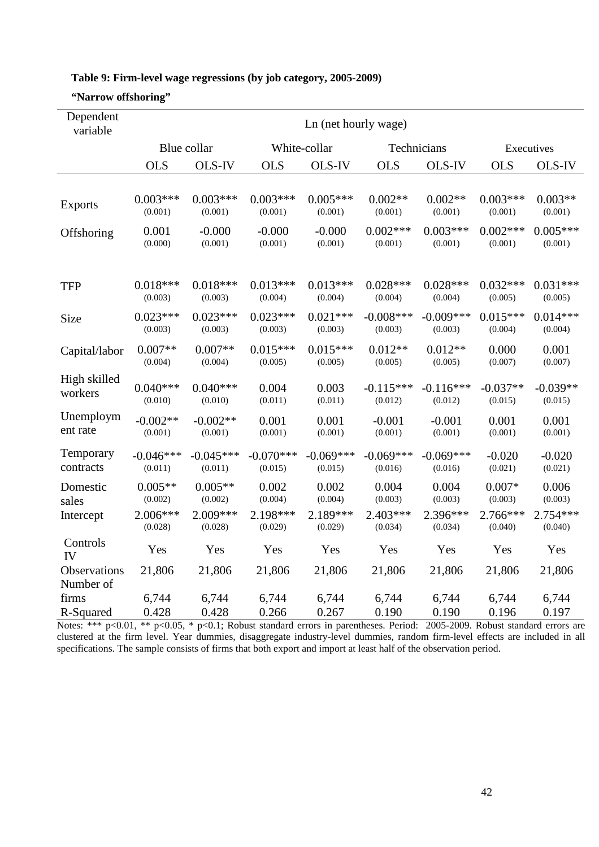| Dependent<br>variable     | Ln (net hourly wage) |               |              |             |             |               |            |            |
|---------------------------|----------------------|---------------|--------------|-------------|-------------|---------------|------------|------------|
|                           | Blue collar          |               | White-collar |             | Technicians |               | Executives |            |
|                           | <b>OLS</b>           | <b>OLS-IV</b> | <b>OLS</b>   | OLS-IV      | <b>OLS</b>  | <b>OLS-IV</b> | <b>OLS</b> | OLS-IV     |
| <b>Exports</b>            | $0.003***$           | $0.003***$    | $0.003***$   | $0.005***$  | $0.002**$   | $0.002**$     | $0.003***$ | $0.003**$  |
|                           | (0.001)              | (0.001)       | (0.001)      | (0.001)     | (0.001)     | (0.001)       | (0.001)    | (0.001)    |
| Offshoring                | 0.001                | $-0.000$      | $-0.000$     | $-0.000$    | $0.002***$  | $0.003***$    | $0.002***$ | $0.005***$ |
|                           | (0.000)              | (0.001)       | (0.001)      | (0.001)     | (0.001)     | (0.001)       | (0.001)    | (0.001)    |
| <b>TFP</b>                | $0.018***$           | $0.018***$    | $0.013***$   | $0.013***$  | $0.028***$  | $0.028***$    | $0.032***$ | $0.031***$ |
|                           | (0.003)              | (0.003)       | (0.004)      | (0.004)     | (0.004)     | (0.004)       | (0.005)    | (0.005)    |
| Size                      | $0.023***$           | $0.023***$    | $0.023***$   | $0.021***$  | $-0.008***$ | $-0.009***$   | $0.015***$ | $0.014***$ |
|                           | (0.003)              | (0.003)       | (0.003)      | (0.003)     | (0.003)     | (0.003)       | (0.004)    | (0.004)    |
| Capital/labor             | $0.007**$            | $0.007**$     | $0.015***$   | $0.015***$  | $0.012**$   | $0.012**$     | 0.000      | 0.001      |
|                           | (0.004)              | (0.004)       | (0.005)      | (0.005)     | (0.005)     | (0.005)       | (0.007)    | (0.007)    |
| High skilled              | $0.040***$           | $0.040***$    | 0.004        | 0.003       | $-0.115***$ | $-0.116***$   | $-0.037**$ | $-0.039**$ |
| workers                   | (0.010)              | (0.010)       | (0.011)      | (0.011)     | (0.012)     | (0.012)       | (0.015)    | (0.015)    |
| Unemploym                 | $-0.002**$           | $-0.002**$    | 0.001        | 0.001       | $-0.001$    | $-0.001$      | 0.001      | 0.001      |
| ent rate                  | (0.001)              | (0.001)       | (0.001)      | (0.001)     | (0.001)     | (0.001)       | (0.001)    | (0.001)    |
| Temporary                 | $-0.046***$          | $-0.045***$   | $-0.070***$  | $-0.069***$ | $-0.069***$ | $-0.069***$   | $-0.020$   | $-0.020$   |
| contracts                 | (0.011)              | (0.011)       | (0.015)      | (0.015)     | (0.016)     | (0.016)       | (0.021)    | (0.021)    |
| Domestic                  | $0.005**$            | $0.005**$     | 0.002        | 0.002       | 0.004       | 0.004         | $0.007*$   | 0.006      |
| sales                     | (0.002)              | (0.002)       | (0.004)      | (0.004)     | (0.003)     | (0.003)       | (0.003)    | (0.003)    |
| Intercept                 | $2.006***$           | $2.009***$    | $2.198***$   | 2.189***    | $2.403***$  | 2.396***      | $2.766***$ | $2.754***$ |
|                           | (0.028)              | (0.028)       | (0.029)      | (0.029)     | (0.034)     | (0.034)       | (0.040)    | (0.040)    |
| Controls<br>IV            | Yes                  | Yes           | Yes          | Yes         | Yes         | Yes           | Yes        | Yes        |
| Observations<br>Number of | 21,806               | 21,806        | 21,806       | 21,806      | 21,806      | 21,806        | 21,806     | 21,806     |
| firms                     | 6,744                | 6,744         | 6,744        | 6,744       | 6,744       | 6,744         | 6,744      | 6,744      |
| R-Squared                 | 0.428                | 0.428         | 0.266        | 0.267       | 0.190       | 0.190         | 0.196      | 0.197      |

# **Table 9: Firm-level wage regressions (by job category, 2005-2009)**

**"Narrow offshoring"**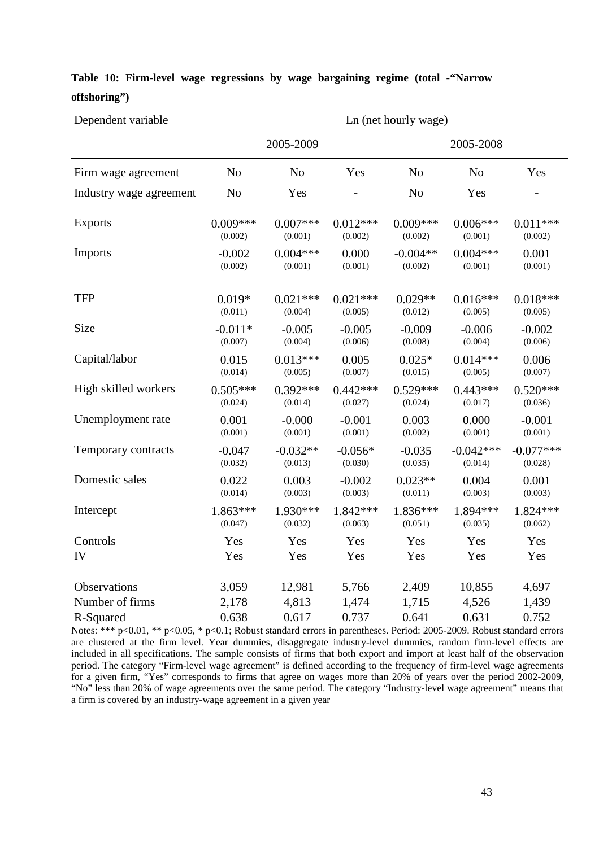| Dependent variable      | Ln (net hourly wage)   |                |                              |                |                |                          |
|-------------------------|------------------------|----------------|------------------------------|----------------|----------------|--------------------------|
|                         | 2005-2009<br>2005-2008 |                |                              |                |                |                          |
| Firm wage agreement     | N <sub>0</sub>         | N <sub>o</sub> | Yes                          | No             | N <sub>o</sub> | Yes                      |
| Industry wage agreement | N <sub>o</sub>         | Yes            | $\qquad \qquad \blacksquare$ | N <sub>o</sub> | Yes            | $\overline{\phantom{0}}$ |
| <b>Exports</b>          | $0.009***$             | $0.007***$     | $0.012***$                   | $0.009***$     | $0.006***$     | $0.011***$               |
|                         | (0.002)                | (0.001)        | (0.002)                      | (0.002)        | (0.001)        | (0.002)                  |
| Imports                 | $-0.002$               | $0.004***$     | 0.000                        | $-0.004**$     | $0.004***$     | 0.001                    |
|                         | (0.002)                | (0.001)        | (0.001)                      | (0.002)        | (0.001)        | (0.001)                  |
| <b>TFP</b>              | $0.019*$               | $0.021***$     | $0.021***$                   | $0.029**$      | $0.016***$     | $0.018***$               |
|                         | (0.011)                | (0.004)        | (0.005)                      | (0.012)        | (0.005)        | (0.005)                  |
| Size                    | $-0.011*$              | $-0.005$       | $-0.005$                     | $-0.009$       | $-0.006$       | $-0.002$                 |
|                         | (0.007)                | (0.004)        | (0.006)                      | (0.008)        | (0.004)        | (0.006)                  |
| Capital/labor           | 0.015                  | $0.013***$     | 0.005                        | $0.025*$       | $0.014***$     | 0.006                    |
|                         | (0.014)                | (0.005)        | (0.007)                      | (0.015)        | (0.005)        | (0.007)                  |
| High skilled workers    | $0.505***$             | $0.392***$     | $0.442***$                   | $0.529***$     | $0.443***$     | $0.520***$               |
|                         | (0.024)                | (0.014)        | (0.027)                      | (0.024)        | (0.017)        | (0.036)                  |
| Unemployment rate       | 0.001                  | $-0.000$       | $-0.001$                     | 0.003          | 0.000          | $-0.001$                 |
|                         | (0.001)                | (0.001)        | (0.001)                      | (0.002)        | (0.001)        | (0.001)                  |
| Temporary contracts     | $-0.047$               | $-0.032**$     | $-0.056*$                    | $-0.035$       | $-0.042***$    | $-0.077***$              |
|                         | (0.032)                | (0.013)        | (0.030)                      | (0.035)        | (0.014)        | (0.028)                  |
| Domestic sales          | 0.022                  | 0.003          | $-0.002$                     | $0.023**$      | 0.004          | 0.001                    |
|                         | (0.014)                | (0.003)        | (0.003)                      | (0.011)        | (0.003)        | (0.003)                  |
| Intercept               | $1.863***$             | $1.930***$     | $1.842***$                   | $1.836***$     | 1.894 ***      | $1.824***$               |
|                         | (0.047)                | (0.032)        | (0.063)                      | (0.051)        | (0.035)        | (0.062)                  |
| Controls                | Yes                    | Yes            | Yes                          | Yes            | Yes            | Yes                      |
| IV                      | Yes                    | Yes            | Yes                          | Yes            | Yes            | Yes                      |
| Observations            | 3,059                  | 12,981         | 5,766                        | 2,409          | 10,855         | 4,697                    |
| Number of firms         | 2,178                  | 4,813          | 1,474                        | 1,715          | 4,526          | 1,439                    |
| R-Squared               | 0.638                  | 0.617          | 0.737                        | 0.641          | 0.631          | 0.752                    |

# **Table 10: Firm-level wage regressions by wage bargaining regime (total -"Narrow offshoring")**

Notes: \*\*\* p<0.01, \*\* p<0.05, \* p<0.1; Robust standard errors in parentheses. Period: 2005-2009. Robust standard errors are clustered at the firm level. Year dummies, disaggregate industry-level dummies, random firm-level effects are included in all specifications. The sample consists of firms that both export and import at least half of the observation period. The category "Firm-level wage agreement" is defined according to the frequency of firm-level wage agreements for a given firm, "Yes" corresponds to firms that agree on wages more than 20% of years over the period 2002-2009, "No" less than 20% of wage agreements over the same period. The category "Industry-level wage agreement" means that a firm is covered by an industry-wage agreement in a given year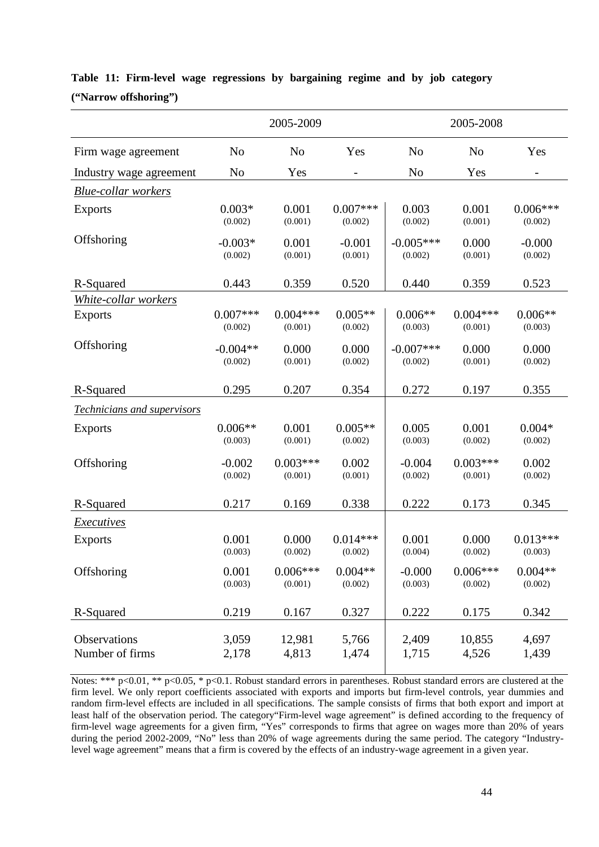|                                    |                       | 2005-2009             |                          |                         | 2005-2008             |                          |
|------------------------------------|-----------------------|-----------------------|--------------------------|-------------------------|-----------------------|--------------------------|
| Firm wage agreement                | N <sub>o</sub>        | N <sub>0</sub>        | Yes                      | N <sub>o</sub>          | N <sub>o</sub>        | Yes                      |
| Industry wage agreement            | N <sub>o</sub>        | Yes                   | $\overline{\phantom{a}}$ | N <sub>o</sub>          | Yes                   | $\overline{\phantom{0}}$ |
| <b>Blue-collar workers</b>         |                       |                       |                          |                         |                       |                          |
| <b>Exports</b>                     | $0.003*$<br>(0.002)   | 0.001<br>(0.001)      | $0.007***$<br>(0.002)    | 0.003<br>(0.002)        | 0.001<br>(0.001)      | $0.006***$<br>(0.002)    |
| Offshoring                         | $-0.003*$<br>(0.002)  | 0.001<br>(0.001)      | $-0.001$<br>(0.001)      | $-0.005***$<br>(0.002)  | 0.000<br>(0.001)      | $-0.000$<br>(0.002)      |
| R-Squared                          | 0.443                 | 0.359                 | 0.520                    | 0.440                   | 0.359                 | 0.523                    |
| White-collar workers               |                       |                       |                          |                         |                       |                          |
| <b>Exports</b>                     | $0.007***$<br>(0.002) | $0.004***$<br>(0.001) | $0.005**$<br>(0.002)     | $0.006**$<br>(0.003)    | $0.004***$<br>(0.001) | $0.006**$<br>(0.003)     |
| Offshoring                         | $-0.004**$<br>(0.002) | 0.000<br>(0.001)      | 0.000<br>(0.002)         | $-0.007$ ***<br>(0.002) | 0.000<br>(0.001)      | 0.000<br>(0.002)         |
| R-Squared                          | 0.295                 | 0.207                 | 0.354                    | 0.272                   | 0.197                 | 0.355                    |
| <b>Technicians and supervisors</b> |                       |                       |                          |                         |                       |                          |
| <b>Exports</b>                     | $0.006**$<br>(0.003)  | 0.001<br>(0.001)      | $0.005**$<br>(0.002)     | 0.005<br>(0.003)        | 0.001<br>(0.002)      | $0.004*$<br>(0.002)      |
| Offshoring                         | $-0.002$<br>(0.002)   | $0.003***$<br>(0.001) | 0.002<br>(0.001)         | $-0.004$<br>(0.002)     | $0.003***$<br>(0.001) | 0.002<br>(0.002)         |
| R-Squared                          | 0.217                 | 0.169                 | 0.338                    | 0.222                   | 0.173                 | 0.345                    |
| Executives                         |                       |                       |                          |                         |                       |                          |
| <b>Exports</b>                     | 0.001<br>(0.003)      | 0.000<br>(0.002)      | $0.014***$<br>(0.002)    | 0.001<br>(0.004)        | 0.000<br>(0.002)      | $0.013***$<br>(0.003)    |
| Offshoring                         | 0.001<br>(0.003)      | $0.006***$<br>(0.001) | $0.004**$<br>(0.002)     | $-0.000$<br>(0.003)     | $0.006***$<br>(0.002) | $0.004**$<br>(0.002)     |
| R-Squared                          | 0.219                 | 0.167                 | 0.327                    | 0.222                   | 0.175                 | 0.342                    |
| Observations<br>Number of firms    | 3,059<br>2,178        | 12,981<br>4,813       | 5,766<br>1,474           | 2,409<br>1,715          | 10,855<br>4,526       | 4,697<br>1,439           |

# **Table 11: Firm-level wage regressions by bargaining regime and by job category ("Narrow offshoring")**

Notes: \*\*\* p<0.01, \*\* p<0.05, \* p<0.1. Robust standard errors in parentheses. Robust standard errors are clustered at the firm level. We only report coefficients associated with exports and imports but firm-level controls, year dummies and random firm-level effects are included in all specifications. The sample consists of firms that both export and import at least half of the observation period. The category"Firm-level wage agreement" is defined according to the frequency of firm-level wage agreements for a given firm, "Yes" corresponds to firms that agree on wages more than 20% of years during the period 2002-2009, "No" less than 20% of wage agreements during the same period. The category "Industrylevel wage agreement" means that a firm is covered by the effects of an industry-wage agreement in a given year.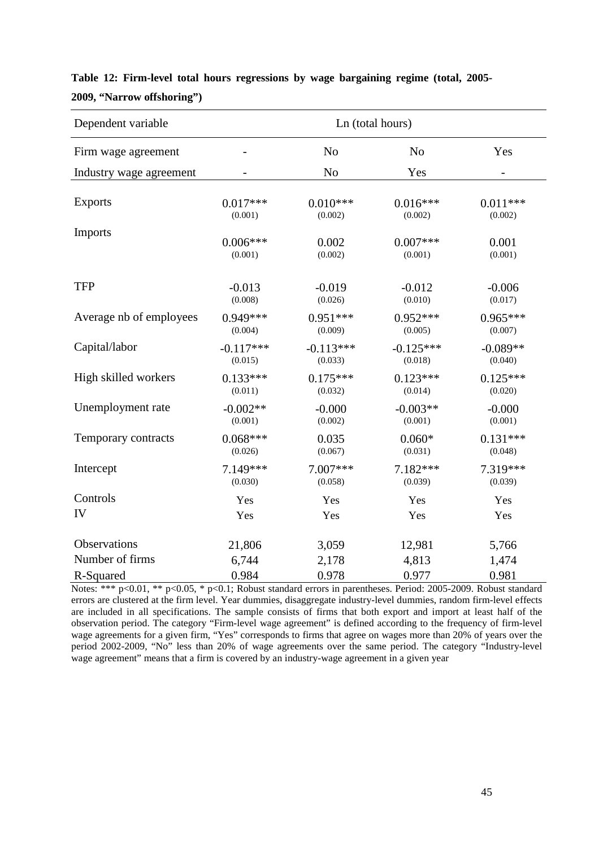| Dependent variable      | Ln (total hours) |                |                |            |  |  |  |
|-------------------------|------------------|----------------|----------------|------------|--|--|--|
| Firm wage agreement     |                  | N <sub>o</sub> | N <sub>o</sub> | Yes        |  |  |  |
| Industry wage agreement |                  | No             | Yes            |            |  |  |  |
| <b>Exports</b>          | $0.017***$       | $0.010***$     | $0.016***$     | $0.011***$ |  |  |  |
|                         | (0.001)          | (0.002)        | (0.002)        | (0.002)    |  |  |  |
| Imports                 | $0.006***$       | 0.002          | $0.007***$     | 0.001      |  |  |  |
|                         | (0.001)          | (0.002)        | (0.001)        | (0.001)    |  |  |  |
| <b>TFP</b>              | $-0.013$         | $-0.019$       | $-0.012$       | $-0.006$   |  |  |  |
|                         | (0.008)          | (0.026)        | (0.010)        | (0.017)    |  |  |  |
| Average nb of employees | $0.949***$       | $0.951***$     | $0.952***$     | $0.965***$ |  |  |  |
|                         | (0.004)          | (0.009)        | (0.005)        | (0.007)    |  |  |  |
| Capital/labor           | $-0.117***$      | $-0.113***$    | $-0.125***$    | $-0.089**$ |  |  |  |
|                         | (0.015)          | (0.033)        | (0.018)        | (0.040)    |  |  |  |
| High skilled workers    | $0.133***$       | $0.175***$     | $0.123***$     | $0.125***$ |  |  |  |
|                         | (0.011)          | (0.032)        | (0.014)        | (0.020)    |  |  |  |
| Unemployment rate       | $-0.002**$       | $-0.000$       | $-0.003**$     | $-0.000$   |  |  |  |
|                         | (0.001)          | (0.002)        | (0.001)        | (0.001)    |  |  |  |
| Temporary contracts     | $0.068***$       | 0.035          | $0.060*$       | $0.131***$ |  |  |  |
|                         | (0.026)          | (0.067)        | (0.031)        | (0.048)    |  |  |  |
| Intercept               | 7.149***         | 7.007***       | 7.182***       | 7.319***   |  |  |  |
|                         | (0.030)          | (0.058)        | (0.039)        | (0.039)    |  |  |  |
| Controls                | Yes              | Yes            | Yes            | Yes        |  |  |  |
| IV                      | Yes              | Yes            | Yes            | Yes        |  |  |  |
| Observations            | 21,806           | 3,059          | 12,981         | 5,766      |  |  |  |
| Number of firms         | 6,744            | 2,178          | 4,813          | 1,474      |  |  |  |
| R-Squared               | 0.984            | 0.978          | 0.977          | 0.981      |  |  |  |

# **Table 12: Firm-level total hours regressions by wage bargaining regime (total, 2005- 2009, "Narrow offshoring")**

Notes: \*\*\* p<0.01, \*\* p<0.05, \* p<0.1; Robust standard errors in parentheses. Period: 2005-2009. Robust standard errors are clustered at the firm level. Year dummies, disaggregate industry-level dummies, random firm-level effects are included in all specifications. The sample consists of firms that both export and import at least half of the observation period. The category "Firm-level wage agreement" is defined according to the frequency of firm-level wage agreements for a given firm, "Yes" corresponds to firms that agree on wages more than 20% of years over the period 2002-2009, "No" less than 20% of wage agreements over the same period. The category "Industry-level wage agreement" means that a firm is covered by an industry-wage agreement in a given year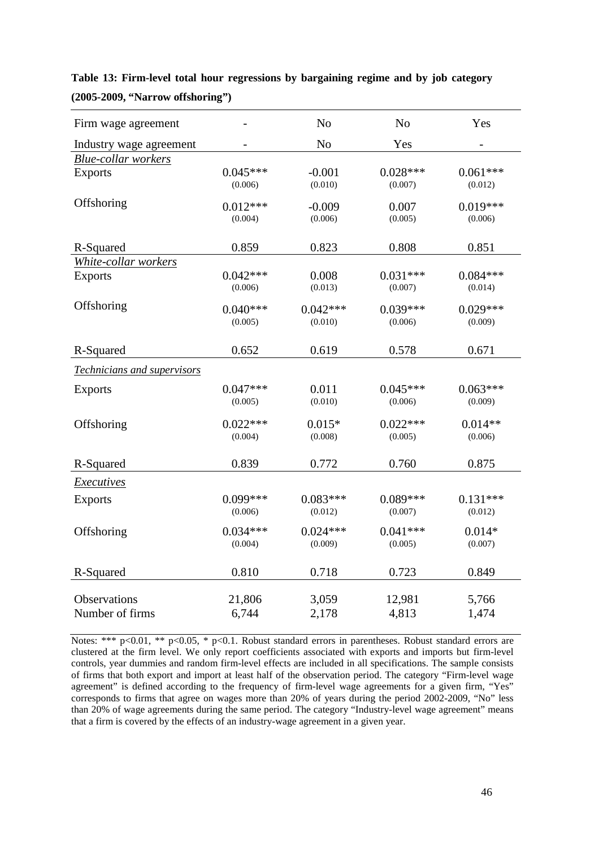| Firm wage agreement                |                       | N <sub>o</sub>        | N <sub>o</sub>        | Yes                   |
|------------------------------------|-----------------------|-----------------------|-----------------------|-----------------------|
| Industry wage agreement            |                       | No                    | Yes                   |                       |
| <b>Blue-collar workers</b>         |                       |                       |                       |                       |
| <b>Exports</b>                     | $0.045***$<br>(0.006) | $-0.001$<br>(0.010)   | $0.028***$<br>(0.007) | $0.061***$<br>(0.012) |
| Offshoring                         | $0.012***$<br>(0.004) | $-0.009$<br>(0.006)   | 0.007<br>(0.005)      | $0.019***$<br>(0.006) |
| R-Squared                          | 0.859                 | 0.823                 | 0.808                 | 0.851                 |
| White-collar workers               |                       |                       |                       |                       |
| <b>Exports</b>                     | $0.042***$<br>(0.006) | 0.008<br>(0.013)      | $0.031***$<br>(0.007) | $0.084***$<br>(0.014) |
| Offshoring                         | $0.040***$<br>(0.005) | $0.042***$<br>(0.010) | $0.039***$<br>(0.006) | $0.029***$<br>(0.009) |
| R-Squared                          | 0.652                 | 0.619                 | 0.578                 | 0.671                 |
| <b>Technicians and supervisors</b> |                       |                       |                       |                       |
| <b>Exports</b>                     | $0.047***$<br>(0.005) | 0.011<br>(0.010)      | $0.045***$<br>(0.006) | $0.063***$<br>(0.009) |
| Offshoring                         | $0.022***$<br>(0.004) | $0.015*$<br>(0.008)   | $0.022***$<br>(0.005) | $0.014**$<br>(0.006)  |
| R-Squared                          | 0.839                 | 0.772                 | 0.760                 | 0.875                 |
| <b>Executives</b>                  |                       |                       |                       |                       |
| <b>Exports</b>                     | $0.099***$<br>(0.006) | $0.083***$<br>(0.012) | $0.089***$<br>(0.007) | $0.131***$<br>(0.012) |
| Offshoring                         | $0.034***$<br>(0.004) | $0.024***$<br>(0.009) | $0.041***$<br>(0.005) | $0.014*$<br>(0.007)   |
| R-Squared                          | 0.810                 | 0.718                 | 0.723                 | 0.849                 |
| Observations<br>Number of firms    | 21,806<br>6,744       | 3,059<br>2,178        | 12,981<br>4,813       | 5,766<br>1,474        |

**Table 13: Firm-level total hour regressions by bargaining regime and by job category (2005-2009, "Narrow offshoring")** 

Notes: \*\*\* p<0.01, \*\* p<0.05, \* p<0.1. Robust standard errors in parentheses. Robust standard errors are clustered at the firm level. We only report coefficients associated with exports and imports but firm-level controls, year dummies and random firm-level effects are included in all specifications. The sample consists of firms that both export and import at least half of the observation period. The category "Firm-level wage agreement" is defined according to the frequency of firm-level wage agreements for a given firm, "Yes" corresponds to firms that agree on wages more than 20% of years during the period 2002-2009, "No" less than 20% of wage agreements during the same period. The category "Industry-level wage agreement" means that a firm is covered by the effects of an industry-wage agreement in a given year.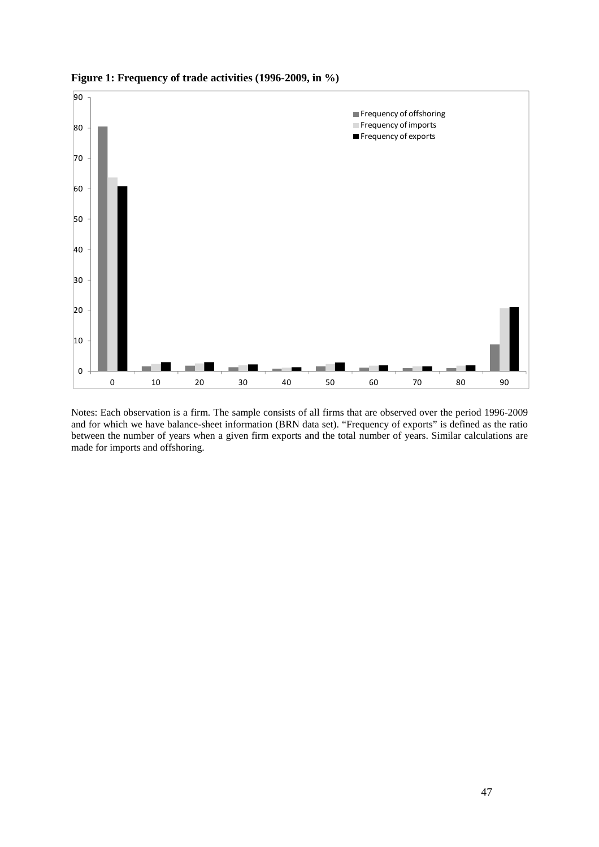

**Figure 1: Frequency of trade activities (1996-2009, in %)** 

Notes: Each observation is a firm. The sample consists of all firms that are observed over the period 1996-2009 and for which we have balance-sheet information (BRN data set). "Frequency of exports" is defined as the ratio between the number of years when a given firm exports and the total number of years. Similar calculations are made for imports and offshoring.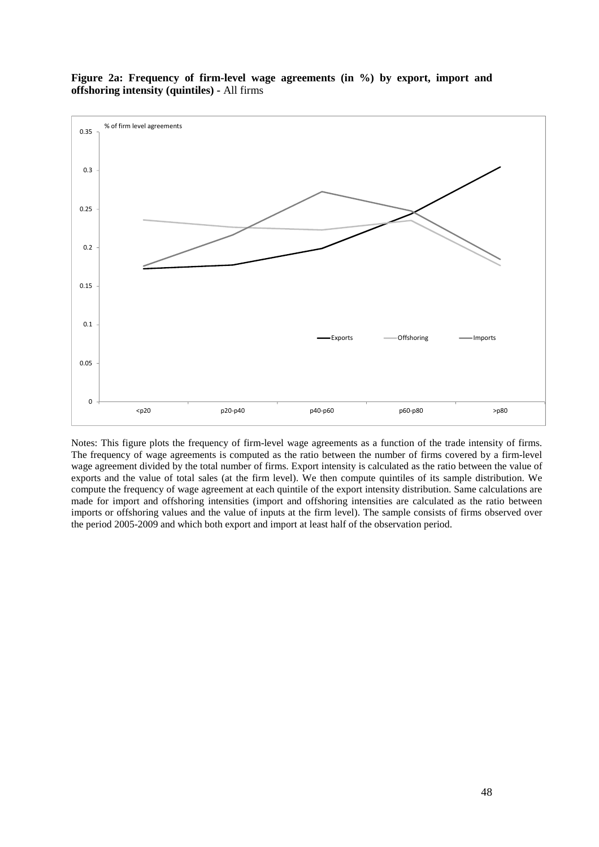

### **Figure 2a: Frequency of firm-level wage agreements (in %) by export, import and offshoring intensity (quintiles) -** All firms

Notes: This figure plots the frequency of firm-level wage agreements as a function of the trade intensity of firms. The frequency of wage agreements is computed as the ratio between the number of firms covered by a firm-level wage agreement divided by the total number of firms. Export intensity is calculated as the ratio between the value of exports and the value of total sales (at the firm level). We then compute quintiles of its sample distribution. We compute the frequency of wage agreement at each quintile of the export intensity distribution. Same calculations are made for import and offshoring intensities (import and offshoring intensities are calculated as the ratio between imports or offshoring values and the value of inputs at the firm level). The sample consists of firms observed over the period 2005-2009 and which both export and import at least half of the observation period.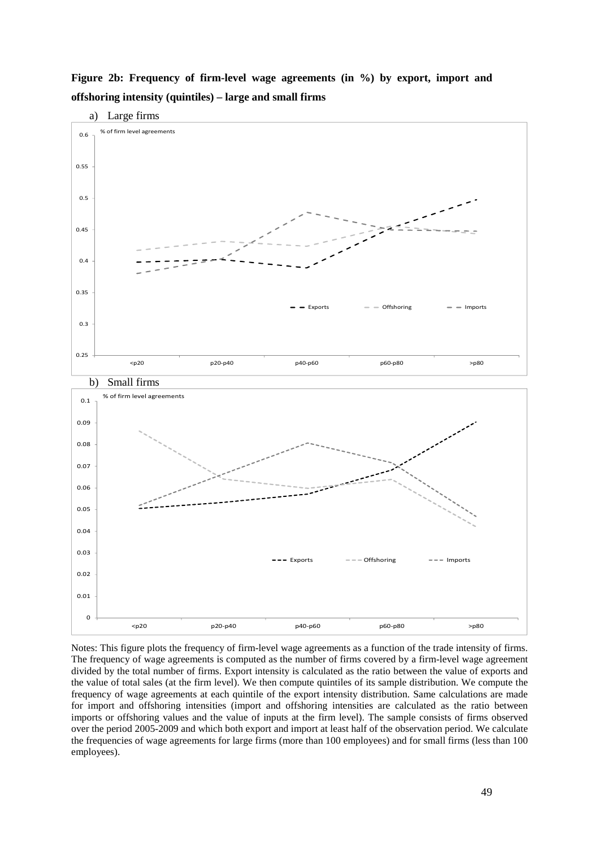**Figure 2b: Frequency of firm-level wage agreements (in %) by export, import and offshoring intensity (quintiles) – large and small firms** 



Notes: This figure plots the frequency of firm-level wage agreements as a function of the trade intensity of firms. The frequency of wage agreements is computed as the number of firms covered by a firm-level wage agreement divided by the total number of firms. Export intensity is calculated as the ratio between the value of exports and the value of total sales (at the firm level). We then compute quintiles of its sample distribution. We compute the frequency of wage agreements at each quintile of the export intensity distribution. Same calculations are made for import and offshoring intensities (import and offshoring intensities are calculated as the ratio between imports or offshoring values and the value of inputs at the firm level). The sample consists of firms observed over the period 2005-2009 and which both export and import at least half of the observation period. We calculate the frequencies of wage agreements for large firms (more than 100 employees) and for small firms (less than 100 employees).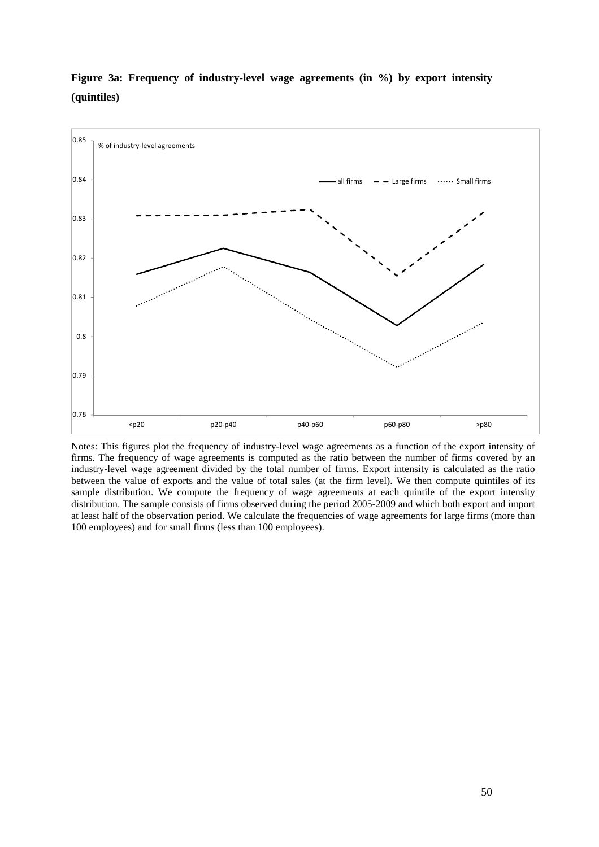

# **Figure 3a: Frequency of industry-level wage agreements (in %) by export intensity (quintiles)**

Notes: This figures plot the frequency of industry-level wage agreements as a function of the export intensity of firms. The frequency of wage agreements is computed as the ratio between the number of firms covered by an industry-level wage agreement divided by the total number of firms. Export intensity is calculated as the ratio between the value of exports and the value of total sales (at the firm level). We then compute quintiles of its sample distribution. We compute the frequency of wage agreements at each quintile of the export intensity distribution. The sample consists of firms observed during the period 2005-2009 and which both export and import at least half of the observation period. We calculate the frequencies of wage agreements for large firms (more than 100 employees) and for small firms (less than 100 employees).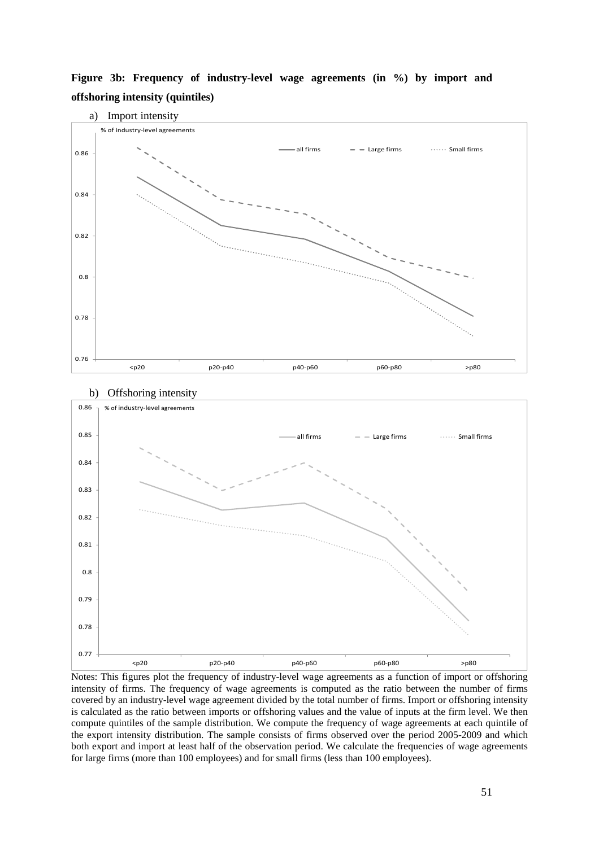**Figure 3b: Frequency of industry-level wage agreements (in %) by import and offshoring intensity (quintiles)** 





Notes: This figures plot the frequency of industry-level wage agreements as a function of import or offshoring intensity of firms. The frequency of wage agreements is computed as the ratio between the number of firms covered by an industry-level wage agreement divided by the total number of firms. Import or offshoring intensity is calculated as the ratio between imports or offshoring values and the value of inputs at the firm level. We then compute quintiles of the sample distribution. We compute the frequency of wage agreements at each quintile of the export intensity distribution. The sample consists of firms observed over the period 2005-2009 and which both export and import at least half of the observation period. We calculate the frequencies of wage agreements for large firms (more than 100 employees) and for small firms (less than 100 employees).

b) Offshoring intensity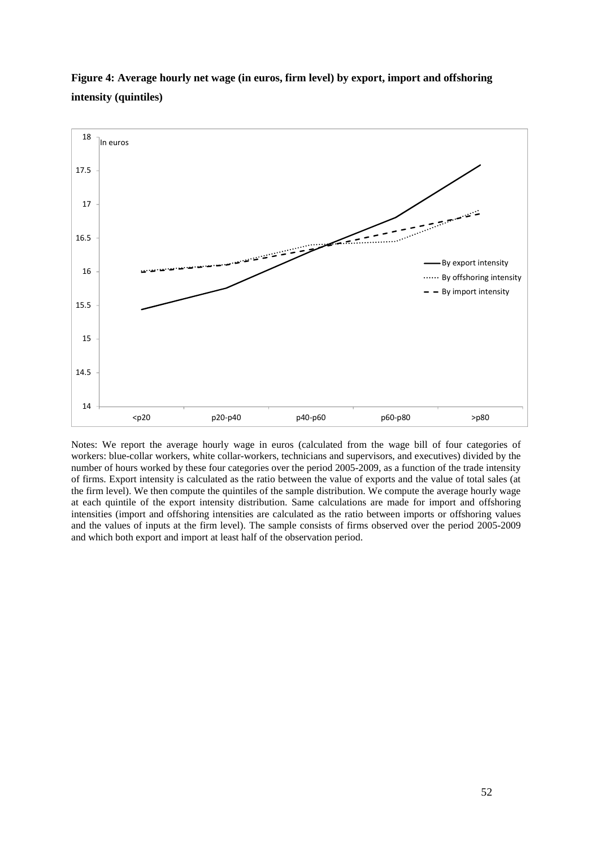

**Figure 4: Average hourly net wage (in euros, firm level) by export, import and offshoring intensity (quintiles)** 

Notes: We report the average hourly wage in euros (calculated from the wage bill of four categories of workers: blue-collar workers, white collar-workers, technicians and supervisors, and executives) divided by the number of hours worked by these four categories over the period 2005-2009, as a function of the trade intensity of firms. Export intensity is calculated as the ratio between the value of exports and the value of total sales (at the firm level). We then compute the quintiles of the sample distribution. We compute the average hourly wage at each quintile of the export intensity distribution. Same calculations are made for import and offshoring intensities (import and offshoring intensities are calculated as the ratio between imports or offshoring values and the values of inputs at the firm level). The sample consists of firms observed over the period 2005-2009 and which both export and import at least half of the observation period.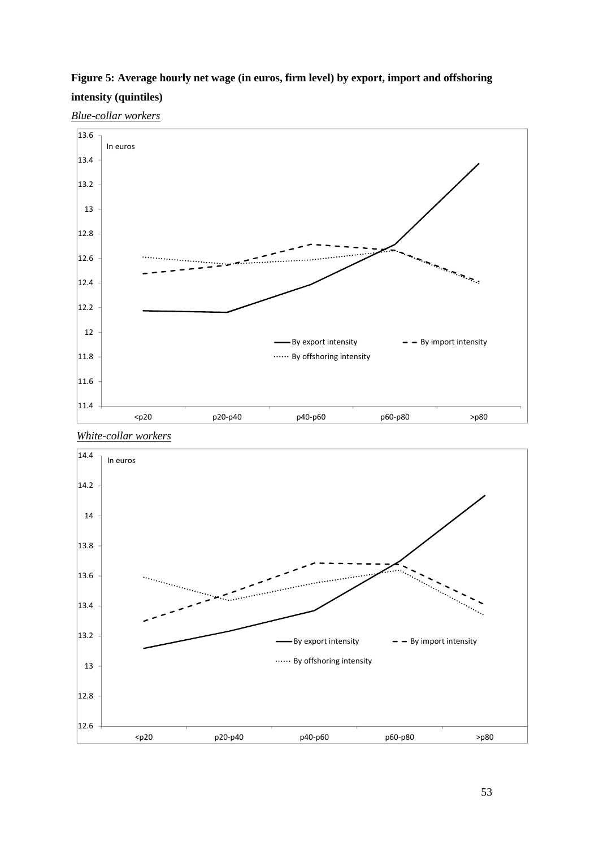# **Figure 5: Average hourly net wage (in euros, firm level) by export, import and offshoring intensity (quintiles)**

*Blue-collar workers* 



*White-collar workers*

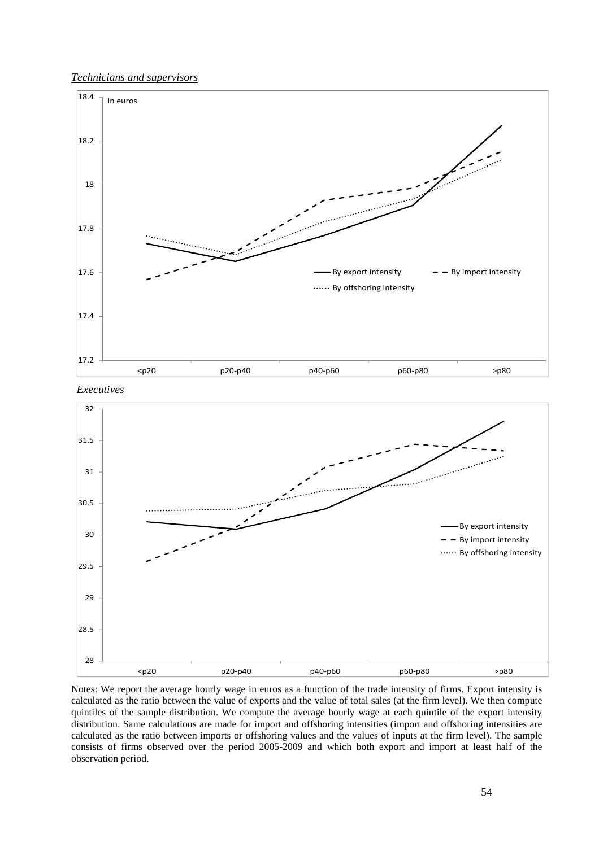### *Technicians and supervisors*



Notes: We report the average hourly wage in euros as a function of the trade intensity of firms. Export intensity is calculated as the ratio between the value of exports and the value of total sales (at the firm level). We then compute quintiles of the sample distribution. We compute the average hourly wage at each quintile of the export intensity distribution. Same calculations are made for import and offshoring intensities (import and offshoring intensities are calculated as the ratio between imports or offshoring values and the values of inputs at the firm level). The sample consists of firms observed over the period 2005-2009 and which both export and import at least half of the observation period.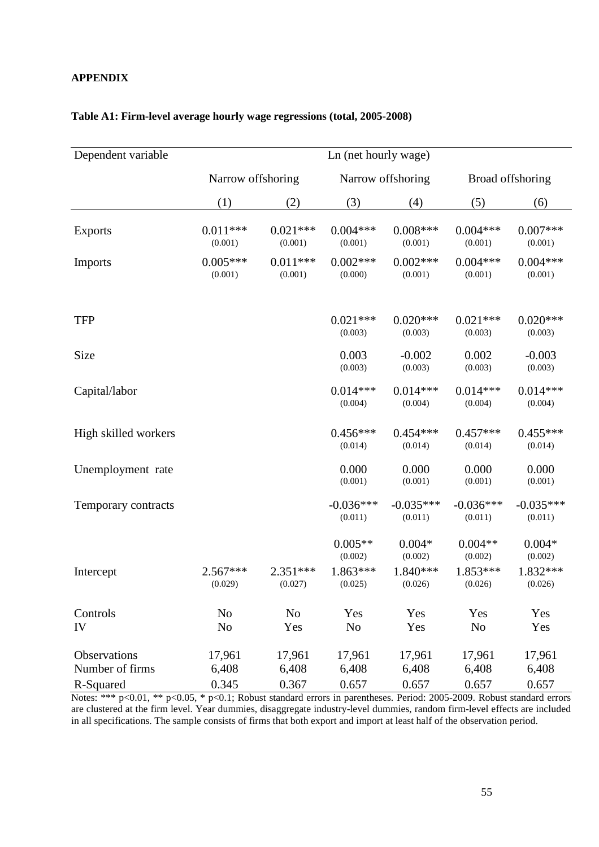### **APPENDIX**

| Dependent variable                           | Ln (net hourly wage)             |                          |                          |                          |                          |                          |  |  |  |
|----------------------------------------------|----------------------------------|--------------------------|--------------------------|--------------------------|--------------------------|--------------------------|--|--|--|
|                                              | Narrow offshoring                |                          |                          | Narrow offshoring        |                          | <b>Broad offshoring</b>  |  |  |  |
|                                              | (1)                              | (2)                      | (3)                      | (4)                      | (5)                      | (6)                      |  |  |  |
| <b>Exports</b>                               | $0.011***$<br>(0.001)            | $0.021***$<br>(0.001)    | $0.004***$<br>(0.001)    | $0.008***$<br>(0.001)    | $0.004***$<br>(0.001)    | $0.007***$<br>(0.001)    |  |  |  |
| Imports                                      | $0.005***$<br>(0.001)            | $0.011***$<br>(0.001)    | $0.002***$<br>(0.000)    | $0.002***$<br>(0.001)    | $0.004***$<br>(0.001)    | $0.004***$<br>(0.001)    |  |  |  |
| <b>TFP</b>                                   |                                  |                          | $0.021***$<br>(0.003)    | $0.020***$<br>(0.003)    | $0.021***$<br>(0.003)    | $0.020***$<br>(0.003)    |  |  |  |
| Size                                         |                                  |                          | 0.003<br>(0.003)         | $-0.002$<br>(0.003)      | 0.002<br>(0.003)         | $-0.003$<br>(0.003)      |  |  |  |
| Capital/labor                                |                                  |                          | $0.014***$<br>(0.004)    | $0.014***$<br>(0.004)    | $0.014***$<br>(0.004)    | $0.014***$<br>(0.004)    |  |  |  |
| High skilled workers                         |                                  |                          | $0.456***$<br>(0.014)    | $0.454***$<br>(0.014)    | $0.457***$<br>(0.014)    | $0.455***$<br>(0.014)    |  |  |  |
| Unemployment rate                            |                                  |                          | 0.000<br>(0.001)         | 0.000<br>(0.001)         | 0.000<br>(0.001)         | 0.000<br>(0.001)         |  |  |  |
| Temporary contracts                          |                                  |                          | $-0.036***$<br>(0.011)   | $-0.035***$<br>(0.011)   | $-0.036***$<br>(0.011)   | $-0.035***$<br>(0.011)   |  |  |  |
|                                              |                                  |                          | $0.005**$<br>(0.002)     | $0.004*$<br>(0.002)      | $0.004**$<br>(0.002)     | $0.004*$<br>(0.002)      |  |  |  |
| Intercept                                    | $2.567***$<br>(0.029)            | $2.351***$<br>(0.027)    | $1.863***$<br>(0.025)    | 1.840***<br>(0.026)      | $1.853***$<br>(0.026)    | 1.832***<br>(0.026)      |  |  |  |
| Controls<br>IV                               | N <sub>0</sub><br>N <sub>0</sub> | N <sub>o</sub><br>Yes    | Yes<br>N <sub>o</sub>    | Yes<br>Yes               | Yes<br>N <sub>o</sub>    | Yes<br>Yes               |  |  |  |
| Observations<br>Number of firms<br>R-Squared | 17,961<br>6,408<br>0.345         | 17,961<br>6,408<br>0.367 | 17,961<br>6,408<br>0.657 | 17,961<br>6,408<br>0.657 | 17,961<br>6,408<br>0.657 | 17,961<br>6,408<br>0.657 |  |  |  |

### **Table A1: Firm-level average hourly wage regressions (total, 2005-2008)**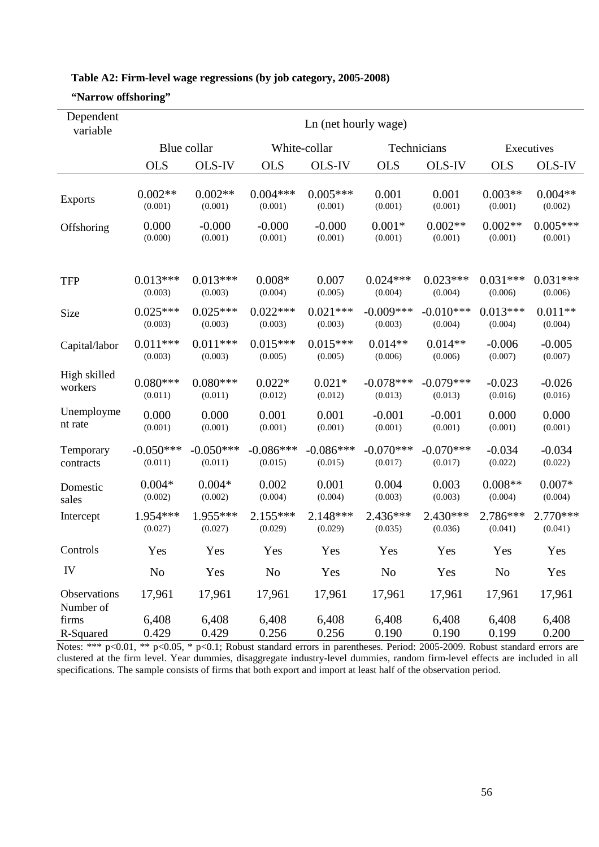| Dependent<br>variable     | Ln (net hourly wage) |             |              |             |             |             |                |            |
|---------------------------|----------------------|-------------|--------------|-------------|-------------|-------------|----------------|------------|
|                           | Blue collar          |             | White-collar |             | Technicians |             | Executives     |            |
|                           | <b>OLS</b>           | OLS-IV      | <b>OLS</b>   | OLS-IV      | <b>OLS</b>  | OLS-IV      | <b>OLS</b>     | OLS-IV     |
| <b>Exports</b>            | $0.002**$            | $0.002**$   | $0.004***$   | $0.005***$  | 0.001       | 0.001       | $0.003**$      | $0.004**$  |
|                           | (0.001)              | (0.001)     | (0.001)      | (0.001)     | (0.001)     | (0.001)     | (0.001)        | (0.002)    |
| Offshoring                | 0.000                | $-0.000$    | $-0.000$     | $-0.000$    | $0.001*$    | $0.002**$   | $0.002**$      | $0.005***$ |
|                           | (0.000)              | (0.001)     | (0.001)      | (0.001)     | (0.001)     | (0.001)     | (0.001)        | (0.001)    |
| <b>TFP</b>                | $0.013***$           | $0.013***$  | $0.008*$     | 0.007       | $0.024***$  | $0.023***$  | $0.031***$     | $0.031***$ |
|                           | (0.003)              | (0.003)     | (0.004)      | (0.005)     | (0.004)     | (0.004)     | (0.006)        | (0.006)    |
| Size                      | $0.025***$           | $0.025***$  | $0.022***$   | $0.021***$  | $-0.009***$ | $-0.010***$ | $0.013***$     | $0.011**$  |
|                           | (0.003)              | (0.003)     | (0.003)      | (0.003)     | (0.003)     | (0.004)     | (0.004)        | (0.004)    |
| Capital/labor             | $0.011***$           | $0.011***$  | $0.015***$   | $0.015***$  | $0.014**$   | $0.014**$   | $-0.006$       | $-0.005$   |
|                           | (0.003)              | (0.003)     | (0.005)      | (0.005)     | (0.006)     | (0.006)     | (0.007)        | (0.007)    |
| High skilled              | $0.080***$           | $0.080***$  | $0.022*$     | $0.021*$    | $-0.078***$ | $-0.079***$ | $-0.023$       | $-0.026$   |
| workers                   | (0.011)              | (0.011)     | (0.012)      | (0.012)     | (0.013)     | (0.013)     | (0.016)        | (0.016)    |
| Unemployme                | 0.000                | 0.000       | 0.001        | 0.001       | $-0.001$    | $-0.001$    | 0.000          | 0.000      |
| nt rate                   | (0.001)              | (0.001)     | (0.001)      | (0.001)     | (0.001)     | (0.001)     | (0.001)        | (0.001)    |
| Temporary                 | $-0.050***$          | $-0.050***$ | $-0.086***$  | $-0.086***$ | $-0.070***$ | $-0.070***$ | $-0.034$       | $-0.034$   |
| contracts                 | (0.011)              | (0.011)     | (0.015)      | (0.015)     | (0.017)     | (0.017)     | (0.022)        | (0.022)    |
| Domestic                  | $0.004*$             | $0.004*$    | 0.002        | 0.001       | 0.004       | 0.003       | $0.008**$      | $0.007*$   |
| sales                     | (0.002)              | (0.002)     | (0.004)      | (0.004)     | (0.003)     | (0.003)     | (0.004)        | (0.004)    |
| Intercept                 | 1.954 ***            | 1.955***    | $2.155***$   | $2.148***$  | 2.436***    | $2.430***$  | 2.786***       | $2.770***$ |
|                           | (0.027)              | (0.027)     | (0.029)      | (0.029)     | (0.035)     | (0.036)     | (0.041)        | (0.041)    |
| Controls                  | Yes                  | Yes         | Yes          | Yes         | Yes         | Yes         | Yes            | Yes        |
| IV                        | N <sub>o</sub>       | Yes         | No           | Yes         | No          | Yes         | N <sub>o</sub> | Yes        |
| Observations<br>Number of | 17,961               | 17,961      | 17,961       | 17,961      | 17,961      | 17,961      | 17,961         | 17,961     |
| firms                     | 6,408                | 6,408       | 6,408        | 6,408       | 6,408       | 6,408       | 6,408          | 6,408      |
| R-Squared                 | 0.429                | 0.429       | 0.256        | 0.256       | 0.190       | 0.190       | 0.199          | 0.200      |

# **Table A2: Firm-level wage regressions (by job category, 2005-2008)**

**"Narrow offshoring"**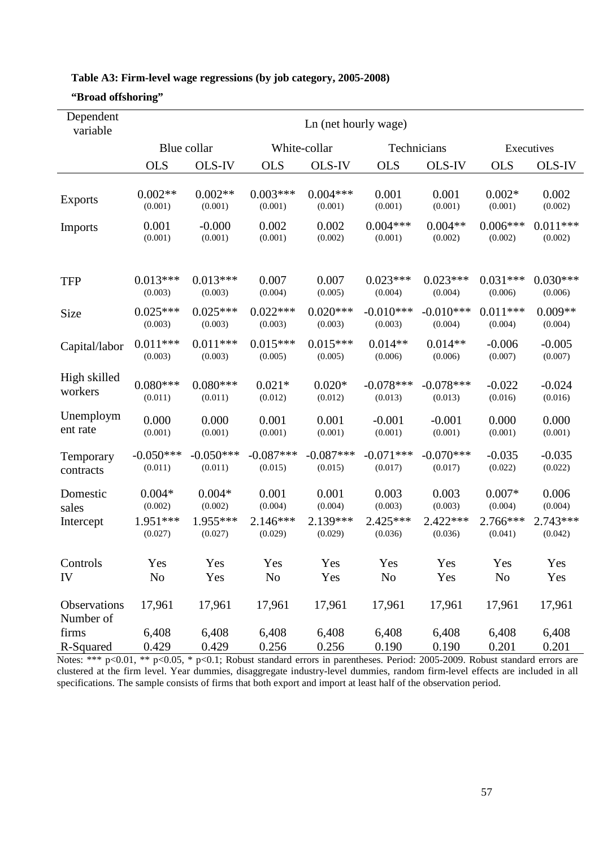| Dependent<br>variable     | Ln (net hourly wage) |               |             |              |             |             |            |               |
|---------------------------|----------------------|---------------|-------------|--------------|-------------|-------------|------------|---------------|
|                           |                      | Blue collar   |             | White-collar |             | Technicians |            | Executives    |
|                           | <b>OLS</b>           | <b>OLS-IV</b> | <b>OLS</b>  | OLS-IV       | <b>OLS</b>  | OLS-IV      | <b>OLS</b> | <b>OLS-IV</b> |
| <b>Exports</b>            | $0.002**$            | $0.002**$     | $0.003***$  | $0.004***$   | 0.001       | 0.001       | $0.002*$   | 0.002         |
|                           | (0.001)              | (0.001)       | (0.001)     | (0.001)      | (0.001)     | (0.001)     | (0.001)    | (0.002)       |
| Imports                   | 0.001                | $-0.000$      | 0.002       | 0.002        | $0.004***$  | $0.004**$   | $0.006***$ | $0.011***$    |
|                           | (0.001)              | (0.001)       | (0.001)     | (0.002)      | (0.001)     | (0.002)     | (0.002)    | (0.002)       |
| <b>TFP</b>                | $0.013***$           | $0.013***$    | 0.007       | 0.007        | $0.023***$  | $0.023***$  | $0.031***$ | $0.030***$    |
|                           | (0.003)              | (0.003)       | (0.004)     | (0.005)      | (0.004)     | (0.004)     | (0.006)    | (0.006)       |
| Size                      | $0.025***$           | $0.025***$    | $0.022***$  | $0.020***$   | $-0.010***$ | $-0.010***$ | $0.011***$ | $0.009**$     |
|                           | (0.003)              | (0.003)       | (0.003)     | (0.003)      | (0.003)     | (0.004)     | (0.004)    | (0.004)       |
| Capital/labor             | $0.011***$           | $0.011***$    | $0.015***$  | $0.015***$   | $0.014**$   | $0.014**$   | $-0.006$   | $-0.005$      |
|                           | (0.003)              | (0.003)       | (0.005)     | (0.005)      | (0.006)     | (0.006)     | (0.007)    | (0.007)       |
| High skilled              | $0.080***$           | $0.080***$    | $0.021*$    | $0.020*$     | $-0.078***$ | $-0.078***$ | $-0.022$   | $-0.024$      |
| workers                   | (0.011)              | (0.011)       | (0.012)     | (0.012)      | (0.013)     | (0.013)     | (0.016)    | (0.016)       |
| Unemploym                 | 0.000                | 0.000         | 0.001       | 0.001        | $-0.001$    | $-0.001$    | 0.000      | 0.000         |
| ent rate                  | (0.001)              | (0.001)       | (0.001)     | (0.001)      | (0.001)     | (0.001)     | (0.001)    | (0.001)       |
| Temporary                 | $-0.050***$          | $-0.050***$   | $-0.087***$ | $-0.087***$  | $-0.071***$ | $-0.070***$ | $-0.035$   | $-0.035$      |
| contracts                 | (0.011)              | (0.011)       | (0.015)     | (0.015)      | (0.017)     | (0.017)     | (0.022)    | (0.022)       |
| Domestic                  | $0.004*$             | $0.004*$      | 0.001       | 0.001        | 0.003       | 0.003       | $0.007*$   | 0.006         |
| sales                     | (0.002)              | (0.002)       | (0.004)     | (0.004)      | (0.003)     | (0.003)     | (0.004)    | (0.004)       |
| Intercept                 | 1.951 ***            | 1.955***      | $2.146***$  | 2.139***     | $2.425***$  | $2.422***$  | $2.766***$ | $2.743***$    |
|                           | (0.027)              | (0.027)       | (0.029)     | (0.029)      | (0.036)     | (0.036)     | (0.041)    | (0.042)       |
| Controls                  | Yes                  | Yes           | Yes         | Yes          | Yes         | Yes         | Yes        | Yes           |
| IV                        | No                   | Yes           | No          | Yes          | No          | Yes         | No         | Yes           |
| Observations<br>Number of | 17,961               | 17,961        | 17,961      | 17,961       | 17,961      | 17,961      | 17,961     | 17,961        |
| firms                     | 6,408                | 6,408         | 6,408       | 6,408        | 6,408       | 6,408       | 6,408      | 6,408         |
| R-Squared                 | 0.429                | 0.429         | 0.256       | 0.256        | 0.190       | 0.190       | 0.201      | 0.201         |

# **Table A3: Firm-level wage regressions (by job category, 2005-2008)**

**"Broad offshoring"**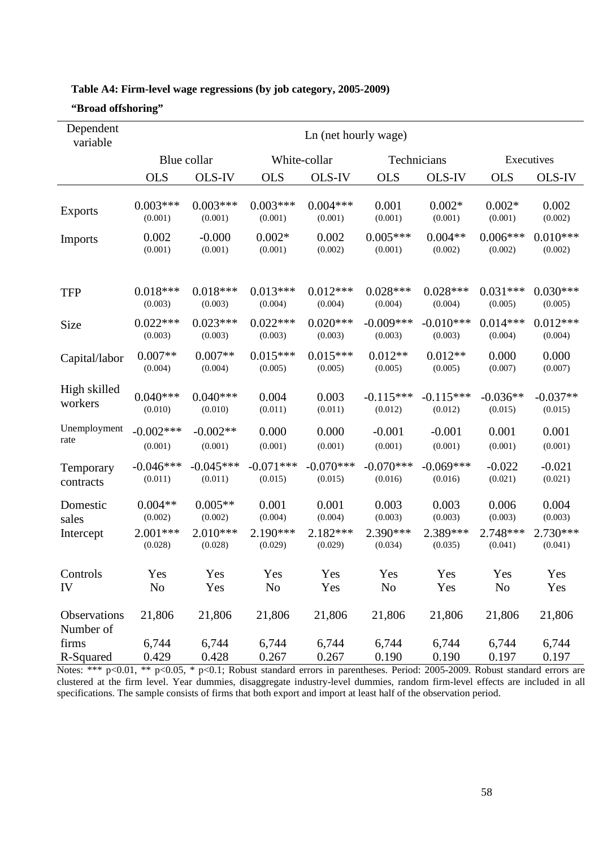| Dependent<br>variable     | Ln (net hourly wage) |             |             |              |             |             |            |               |
|---------------------------|----------------------|-------------|-------------|--------------|-------------|-------------|------------|---------------|
|                           | Blue collar          |             |             | White-collar | Technicians |             |            | Executives    |
|                           | <b>OLS</b>           | OLS-IV      | <b>OLS</b>  | OLS-IV       | <b>OLS</b>  | OLS-IV      | <b>OLS</b> | <b>OLS-IV</b> |
| <b>Exports</b>            | $0.003***$           | $0.003***$  | $0.003***$  | $0.004***$   | 0.001       | $0.002*$    | $0.002*$   | 0.002         |
|                           | (0.001)              | (0.001)     | (0.001)     | (0.001)      | (0.001)     | (0.001)     | (0.001)    | (0.002)       |
| <b>Imports</b>            | 0.002                | $-0.000$    | $0.002*$    | 0.002        | $0.005***$  | $0.004**$   | $0.006***$ | $0.010***$    |
|                           | (0.001)              | (0.001)     | (0.001)     | (0.002)      | (0.001)     | (0.002)     | (0.002)    | (0.002)       |
| <b>TFP</b>                | $0.018***$           | $0.018***$  | $0.013***$  | $0.012***$   | $0.028***$  | $0.028***$  | $0.031***$ | $0.030***$    |
|                           | (0.003)              | (0.003)     | (0.004)     | (0.004)      | (0.004)     | (0.004)     | (0.005)    | (0.005)       |
| Size                      | $0.022***$           | $0.023***$  | $0.022***$  | $0.020***$   | $-0.009***$ | $-0.010***$ | $0.014***$ | $0.012***$    |
|                           | (0.003)              | (0.003)     | (0.003)     | (0.003)      | (0.003)     | (0.003)     | (0.004)    | (0.004)       |
| Capital/labor             | $0.007**$            | $0.007**$   | $0.015***$  | $0.015***$   | $0.012**$   | $0.012**$   | 0.000      | 0.000         |
|                           | (0.004)              | (0.004)     | (0.005)     | (0.005)      | (0.005)     | (0.005)     | (0.007)    | (0.007)       |
| High skilled              | $0.040***$           | $0.040***$  | 0.004       | 0.003        | $-0.115***$ | $-0.115***$ | $-0.036**$ | $-0.037**$    |
| workers                   | (0.010)              | (0.010)     | (0.011)     | (0.011)      | (0.012)     | (0.012)     | (0.015)    | (0.015)       |
| Unemployment              | $-0.002$ ***         | $-0.002**$  | 0.000       | 0.000        | $-0.001$    | $-0.001$    | 0.001      | 0.001         |
| rate                      | (0.001)              | (0.001)     | (0.001)     | (0.001)      | (0.001)     | (0.001)     | (0.001)    | (0.001)       |
| Temporary                 | $-0.046***$          | $-0.045***$ | $-0.071***$ | $-0.070***$  | $-0.070***$ | $-0.069***$ | $-0.022$   | $-0.021$      |
| contracts                 | (0.011)              | (0.011)     | (0.015)     | (0.015)      | (0.016)     | (0.016)     | (0.021)    | (0.021)       |
| Domestic                  | $0.004**$            | $0.005**$   | 0.001       | 0.001        | 0.003       | 0.003       | 0.006      | 0.004         |
| sales                     | (0.002)              | (0.002)     | (0.004)     | (0.004)      | (0.003)     | (0.003)     | (0.003)    | (0.003)       |
| Intercept                 | $2.001***$           | $2.010***$  | $2.190***$  | $2.182***$   | 2.390 ***   | 2.389***    | 2.748***   | $2.730***$    |
|                           | (0.028)              | (0.028)     | (0.029)     | (0.029)      | (0.034)     | (0.035)     | (0.041)    | (0.041)       |
| Controls                  | Yes                  | Yes         | Yes         | Yes          | Yes         | Yes         | Yes        | Yes           |
| IV                        | No                   | Yes         | No          | Yes          | No          | Yes         | No         | Yes           |
| Observations<br>Number of | 21,806               | 21,806      | 21,806      | 21,806       | 21,806      | 21,806      | 21,806     | 21,806        |
| firms                     | 6,744                | 6,744       | 6,744       | 6,744        | 6,744       | 6,744       | 6,744      | 6,744         |
| R-Squared                 | 0.429                | 0.428       | 0.267       | 0.267        | 0.190       | 0.190       | 0.197      | 0.197         |

# **Table A4: Firm-level wage regressions (by job category, 2005-2009)**

**"Broad offshoring"**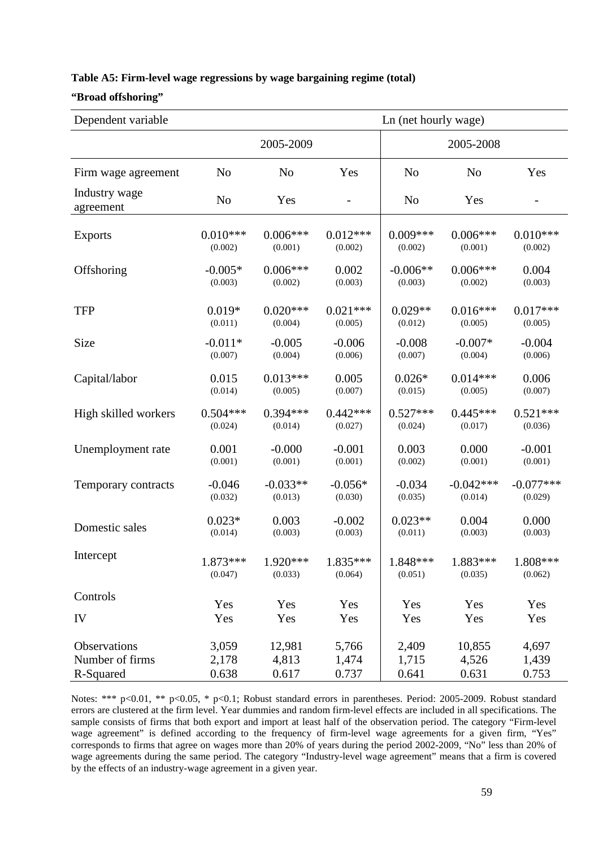# **Table A5: Firm-level wage regressions by wage bargaining regime (total)**

# **"Broad offshoring"**

| Dependent variable         | Ln (net hourly wage) |                |            |                |                |             |  |
|----------------------------|----------------------|----------------|------------|----------------|----------------|-------------|--|
|                            |                      | 2005-2009      |            | 2005-2008      |                |             |  |
| Firm wage agreement        | N <sub>0</sub>       | N <sub>o</sub> | Yes        | N <sub>o</sub> | N <sub>o</sub> | Yes         |  |
| Industry wage<br>agreement | N <sub>o</sub>       | Yes            |            | N <sub>0</sub> | Yes            |             |  |
| <b>Exports</b>             | $0.010***$           | $0.006***$     | $0.012***$ | $0.009***$     | $0.006***$     | $0.010***$  |  |
|                            | (0.002)              | (0.001)        | (0.002)    | (0.002)        | (0.001)        | (0.002)     |  |
| Offshoring                 | $-0.005*$            | $0.006***$     | 0.002      | $-0.006**$     | $0.006***$     | 0.004       |  |
|                            | (0.003)              | (0.002)        | (0.003)    | (0.003)        | (0.002)        | (0.003)     |  |
| <b>TFP</b>                 | $0.019*$             | $0.020***$     | $0.021***$ | $0.029**$      | $0.016***$     | $0.017***$  |  |
|                            | (0.011)              | (0.004)        | (0.005)    | (0.012)        | (0.005)        | (0.005)     |  |
| Size                       | $-0.011*$            | $-0.005$       | $-0.006$   | $-0.008$       | $-0.007*$      | $-0.004$    |  |
|                            | (0.007)              | (0.004)        | (0.006)    | (0.007)        | (0.004)        | (0.006)     |  |
| Capital/labor              | 0.015                | $0.013***$     | 0.005      | $0.026*$       | $0.014***$     | 0.006       |  |
|                            | (0.014)              | (0.005)        | (0.007)    | (0.015)        | (0.005)        | (0.007)     |  |
| High skilled workers       | $0.504***$           | $0.394***$     | $0.442***$ | $0.527***$     | $0.445***$     | $0.521***$  |  |
|                            | (0.024)              | (0.014)        | (0.027)    | (0.024)        | (0.017)        | (0.036)     |  |
| Unemployment rate          | 0.001                | $-0.000$       | $-0.001$   | 0.003          | 0.000          | $-0.001$    |  |
|                            | (0.001)              | (0.001)        | (0.001)    | (0.002)        | (0.001)        | (0.001)     |  |
| Temporary contracts        | $-0.046$             | $-0.033**$     | $-0.056*$  | $-0.034$       | $-0.042***$    | $-0.077***$ |  |
|                            | (0.032)              | (0.013)        | (0.030)    | (0.035)        | (0.014)        | (0.029)     |  |
| Domestic sales             | $0.023*$             | 0.003          | $-0.002$   | $0.023**$      | 0.004          | 0.000       |  |
|                            | (0.014)              | (0.003)        | (0.003)    | (0.011)        | (0.003)        | (0.003)     |  |
| Intercept                  | 1.873***             | 1.920***       | 1.835***   | 1.848***       | 1.883***       | 1.808***    |  |
|                            | (0.047)              | (0.033)        | (0.064)    | (0.051)        | (0.035)        | (0.062)     |  |
| Controls                   | Yes                  | Yes            | Yes        | Yes            | Yes            | Yes         |  |
| IV                         | Yes                  | Yes            | Yes        | Yes            | Yes            | Yes         |  |
| Observations               | 3,059                | 12,981         | 5,766      | 2,409          | 10,855         | 4,697       |  |
| Number of firms            | 2,178                | 4,813          | 1,474      | 1,715          | 4,526          | 1,439       |  |
| R-Squared                  | 0.638                | 0.617          | 0.737      | 0.641          | 0.631          | 0.753       |  |

Notes: \*\*\* p<0.01, \*\* p<0.05, \* p<0.1; Robust standard errors in parentheses. Period: 2005-2009. Robust standard errors are clustered at the firm level. Year dummies and random firm-level effects are included in all specifications. The sample consists of firms that both export and import at least half of the observation period. The category "Firm-level wage agreement" is defined according to the frequency of firm-level wage agreements for a given firm, "Yes" corresponds to firms that agree on wages more than 20% of years during the period 2002-2009, "No" less than 20% of wage agreements during the same period. The category "Industry-level wage agreement" means that a firm is covered by the effects of an industry-wage agreement in a given year.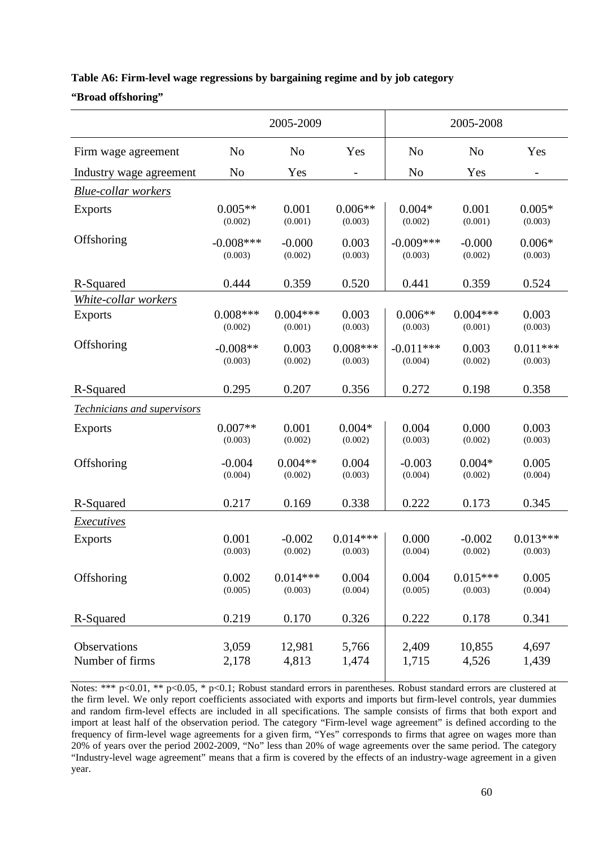# **Table A6: Firm-level wage regressions by bargaining regime and by job category "Broad offshoring"**

|                                 |                         | 2005-2009             |                       |                        | 2005-2008             |                       |
|---------------------------------|-------------------------|-----------------------|-----------------------|------------------------|-----------------------|-----------------------|
| Firm wage agreement             | N <sub>o</sub>          | N <sub>o</sub>        | Yes                   | N <sub>o</sub>         | N <sub>o</sub>        | Yes                   |
| Industry wage agreement         | N <sub>o</sub>          | Yes                   | $\qquad \qquad -$     | N <sub>o</sub>         | Yes                   | $\qquad \qquad -$     |
| <b>Blue-collar workers</b>      |                         |                       |                       |                        |                       |                       |
| <b>Exports</b>                  | $0.005**$<br>(0.002)    | 0.001<br>(0.001)      | $0.006**$<br>(0.003)  | $0.004*$<br>(0.002)    | 0.001<br>(0.001)      | $0.005*$<br>(0.003)   |
| Offshoring                      | $-0.008$ ***<br>(0.003) | $-0.000$<br>(0.002)   | 0.003<br>(0.003)      | $-0.009***$<br>(0.003) | $-0.000$<br>(0.002)   | $0.006*$<br>(0.003)   |
| R-Squared                       | 0.444                   | 0.359                 | 0.520                 | 0.441                  | 0.359                 | 0.524                 |
| White-collar workers            |                         |                       |                       |                        |                       |                       |
| Exports                         | $0.008***$<br>(0.002)   | $0.004***$<br>(0.001) | 0.003<br>(0.003)      | $0.006**$<br>(0.003)   | $0.004***$<br>(0.001) | 0.003<br>(0.003)      |
| Offshoring                      | $-0.008**$<br>(0.003)   | 0.003<br>(0.002)      | $0.008***$<br>(0.003) | $-0.011***$<br>(0.004) | 0.003<br>(0.002)      | $0.011***$<br>(0.003) |
| R-Squared                       | 0.295                   | 0.207                 | 0.356                 | 0.272                  | 0.198                 | 0.358                 |
| Technicians and supervisors     |                         |                       |                       |                        |                       |                       |
| <b>Exports</b>                  | $0.007**$<br>(0.003)    | 0.001<br>(0.002)      | $0.004*$<br>(0.002)   | 0.004<br>(0.003)       | 0.000<br>(0.002)      | 0.003<br>(0.003)      |
| Offshoring                      | $-0.004$<br>(0.004)     | $0.004**$<br>(0.002)  | 0.004<br>(0.003)      | $-0.003$<br>(0.004)    | $0.004*$<br>(0.002)   | 0.005<br>(0.004)      |
| R-Squared                       | 0.217                   | 0.169                 | 0.338                 | 0.222                  | 0.173                 | 0.345                 |
| <i>Executives</i>               |                         |                       |                       |                        |                       |                       |
| <b>Exports</b>                  | 0.001<br>(0.003)        | $-0.002$<br>(0.002)   | $0.014***$<br>(0.003) | 0.000<br>(0.004)       | $-0.002$<br>(0.002)   | $0.013***$<br>(0.003) |
| Offshoring                      | 0.002<br>(0.005)        | $0.014***$<br>(0.003) | 0.004<br>(0.004)      | 0.004<br>(0.005)       | $0.015***$<br>(0.003) | 0.005<br>(0.004)      |
| R-Squared                       | 0.219                   | 0.170                 | 0.326                 | 0.222                  | 0.178                 | 0.341                 |
| Observations<br>Number of firms | 3,059<br>2,178          | 12,981<br>4,813       | 5,766<br>1,474        | 2,409<br>1,715         | 10,855<br>4,526       | 4,697<br>1,439        |

Notes: \*\*\* p<0.01, \*\* p<0.05, \* p<0.1; Robust standard errors in parentheses. Robust standard errors are clustered at the firm level. We only report coefficients associated with exports and imports but firm-level controls, year dummies and random firm-level effects are included in all specifications. The sample consists of firms that both export and import at least half of the observation period. The category "Firm-level wage agreement" is defined according to the frequency of firm-level wage agreements for a given firm, "Yes" corresponds to firms that agree on wages more than 20% of years over the period 2002-2009, "No" less than 20% of wage agreements over the same period. The category "Industry-level wage agreement" means that a firm is covered by the effects of an industry-wage agreement in a given year.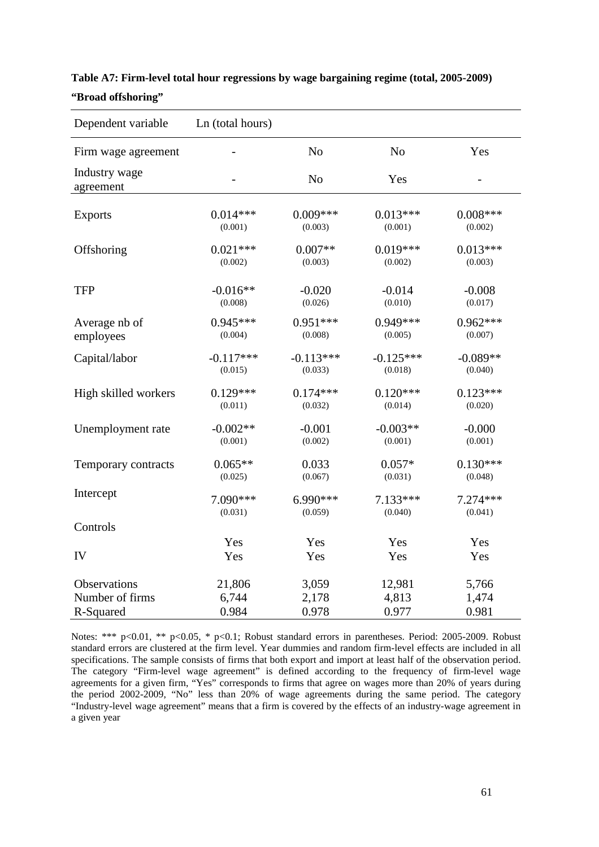| Dependent variable         | Ln (total hours) |                |                |            |
|----------------------------|------------------|----------------|----------------|------------|
| Firm wage agreement        |                  | N <sub>o</sub> | N <sub>o</sub> | Yes        |
| Industry wage<br>agreement |                  | N <sub>0</sub> | Yes            |            |
| <b>Exports</b>             | $0.014***$       | $0.009***$     | $0.013***$     | $0.008***$ |
|                            | (0.001)          | (0.003)        | (0.001)        | (0.002)    |
| Offshoring                 | $0.021***$       | $0.007**$      | $0.019***$     | $0.013***$ |
|                            | (0.002)          | (0.003)        | (0.002)        | (0.003)    |
| <b>TFP</b>                 | $-0.016**$       | $-0.020$       | $-0.014$       | $-0.008$   |
|                            | (0.008)          | (0.026)        | (0.010)        | (0.017)    |
| Average nb of              | $0.945***$       | $0.951***$     | 0.949***       | $0.962***$ |
| employees                  | (0.004)          | (0.008)        | (0.005)        | (0.007)    |
| Capital/labor              | $-0.117***$      | $-0.113***$    | $-0.125***$    | $-0.089**$ |
|                            | (0.015)          | (0.033)        | (0.018)        | (0.040)    |
| High skilled workers       | $0.129***$       | $0.174***$     | $0.120***$     | $0.123***$ |
|                            | (0.011)          | (0.032)        | (0.014)        | (0.020)    |
| Unemployment rate          | $-0.002**$       | $-0.001$       | $-0.003**$     | $-0.000$   |
|                            | (0.001)          | (0.002)        | (0.001)        | (0.001)    |
| Temporary contracts        | $0.065**$        | 0.033          | $0.057*$       | $0.130***$ |
|                            | (0.025)          | (0.067)        | (0.031)        | (0.048)    |
| Intercept                  | $7.090***$       | 6.990 ***      | 7.133***       | $7.274***$ |
|                            | (0.031)          | (0.059)        | (0.040)        | (0.041)    |
| Controls                   |                  |                |                |            |
|                            | Yes              | Yes            | Yes            | Yes        |
| IV                         | Yes              | Yes            | Yes            | Yes        |
| Observations               | 21,806           | 3,059          | 12,981         | 5,766      |
| Number of firms            | 6,744            | 2,178          | 4,813          | 1,474      |
| R-Squared                  | 0.984            | 0.978          | 0.977          | 0.981      |

# **Table A7: Firm-level total hour regressions by wage bargaining regime (total, 2005-2009) "Broad offshoring"**

Notes: \*\*\* p<0.01, \*\* p<0.05, \* p<0.1; Robust standard errors in parentheses. Period: 2005-2009. Robust standard errors are clustered at the firm level. Year dummies and random firm-level effects are included in all specifications. The sample consists of firms that both export and import at least half of the observation period. The category "Firm-level wage agreement" is defined according to the frequency of firm-level wage agreements for a given firm, "Yes" corresponds to firms that agree on wages more than 20% of years during the period 2002-2009, "No" less than 20% of wage agreements during the same period. The category "Industry-level wage agreement" means that a firm is covered by the effects of an industry-wage agreement in a given year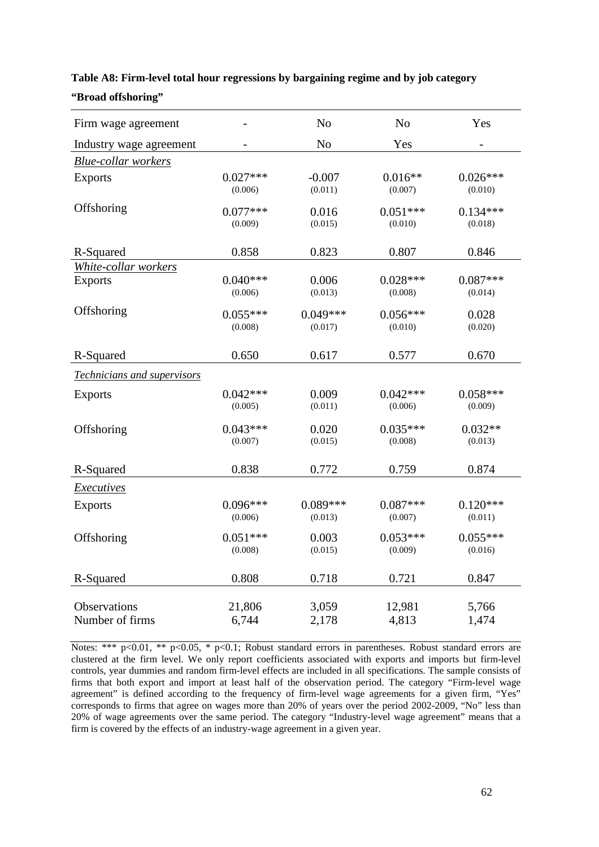| Firm wage agreement             |                       | N <sub>o</sub>        | N <sub>o</sub>        | Yes                   |
|---------------------------------|-----------------------|-----------------------|-----------------------|-----------------------|
| Industry wage agreement         |                       | N <sub>o</sub>        | Yes                   |                       |
| <b>Blue-collar workers</b>      |                       |                       |                       |                       |
| <b>Exports</b>                  | $0.027***$<br>(0.006) | $-0.007$<br>(0.011)   | $0.016**$<br>(0.007)  | $0.026***$<br>(0.010) |
| Offshoring                      | $0.077***$<br>(0.009) | 0.016<br>(0.015)      | $0.051***$<br>(0.010) | $0.134***$<br>(0.018) |
| R-Squared                       | 0.858                 | 0.823                 | 0.807                 | 0.846                 |
| White-collar workers            |                       |                       |                       |                       |
| <b>Exports</b>                  | $0.040***$<br>(0.006) | 0.006<br>(0.013)      | $0.028***$<br>(0.008) | $0.087***$<br>(0.014) |
| Offshoring                      | $0.055***$<br>(0.008) | $0.049***$<br>(0.017) | $0.056***$<br>(0.010) | 0.028<br>(0.020)      |
| R-Squared                       | 0.650                 | 0.617                 | 0.577                 | 0.670                 |
| Technicians and supervisors     |                       |                       |                       |                       |
| <b>Exports</b>                  | $0.042***$<br>(0.005) | 0.009<br>(0.011)      | $0.042***$<br>(0.006) | $0.058***$<br>(0.009) |
| Offshoring                      | $0.043***$<br>(0.007) | 0.020<br>(0.015)      | $0.035***$<br>(0.008) | $0.032**$<br>(0.013)  |
| R-Squared                       | 0.838                 | 0.772                 | 0.759                 | 0.874                 |
| <b>Executives</b>               |                       |                       |                       |                       |
| <b>Exports</b>                  | $0.096***$<br>(0.006) | $0.089***$<br>(0.013) | $0.087***$<br>(0.007) | $0.120***$<br>(0.011) |
| Offshoring                      | $0.051***$<br>(0.008) | 0.003<br>(0.015)      | $0.053***$<br>(0.009) | $0.055***$<br>(0.016) |
| R-Squared                       | 0.808                 | 0.718                 | 0.721                 | 0.847                 |
| Observations<br>Number of firms | 21,806<br>6,744       | 3,059<br>2,178        | 12,981<br>4,813       | 5,766<br>1,474        |

# **Table A8: Firm-level total hour regressions by bargaining regime and by job category "Broad offshoring"**

Notes: \*\*\* p<0.01, \*\* p<0.05, \* p<0.1; Robust standard errors in parentheses. Robust standard errors are clustered at the firm level. We only report coefficients associated with exports and imports but firm-level controls, year dummies and random firm-level effects are included in all specifications. The sample consists of firms that both export and import at least half of the observation period. The category "Firm-level wage agreement" is defined according to the frequency of firm-level wage agreements for a given firm, "Yes" corresponds to firms that agree on wages more than 20% of years over the period 2002-2009, "No" less than 20% of wage agreements over the same period. The category "Industry-level wage agreement" means that a firm is covered by the effects of an industry-wage agreement in a given year.